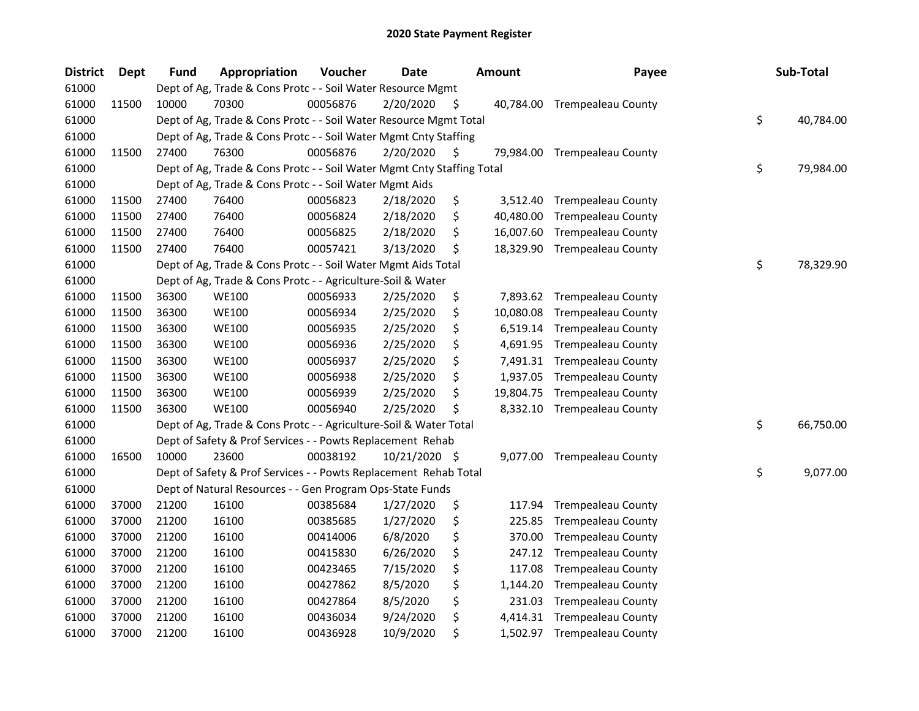| <b>District</b> | Dept  | Fund  | Appropriation                                                          | Voucher  | <b>Date</b>   |     | <b>Amount</b> | Payee                        | Sub-Total       |
|-----------------|-------|-------|------------------------------------------------------------------------|----------|---------------|-----|---------------|------------------------------|-----------------|
| 61000           |       |       | Dept of Ag, Trade & Cons Protc - - Soil Water Resource Mgmt            |          |               |     |               |                              |                 |
| 61000           | 11500 | 10000 | 70300                                                                  | 00056876 | 2/20/2020     | \$. | 40,784.00     | <b>Trempealeau County</b>    |                 |
| 61000           |       |       | Dept of Ag, Trade & Cons Protc - - Soil Water Resource Mgmt Total      |          |               |     |               |                              | \$<br>40,784.00 |
| 61000           |       |       | Dept of Ag, Trade & Cons Protc - - Soil Water Mgmt Cnty Staffing       |          |               |     |               |                              |                 |
| 61000           | 11500 | 27400 | 76300                                                                  | 00056876 | 2/20/2020     | \$  | 79,984.00     | <b>Trempealeau County</b>    |                 |
| 61000           |       |       | Dept of Ag, Trade & Cons Protc - - Soil Water Mgmt Cnty Staffing Total |          |               |     |               |                              | \$<br>79,984.00 |
| 61000           |       |       | Dept of Ag, Trade & Cons Protc - - Soil Water Mgmt Aids                |          |               |     |               |                              |                 |
| 61000           | 11500 | 27400 | 76400                                                                  | 00056823 | 2/18/2020     | \$  | 3,512.40      | <b>Trempealeau County</b>    |                 |
| 61000           | 11500 | 27400 | 76400                                                                  | 00056824 | 2/18/2020     | \$  | 40,480.00     | <b>Trempealeau County</b>    |                 |
| 61000           | 11500 | 27400 | 76400                                                                  | 00056825 | 2/18/2020     | \$  | 16,007.60     | <b>Trempealeau County</b>    |                 |
| 61000           | 11500 | 27400 | 76400                                                                  | 00057421 | 3/13/2020     | \$  |               | 18,329.90 Trempealeau County |                 |
| 61000           |       |       | Dept of Ag, Trade & Cons Protc - - Soil Water Mgmt Aids Total          |          |               |     |               |                              | \$<br>78,329.90 |
| 61000           |       |       | Dept of Ag, Trade & Cons Protc - - Agriculture-Soil & Water            |          |               |     |               |                              |                 |
| 61000           | 11500 | 36300 | <b>WE100</b>                                                           | 00056933 | 2/25/2020     | \$  | 7,893.62      | <b>Trempealeau County</b>    |                 |
| 61000           | 11500 | 36300 | <b>WE100</b>                                                           | 00056934 | 2/25/2020     | \$  | 10,080.08     | <b>Trempealeau County</b>    |                 |
| 61000           | 11500 | 36300 | <b>WE100</b>                                                           | 00056935 | 2/25/2020     | \$  | 6,519.14      | <b>Trempealeau County</b>    |                 |
| 61000           | 11500 | 36300 | <b>WE100</b>                                                           | 00056936 | 2/25/2020     | \$  | 4,691.95      | <b>Trempealeau County</b>    |                 |
| 61000           | 11500 | 36300 | <b>WE100</b>                                                           | 00056937 | 2/25/2020     | \$  | 7,491.31      | <b>Trempealeau County</b>    |                 |
| 61000           | 11500 | 36300 | <b>WE100</b>                                                           | 00056938 | 2/25/2020     | \$  | 1,937.05      | <b>Trempealeau County</b>    |                 |
| 61000           | 11500 | 36300 | <b>WE100</b>                                                           | 00056939 | 2/25/2020     | \$  | 19,804.75     | <b>Trempealeau County</b>    |                 |
| 61000           | 11500 | 36300 | <b>WE100</b>                                                           | 00056940 | 2/25/2020     | \$  | 8,332.10      | <b>Trempealeau County</b>    |                 |
| 61000           |       |       | Dept of Ag, Trade & Cons Protc - - Agriculture-Soil & Water Total      |          |               |     |               |                              | \$<br>66,750.00 |
| 61000           |       |       | Dept of Safety & Prof Services - - Powts Replacement Rehab             |          |               |     |               |                              |                 |
| 61000           | 16500 | 10000 | 23600                                                                  | 00038192 | 10/21/2020 \$ |     |               | 9,077.00 Trempealeau County  |                 |
| 61000           |       |       | Dept of Safety & Prof Services - - Powts Replacement Rehab Total       |          |               |     |               |                              | \$<br>9,077.00  |
| 61000           |       |       | Dept of Natural Resources - - Gen Program Ops-State Funds              |          |               |     |               |                              |                 |
| 61000           | 37000 | 21200 | 16100                                                                  | 00385684 | 1/27/2020     | \$  | 117.94        | <b>Trempealeau County</b>    |                 |
| 61000           | 37000 | 21200 | 16100                                                                  | 00385685 | 1/27/2020     | \$  | 225.85        | <b>Trempealeau County</b>    |                 |
| 61000           | 37000 | 21200 | 16100                                                                  | 00414006 | 6/8/2020      | \$  | 370.00        | <b>Trempealeau County</b>    |                 |
| 61000           | 37000 | 21200 | 16100                                                                  | 00415830 | 6/26/2020     | \$  | 247.12        | <b>Trempealeau County</b>    |                 |
| 61000           | 37000 | 21200 | 16100                                                                  | 00423465 | 7/15/2020     | \$  | 117.08        | <b>Trempealeau County</b>    |                 |
| 61000           | 37000 | 21200 | 16100                                                                  | 00427862 | 8/5/2020      | \$  | 1,144.20      | <b>Trempealeau County</b>    |                 |
| 61000           | 37000 | 21200 | 16100                                                                  | 00427864 | 8/5/2020      | \$  | 231.03        | <b>Trempealeau County</b>    |                 |
| 61000           | 37000 | 21200 | 16100                                                                  | 00436034 | 9/24/2020     | \$  | 4,414.31      | <b>Trempealeau County</b>    |                 |
| 61000           | 37000 | 21200 | 16100                                                                  | 00436928 | 10/9/2020     | \$  |               | 1,502.97 Trempealeau County  |                 |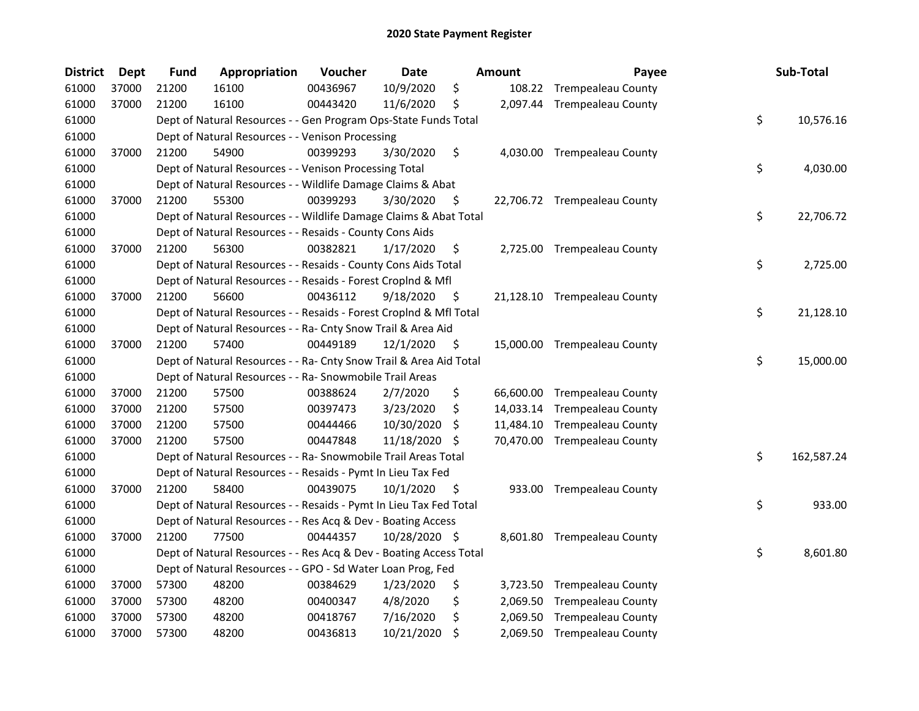| <b>District</b> | <b>Dept</b> | <b>Fund</b> | Appropriation                                                      | Voucher  | <b>Date</b>   |     | <b>Amount</b> | Payee                        | Sub-Total        |
|-----------------|-------------|-------------|--------------------------------------------------------------------|----------|---------------|-----|---------------|------------------------------|------------------|
| 61000           | 37000       | 21200       | 16100                                                              | 00436967 | 10/9/2020     | \$  | 108.22        | <b>Trempealeau County</b>    |                  |
| 61000           | 37000       | 21200       | 16100                                                              | 00443420 | 11/6/2020     | \$  |               | 2,097.44 Trempealeau County  |                  |
| 61000           |             |             | Dept of Natural Resources - - Gen Program Ops-State Funds Total    |          |               |     |               |                              | \$<br>10,576.16  |
| 61000           |             |             | Dept of Natural Resources - - Venison Processing                   |          |               |     |               |                              |                  |
| 61000           | 37000       | 21200       | 54900                                                              | 00399293 | 3/30/2020     | \$  |               | 4,030.00 Trempealeau County  |                  |
| 61000           |             |             | Dept of Natural Resources - - Venison Processing Total             |          |               |     |               |                              | \$<br>4,030.00   |
| 61000           |             |             | Dept of Natural Resources - - Wildlife Damage Claims & Abat        |          |               |     |               |                              |                  |
| 61000           | 37000       | 21200       | 55300                                                              | 00399293 | 3/30/2020     | -\$ |               | 22,706.72 Trempealeau County |                  |
| 61000           |             |             | Dept of Natural Resources - - Wildlife Damage Claims & Abat Total  |          |               |     |               |                              | \$<br>22,706.72  |
| 61000           |             |             | Dept of Natural Resources - - Resaids - County Cons Aids           |          |               |     |               |                              |                  |
| 61000           | 37000       | 21200       | 56300                                                              | 00382821 | 1/17/2020     | \$  |               | 2,725.00 Trempealeau County  |                  |
| 61000           |             |             | Dept of Natural Resources - - Resaids - County Cons Aids Total     |          |               |     |               |                              | \$<br>2,725.00   |
| 61000           |             |             | Dept of Natural Resources - - Resaids - Forest Croplnd & Mfl       |          |               |     |               |                              |                  |
| 61000           | 37000       | 21200       | 56600                                                              | 00436112 | 9/18/2020     | \$. |               | 21,128.10 Trempealeau County |                  |
| 61000           |             |             | Dept of Natural Resources - - Resaids - Forest CropInd & Mfl Total |          |               |     |               |                              | \$<br>21,128.10  |
| 61000           |             |             | Dept of Natural Resources - - Ra- Cnty Snow Trail & Area Aid       |          |               |     |               |                              |                  |
| 61000           | 37000       | 21200       | 57400                                                              | 00449189 | 12/1/2020     | \$  |               | 15,000.00 Trempealeau County |                  |
| 61000           |             |             | Dept of Natural Resources - - Ra- Cnty Snow Trail & Area Aid Total |          |               |     |               |                              | \$<br>15,000.00  |
| 61000           |             |             | Dept of Natural Resources - - Ra- Snowmobile Trail Areas           |          |               |     |               |                              |                  |
| 61000           | 37000       | 21200       | 57500                                                              | 00388624 | 2/7/2020      | \$  |               | 66,600.00 Trempealeau County |                  |
| 61000           | 37000       | 21200       | 57500                                                              | 00397473 | 3/23/2020     | \$, |               | 14,033.14 Trempealeau County |                  |
| 61000           | 37000       | 21200       | 57500                                                              | 00444466 | 10/30/2020    | \$  |               | 11,484.10 Trempealeau County |                  |
| 61000           | 37000       | 21200       | 57500                                                              | 00447848 | 11/18/2020    | -S  |               | 70,470.00 Trempealeau County |                  |
| 61000           |             |             | Dept of Natural Resources - - Ra- Snowmobile Trail Areas Total     |          |               |     |               |                              | \$<br>162,587.24 |
| 61000           |             |             | Dept of Natural Resources - - Resaids - Pymt In Lieu Tax Fed       |          |               |     |               |                              |                  |
| 61000           | 37000       | 21200       | 58400                                                              | 00439075 | 10/1/2020     | -\$ |               | 933.00 Trempealeau County    |                  |
| 61000           |             |             | Dept of Natural Resources - - Resaids - Pymt In Lieu Tax Fed Total |          |               |     |               |                              | \$<br>933.00     |
| 61000           |             |             | Dept of Natural Resources - - Res Acq & Dev - Boating Access       |          |               |     |               |                              |                  |
| 61000           | 37000       | 21200       | 77500                                                              | 00444357 | 10/28/2020 \$ |     |               | 8,601.80 Trempealeau County  |                  |
| 61000           |             |             | Dept of Natural Resources - - Res Acq & Dev - Boating Access Total |          |               |     |               |                              | \$<br>8,601.80   |
| 61000           |             |             | Dept of Natural Resources - - GPO - Sd Water Loan Prog, Fed        |          |               |     |               |                              |                  |
| 61000           | 37000       | 57300       | 48200                                                              | 00384629 | 1/23/2020     | \$  |               | 3,723.50 Trempealeau County  |                  |
| 61000           | 37000       | 57300       | 48200                                                              | 00400347 | 4/8/2020      | \$  | 2,069.50      | <b>Trempealeau County</b>    |                  |
| 61000           | 37000       | 57300       | 48200                                                              | 00418767 | 7/16/2020     | \$  | 2,069.50      | <b>Trempealeau County</b>    |                  |
| 61000           | 37000       | 57300       | 48200                                                              | 00436813 | 10/21/2020    | \$  |               | 2,069.50 Trempealeau County  |                  |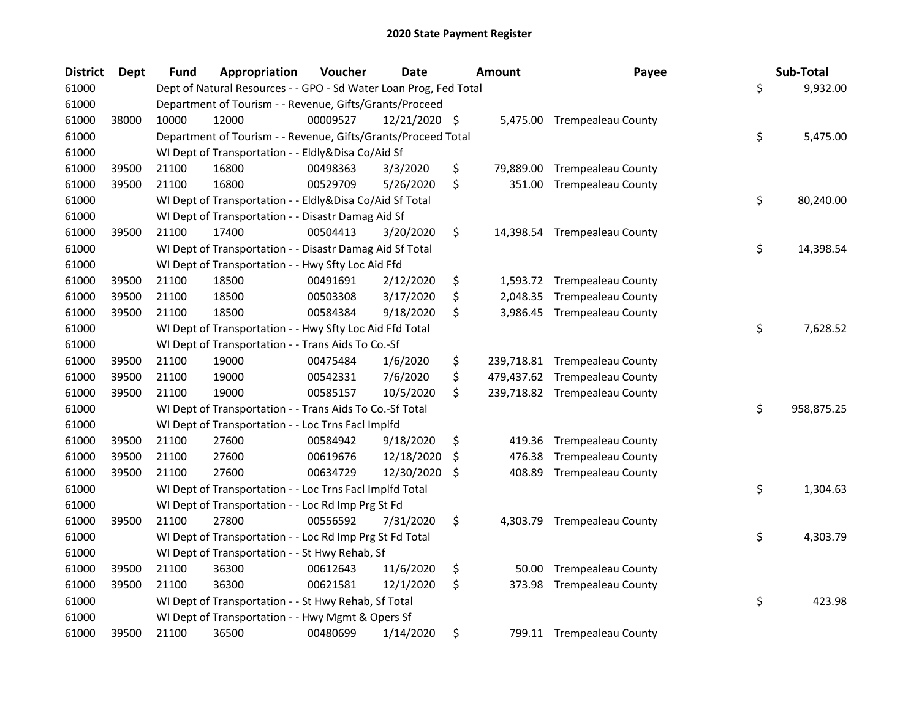| <b>District</b> | <b>Dept</b> | <b>Fund</b> | Appropriation                                                     | Voucher  | <b>Date</b>   | <b>Amount</b>    | Payee                         | Sub-Total        |
|-----------------|-------------|-------------|-------------------------------------------------------------------|----------|---------------|------------------|-------------------------------|------------------|
| 61000           |             |             | Dept of Natural Resources - - GPO - Sd Water Loan Prog, Fed Total |          |               |                  |                               | \$<br>9,932.00   |
| 61000           |             |             | Department of Tourism - - Revenue, Gifts/Grants/Proceed           |          |               |                  |                               |                  |
| 61000           | 38000       | 10000       | 12000                                                             | 00009527 | 12/21/2020 \$ |                  | 5,475.00 Trempealeau County   |                  |
| 61000           |             |             | Department of Tourism - - Revenue, Gifts/Grants/Proceed Total     |          |               |                  |                               | \$<br>5,475.00   |
| 61000           |             |             | WI Dept of Transportation - - Eldly&Disa Co/Aid Sf                |          |               |                  |                               |                  |
| 61000           | 39500       | 21100       | 16800                                                             | 00498363 | 3/3/2020      | \$<br>79,889.00  | <b>Trempealeau County</b>     |                  |
| 61000           | 39500       | 21100       | 16800                                                             | 00529709 | 5/26/2020     | \$<br>351.00     | <b>Trempealeau County</b>     |                  |
| 61000           |             |             | WI Dept of Transportation - - Eldly&Disa Co/Aid Sf Total          |          |               |                  |                               | \$<br>80,240.00  |
| 61000           |             |             | WI Dept of Transportation - - Disastr Damag Aid Sf                |          |               |                  |                               |                  |
| 61000           | 39500       | 21100       | 17400                                                             | 00504413 | 3/20/2020     | \$               | 14,398.54 Trempealeau County  |                  |
| 61000           |             |             | WI Dept of Transportation - - Disastr Damag Aid Sf Total          |          |               |                  |                               | \$<br>14,398.54  |
| 61000           |             |             | WI Dept of Transportation - - Hwy Sfty Loc Aid Ffd                |          |               |                  |                               |                  |
| 61000           | 39500       | 21100       | 18500                                                             | 00491691 | 2/12/2020     | \$<br>1,593.72   | <b>Trempealeau County</b>     |                  |
| 61000           | 39500       | 21100       | 18500                                                             | 00503308 | 3/17/2020     | \$<br>2,048.35   | <b>Trempealeau County</b>     |                  |
| 61000           | 39500       | 21100       | 18500                                                             | 00584384 | 9/18/2020     | \$<br>3,986.45   | <b>Trempealeau County</b>     |                  |
| 61000           |             |             | WI Dept of Transportation - - Hwy Sfty Loc Aid Ffd Total          |          |               |                  |                               | \$<br>7,628.52   |
| 61000           |             |             | WI Dept of Transportation - - Trans Aids To Co.-Sf                |          |               |                  |                               |                  |
| 61000           | 39500       | 21100       | 19000                                                             | 00475484 | 1/6/2020      | \$<br>239,718.81 | <b>Trempealeau County</b>     |                  |
| 61000           | 39500       | 21100       | 19000                                                             | 00542331 | 7/6/2020      | \$<br>479,437.62 | <b>Trempealeau County</b>     |                  |
| 61000           | 39500       | 21100       | 19000                                                             | 00585157 | 10/5/2020     | \$               | 239,718.82 Trempealeau County |                  |
| 61000           |             |             | WI Dept of Transportation - - Trans Aids To Co.-Sf Total          |          |               |                  |                               | \$<br>958,875.25 |
| 61000           |             |             | WI Dept of Transportation - - Loc Trns Facl Implfd                |          |               |                  |                               |                  |
| 61000           | 39500       | 21100       | 27600                                                             | 00584942 | 9/18/2020     | \$<br>419.36     | <b>Trempealeau County</b>     |                  |
| 61000           | 39500       | 21100       | 27600                                                             | 00619676 | 12/18/2020    | \$<br>476.38     | <b>Trempealeau County</b>     |                  |
| 61000           | 39500       | 21100       | 27600                                                             | 00634729 | 12/30/2020    | \$<br>408.89     | <b>Trempealeau County</b>     |                  |
| 61000           |             |             | WI Dept of Transportation - - Loc Trns Facl Implfd Total          |          |               |                  |                               | \$<br>1,304.63   |
| 61000           |             |             | WI Dept of Transportation - - Loc Rd Imp Prg St Fd                |          |               |                  |                               |                  |
| 61000           | 39500       | 21100       | 27800                                                             | 00556592 | 7/31/2020     | \$               | 4,303.79 Trempealeau County   |                  |
| 61000           |             |             | WI Dept of Transportation - - Loc Rd Imp Prg St Fd Total          |          |               |                  |                               | \$<br>4,303.79   |
| 61000           |             |             | WI Dept of Transportation - - St Hwy Rehab, Sf                    |          |               |                  |                               |                  |
| 61000           | 39500       | 21100       | 36300                                                             | 00612643 | 11/6/2020     | \$<br>50.00      | <b>Trempealeau County</b>     |                  |
| 61000           | 39500       | 21100       | 36300                                                             | 00621581 | 12/1/2020     | \$<br>373.98     | <b>Trempealeau County</b>     |                  |
| 61000           |             |             | WI Dept of Transportation - - St Hwy Rehab, Sf Total              |          |               |                  |                               | \$<br>423.98     |
| 61000           |             |             | WI Dept of Transportation - - Hwy Mgmt & Opers Sf                 |          |               |                  |                               |                  |
| 61000           | 39500       | 21100       | 36500                                                             | 00480699 | 1/14/2020     | \$               | 799.11 Trempealeau County     |                  |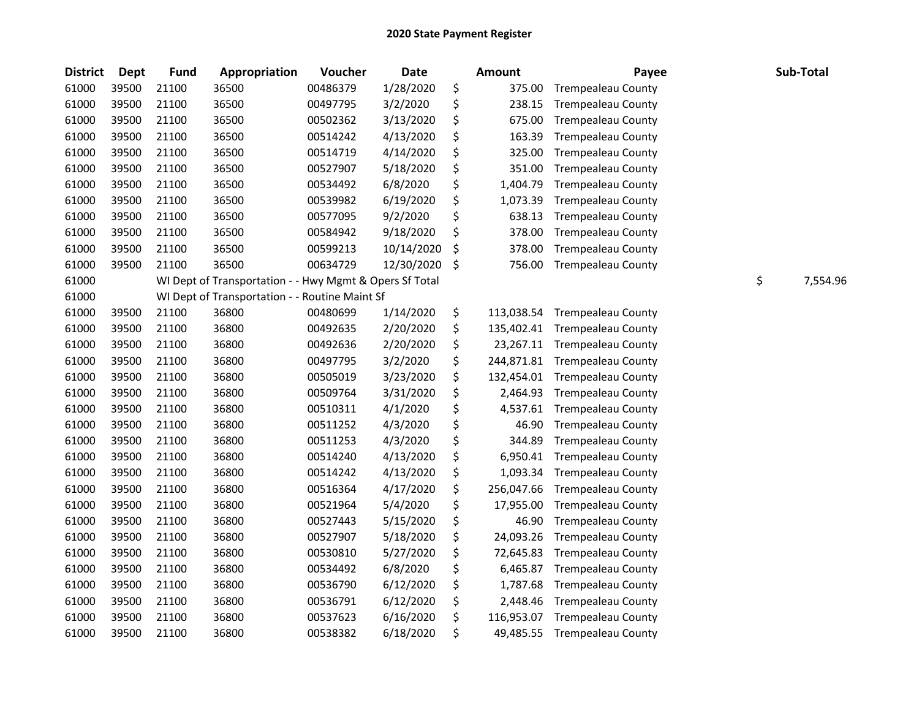| <b>District</b> | <b>Dept</b> | <b>Fund</b> | Appropriation                                           | Voucher  | <b>Date</b> | Amount           | Payee                     | Sub-Total      |
|-----------------|-------------|-------------|---------------------------------------------------------|----------|-------------|------------------|---------------------------|----------------|
| 61000           | 39500       | 21100       | 36500                                                   | 00486379 | 1/28/2020   | \$<br>375.00     | <b>Trempealeau County</b> |                |
| 61000           | 39500       | 21100       | 36500                                                   | 00497795 | 3/2/2020    | \$<br>238.15     | <b>Trempealeau County</b> |                |
| 61000           | 39500       | 21100       | 36500                                                   | 00502362 | 3/13/2020   | \$<br>675.00     | <b>Trempealeau County</b> |                |
| 61000           | 39500       | 21100       | 36500                                                   | 00514242 | 4/13/2020   | \$<br>163.39     | <b>Trempealeau County</b> |                |
| 61000           | 39500       | 21100       | 36500                                                   | 00514719 | 4/14/2020   | \$<br>325.00     | <b>Trempealeau County</b> |                |
| 61000           | 39500       | 21100       | 36500                                                   | 00527907 | 5/18/2020   | \$<br>351.00     | <b>Trempealeau County</b> |                |
| 61000           | 39500       | 21100       | 36500                                                   | 00534492 | 6/8/2020    | \$<br>1,404.79   | <b>Trempealeau County</b> |                |
| 61000           | 39500       | 21100       | 36500                                                   | 00539982 | 6/19/2020   | \$<br>1,073.39   | <b>Trempealeau County</b> |                |
| 61000           | 39500       | 21100       | 36500                                                   | 00577095 | 9/2/2020    | \$<br>638.13     | <b>Trempealeau County</b> |                |
| 61000           | 39500       | 21100       | 36500                                                   | 00584942 | 9/18/2020   | \$<br>378.00     | <b>Trempealeau County</b> |                |
| 61000           | 39500       | 21100       | 36500                                                   | 00599213 | 10/14/2020  | \$<br>378.00     | <b>Trempealeau County</b> |                |
| 61000           | 39500       | 21100       | 36500                                                   | 00634729 | 12/30/2020  | \$<br>756.00     | <b>Trempealeau County</b> |                |
| 61000           |             |             | WI Dept of Transportation - - Hwy Mgmt & Opers Sf Total |          |             |                  |                           | \$<br>7,554.96 |
| 61000           |             |             | WI Dept of Transportation - - Routine Maint Sf          |          |             |                  |                           |                |
| 61000           | 39500       | 21100       | 36800                                                   | 00480699 | 1/14/2020   | \$<br>113,038.54 | <b>Trempealeau County</b> |                |
| 61000           | 39500       | 21100       | 36800                                                   | 00492635 | 2/20/2020   | \$<br>135,402.41 | <b>Trempealeau County</b> |                |
| 61000           | 39500       | 21100       | 36800                                                   | 00492636 | 2/20/2020   | \$<br>23,267.11  | <b>Trempealeau County</b> |                |
| 61000           | 39500       | 21100       | 36800                                                   | 00497795 | 3/2/2020    | \$<br>244,871.81 | <b>Trempealeau County</b> |                |
| 61000           | 39500       | 21100       | 36800                                                   | 00505019 | 3/23/2020   | \$<br>132,454.01 | <b>Trempealeau County</b> |                |
| 61000           | 39500       | 21100       | 36800                                                   | 00509764 | 3/31/2020   | \$<br>2,464.93   | <b>Trempealeau County</b> |                |
| 61000           | 39500       | 21100       | 36800                                                   | 00510311 | 4/1/2020    | \$<br>4,537.61   | <b>Trempealeau County</b> |                |
| 61000           | 39500       | 21100       | 36800                                                   | 00511252 | 4/3/2020    | \$<br>46.90      | <b>Trempealeau County</b> |                |
| 61000           | 39500       | 21100       | 36800                                                   | 00511253 | 4/3/2020    | \$<br>344.89     | <b>Trempealeau County</b> |                |
| 61000           | 39500       | 21100       | 36800                                                   | 00514240 | 4/13/2020   | \$<br>6,950.41   | <b>Trempealeau County</b> |                |
| 61000           | 39500       | 21100       | 36800                                                   | 00514242 | 4/13/2020   | \$<br>1,093.34   | <b>Trempealeau County</b> |                |
| 61000           | 39500       | 21100       | 36800                                                   | 00516364 | 4/17/2020   | \$<br>256,047.66 | <b>Trempealeau County</b> |                |
| 61000           | 39500       | 21100       | 36800                                                   | 00521964 | 5/4/2020    | \$<br>17,955.00  | <b>Trempealeau County</b> |                |
| 61000           | 39500       | 21100       | 36800                                                   | 00527443 | 5/15/2020   | \$<br>46.90      | <b>Trempealeau County</b> |                |
| 61000           | 39500       | 21100       | 36800                                                   | 00527907 | 5/18/2020   | \$<br>24,093.26  | <b>Trempealeau County</b> |                |
| 61000           | 39500       | 21100       | 36800                                                   | 00530810 | 5/27/2020   | \$<br>72,645.83  | <b>Trempealeau County</b> |                |
| 61000           | 39500       | 21100       | 36800                                                   | 00534492 | 6/8/2020    | \$<br>6,465.87   | <b>Trempealeau County</b> |                |
| 61000           | 39500       | 21100       | 36800                                                   | 00536790 | 6/12/2020   | \$<br>1,787.68   | <b>Trempealeau County</b> |                |
| 61000           | 39500       | 21100       | 36800                                                   | 00536791 | 6/12/2020   | \$<br>2,448.46   | <b>Trempealeau County</b> |                |
| 61000           | 39500       | 21100       | 36800                                                   | 00537623 | 6/16/2020   | \$<br>116,953.07 | <b>Trempealeau County</b> |                |
| 61000           | 39500       | 21100       | 36800                                                   | 00538382 | 6/18/2020   | \$<br>49,485.55  | <b>Trempealeau County</b> |                |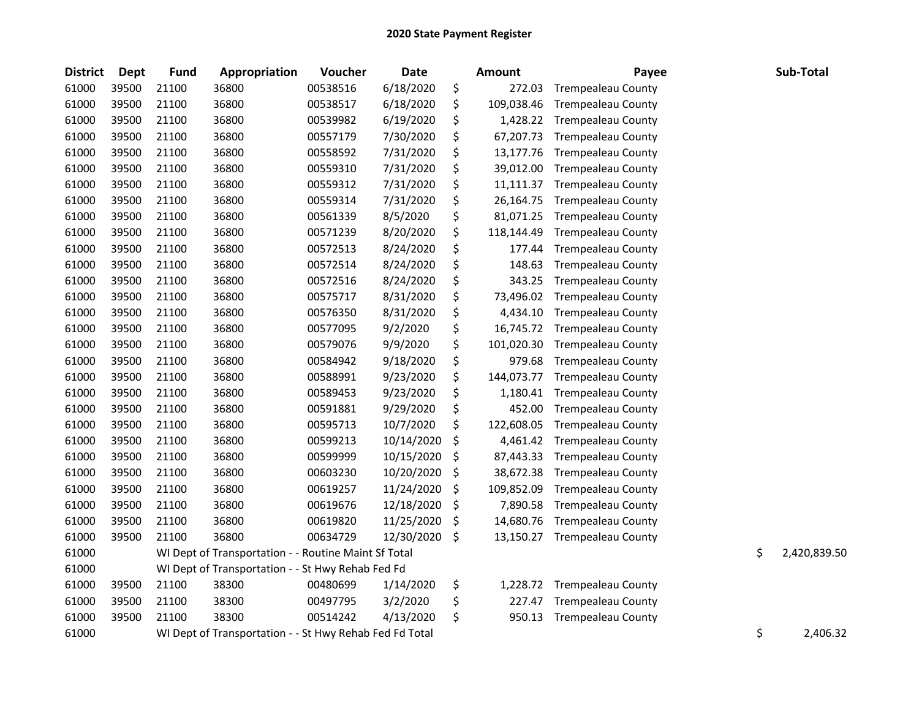| <b>District</b> | Dept  | <b>Fund</b> | Appropriation                                           | Voucher  | <b>Date</b> |         | <b>Amount</b> | Payee                     | Sub-Total          |
|-----------------|-------|-------------|---------------------------------------------------------|----------|-------------|---------|---------------|---------------------------|--------------------|
| 61000           | 39500 | 21100       | 36800                                                   | 00538516 | 6/18/2020   | \$      | 272.03        | <b>Trempealeau County</b> |                    |
| 61000           | 39500 | 21100       | 36800                                                   | 00538517 | 6/18/2020   | \$      | 109,038.46    | <b>Trempealeau County</b> |                    |
| 61000           | 39500 | 21100       | 36800                                                   | 00539982 | 6/19/2020   | \$      | 1,428.22      | <b>Trempealeau County</b> |                    |
| 61000           | 39500 | 21100       | 36800                                                   | 00557179 | 7/30/2020   | \$      | 67,207.73     | <b>Trempealeau County</b> |                    |
| 61000           | 39500 | 21100       | 36800                                                   | 00558592 | 7/31/2020   | \$      | 13,177.76     | <b>Trempealeau County</b> |                    |
| 61000           | 39500 | 21100       | 36800                                                   | 00559310 | 7/31/2020   | \$      | 39,012.00     | <b>Trempealeau County</b> |                    |
| 61000           | 39500 | 21100       | 36800                                                   | 00559312 | 7/31/2020   | \$      | 11,111.37     | <b>Trempealeau County</b> |                    |
| 61000           | 39500 | 21100       | 36800                                                   | 00559314 | 7/31/2020   | \$      | 26,164.75     | <b>Trempealeau County</b> |                    |
| 61000           | 39500 | 21100       | 36800                                                   | 00561339 | 8/5/2020    | \$      | 81,071.25     | <b>Trempealeau County</b> |                    |
| 61000           | 39500 | 21100       | 36800                                                   | 00571239 | 8/20/2020   | \$      | 118,144.49    | <b>Trempealeau County</b> |                    |
| 61000           | 39500 | 21100       | 36800                                                   | 00572513 | 8/24/2020   | \$      | 177.44        | <b>Trempealeau County</b> |                    |
| 61000           | 39500 | 21100       | 36800                                                   | 00572514 | 8/24/2020   | \$      | 148.63        | <b>Trempealeau County</b> |                    |
| 61000           | 39500 | 21100       | 36800                                                   | 00572516 | 8/24/2020   | \$      | 343.25        | <b>Trempealeau County</b> |                    |
| 61000           | 39500 | 21100       | 36800                                                   | 00575717 | 8/31/2020   | \$      | 73,496.02     | <b>Trempealeau County</b> |                    |
| 61000           | 39500 | 21100       | 36800                                                   | 00576350 | 8/31/2020   | \$      | 4,434.10      | <b>Trempealeau County</b> |                    |
| 61000           | 39500 | 21100       | 36800                                                   | 00577095 | 9/2/2020    | \$      | 16,745.72     | <b>Trempealeau County</b> |                    |
| 61000           | 39500 | 21100       | 36800                                                   | 00579076 | 9/9/2020    | \$      | 101,020.30    | <b>Trempealeau County</b> |                    |
| 61000           | 39500 | 21100       | 36800                                                   | 00584942 | 9/18/2020   | \$      | 979.68        | <b>Trempealeau County</b> |                    |
| 61000           | 39500 | 21100       | 36800                                                   | 00588991 | 9/23/2020   | \$      | 144,073.77    | <b>Trempealeau County</b> |                    |
| 61000           | 39500 | 21100       | 36800                                                   | 00589453 | 9/23/2020   | \$      | 1,180.41      | <b>Trempealeau County</b> |                    |
| 61000           | 39500 | 21100       | 36800                                                   | 00591881 | 9/29/2020   | \$      | 452.00        | <b>Trempealeau County</b> |                    |
| 61000           | 39500 | 21100       | 36800                                                   | 00595713 | 10/7/2020   | \$      | 122,608.05    | <b>Trempealeau County</b> |                    |
| 61000           | 39500 | 21100       | 36800                                                   | 00599213 | 10/14/2020  | \$      | 4,461.42      | <b>Trempealeau County</b> |                    |
| 61000           | 39500 | 21100       | 36800                                                   | 00599999 | 10/15/2020  | \$      | 87,443.33     | <b>Trempealeau County</b> |                    |
| 61000           | 39500 | 21100       | 36800                                                   | 00603230 | 10/20/2020  | \$      | 38,672.38     | <b>Trempealeau County</b> |                    |
| 61000           | 39500 | 21100       | 36800                                                   | 00619257 | 11/24/2020  | $\zeta$ | 109,852.09    | <b>Trempealeau County</b> |                    |
| 61000           | 39500 | 21100       | 36800                                                   | 00619676 | 12/18/2020  | \$      | 7,890.58      | <b>Trempealeau County</b> |                    |
| 61000           | 39500 | 21100       | 36800                                                   | 00619820 | 11/25/2020  | \$      | 14,680.76     | <b>Trempealeau County</b> |                    |
| 61000           | 39500 | 21100       | 36800                                                   | 00634729 | 12/30/2020  | \$      | 13,150.27     | <b>Trempealeau County</b> |                    |
| 61000           |       |             | WI Dept of Transportation - - Routine Maint Sf Total    |          |             |         |               |                           | \$<br>2,420,839.50 |
| 61000           |       |             | WI Dept of Transportation - - St Hwy Rehab Fed Fd       |          |             |         |               |                           |                    |
| 61000           | 39500 | 21100       | 38300                                                   | 00480699 | 1/14/2020   | \$      | 1,228.72      | <b>Trempealeau County</b> |                    |
| 61000           | 39500 | 21100       | 38300                                                   | 00497795 | 3/2/2020    | \$      | 227.47        | <b>Trempealeau County</b> |                    |
| 61000           | 39500 | 21100       | 38300                                                   | 00514242 | 4/13/2020   | \$      | 950.13        | <b>Trempealeau County</b> |                    |
| 61000           |       |             | WI Dept of Transportation - - St Hwy Rehab Fed Fd Total |          |             |         |               |                           | \$<br>2,406.32     |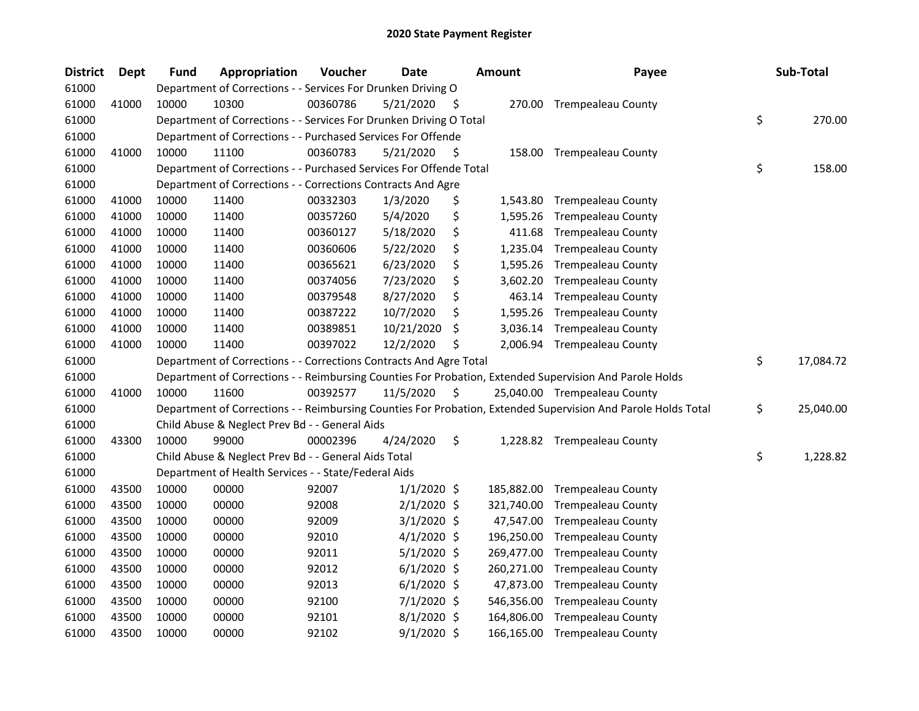| <b>District</b> | <b>Dept</b> | <b>Fund</b> | Appropriation                                                      | Voucher  | Date          |     | <b>Amount</b> | Payee                                                                                                         | Sub-Total       |
|-----------------|-------------|-------------|--------------------------------------------------------------------|----------|---------------|-----|---------------|---------------------------------------------------------------------------------------------------------------|-----------------|
| 61000           |             |             | Department of Corrections - - Services For Drunken Driving O       |          |               |     |               |                                                                                                               |                 |
| 61000           | 41000       | 10000       | 10300                                                              | 00360786 | 5/21/2020     | -\$ |               | 270.00 Trempealeau County                                                                                     |                 |
| 61000           |             |             | Department of Corrections - - Services For Drunken Driving O Total |          |               |     |               |                                                                                                               | \$<br>270.00    |
| 61000           |             |             | Department of Corrections - - Purchased Services For Offende       |          |               |     |               |                                                                                                               |                 |
| 61000           | 41000       | 10000       | 11100                                                              | 00360783 | 5/21/2020     | \$  |               | 158.00 Trempealeau County                                                                                     |                 |
| 61000           |             |             | Department of Corrections - - Purchased Services For Offende Total |          |               |     |               |                                                                                                               | \$<br>158.00    |
| 61000           |             |             | Department of Corrections - - Corrections Contracts And Agre       |          |               |     |               |                                                                                                               |                 |
| 61000           | 41000       | 10000       | 11400                                                              | 00332303 | 1/3/2020      | \$  | 1,543.80      | <b>Trempealeau County</b>                                                                                     |                 |
| 61000           | 41000       | 10000       | 11400                                                              | 00357260 | 5/4/2020      | \$  | 1,595.26      | <b>Trempealeau County</b>                                                                                     |                 |
| 61000           | 41000       | 10000       | 11400                                                              | 00360127 | 5/18/2020     | \$  | 411.68        | <b>Trempealeau County</b>                                                                                     |                 |
| 61000           | 41000       | 10000       | 11400                                                              | 00360606 | 5/22/2020     | \$  | 1,235.04      | <b>Trempealeau County</b>                                                                                     |                 |
| 61000           | 41000       | 10000       | 11400                                                              | 00365621 | 6/23/2020     | \$  | 1,595.26      | <b>Trempealeau County</b>                                                                                     |                 |
| 61000           | 41000       | 10000       | 11400                                                              | 00374056 | 7/23/2020     | \$  | 3,602.20      | <b>Trempealeau County</b>                                                                                     |                 |
| 61000           | 41000       | 10000       | 11400                                                              | 00379548 | 8/27/2020     | \$  | 463.14        | <b>Trempealeau County</b>                                                                                     |                 |
| 61000           | 41000       | 10000       | 11400                                                              | 00387222 | 10/7/2020     | \$  | 1,595.26      | <b>Trempealeau County</b>                                                                                     |                 |
| 61000           | 41000       | 10000       | 11400                                                              | 00389851 | 10/21/2020    | S   | 3,036.14      | <b>Trempealeau County</b>                                                                                     |                 |
| 61000           | 41000       | 10000       | 11400                                                              | 00397022 | 12/2/2020     | \$  | 2,006.94      | <b>Trempealeau County</b>                                                                                     |                 |
| 61000           |             |             | Department of Corrections - - Corrections Contracts And Agre Total |          |               |     |               |                                                                                                               | \$<br>17,084.72 |
| 61000           |             |             |                                                                    |          |               |     |               | Department of Corrections - - Reimbursing Counties For Probation, Extended Supervision And Parole Holds       |                 |
| 61000           | 41000       | 10000       | 11600                                                              | 00392577 | 11/5/2020     | \$  |               | 25,040.00 Trempealeau County                                                                                  |                 |
| 61000           |             |             |                                                                    |          |               |     |               | Department of Corrections - - Reimbursing Counties For Probation, Extended Supervision And Parole Holds Total | \$<br>25,040.00 |
| 61000           |             |             | Child Abuse & Neglect Prev Bd - - General Aids                     |          |               |     |               |                                                                                                               |                 |
| 61000           | 43300       | 10000       | 99000                                                              | 00002396 | 4/24/2020     | \$  |               | 1,228.82 Trempealeau County                                                                                   |                 |
| 61000           |             |             | Child Abuse & Neglect Prev Bd - - General Aids Total               |          |               |     |               |                                                                                                               | \$<br>1,228.82  |
| 61000           |             |             | Department of Health Services - - State/Federal Aids               |          |               |     |               |                                                                                                               |                 |
| 61000           | 43500       | 10000       | 00000                                                              | 92007    | $1/1/2020$ \$ |     | 185,882.00    | <b>Trempealeau County</b>                                                                                     |                 |
| 61000           | 43500       | 10000       | 00000                                                              | 92008    | $2/1/2020$ \$ |     | 321,740.00    | <b>Trempealeau County</b>                                                                                     |                 |
| 61000           | 43500       | 10000       | 00000                                                              | 92009    | $3/1/2020$ \$ |     | 47,547.00     | <b>Trempealeau County</b>                                                                                     |                 |
| 61000           | 43500       | 10000       | 00000                                                              | 92010    | $4/1/2020$ \$ |     | 196,250.00    | <b>Trempealeau County</b>                                                                                     |                 |
| 61000           | 43500       | 10000       | 00000                                                              | 92011    | $5/1/2020$ \$ |     | 269,477.00    | <b>Trempealeau County</b>                                                                                     |                 |
| 61000           | 43500       | 10000       | 00000                                                              | 92012    | $6/1/2020$ \$ |     | 260,271.00    | <b>Trempealeau County</b>                                                                                     |                 |
| 61000           | 43500       | 10000       | 00000                                                              | 92013    | $6/1/2020$ \$ |     | 47,873.00     | <b>Trempealeau County</b>                                                                                     |                 |
| 61000           | 43500       | 10000       | 00000                                                              | 92100    | 7/1/2020 \$   |     | 546,356.00    | <b>Trempealeau County</b>                                                                                     |                 |
| 61000           | 43500       | 10000       | 00000                                                              | 92101    | $8/1/2020$ \$ |     | 164,806.00    | <b>Trempealeau County</b>                                                                                     |                 |
| 61000           | 43500       | 10000       | 00000                                                              | 92102    | $9/1/2020$ \$ |     | 166,165.00    | <b>Trempealeau County</b>                                                                                     |                 |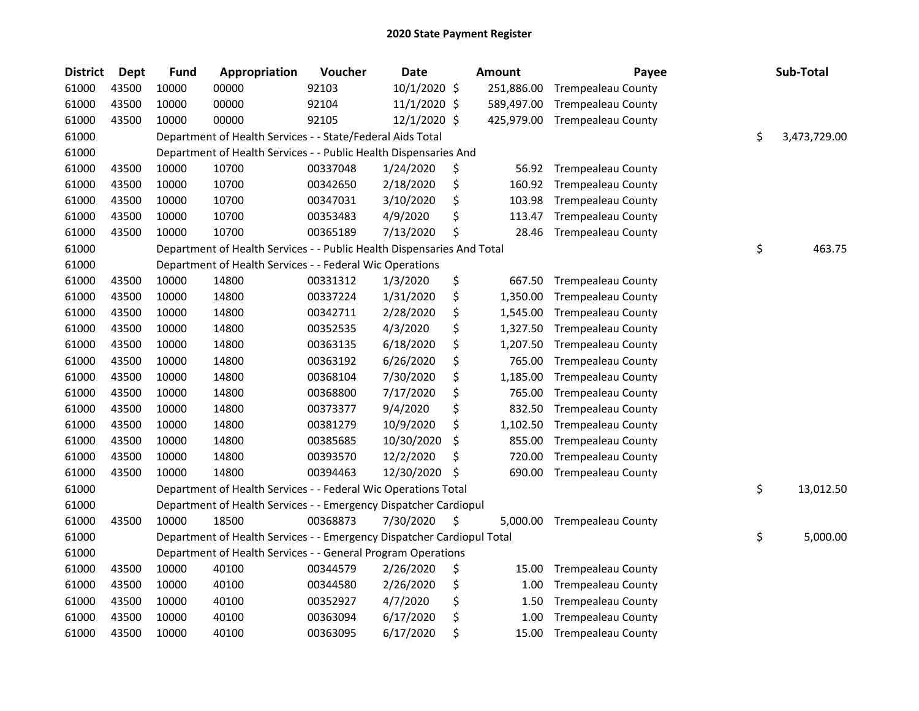| <b>District</b> | Dept  | <b>Fund</b> | Appropriation                                                          | Voucher  | <b>Date</b>    | Amount         | Payee                     | Sub-Total          |
|-----------------|-------|-------------|------------------------------------------------------------------------|----------|----------------|----------------|---------------------------|--------------------|
| 61000           | 43500 | 10000       | 00000                                                                  | 92103    | 10/1/2020 \$   | 251,886.00     | <b>Trempealeau County</b> |                    |
| 61000           | 43500 | 10000       | 00000                                                                  | 92104    | 11/1/2020 \$   | 589,497.00     | <b>Trempealeau County</b> |                    |
| 61000           | 43500 | 10000       | 00000                                                                  | 92105    | $12/1/2020$ \$ | 425,979.00     | <b>Trempealeau County</b> |                    |
| 61000           |       |             | Department of Health Services - - State/Federal Aids Total             |          |                |                |                           | \$<br>3,473,729.00 |
| 61000           |       |             | Department of Health Services - - Public Health Dispensaries And       |          |                |                |                           |                    |
| 61000           | 43500 | 10000       | 10700                                                                  | 00337048 | 1/24/2020      | \$<br>56.92    | <b>Trempealeau County</b> |                    |
| 61000           | 43500 | 10000       | 10700                                                                  | 00342650 | 2/18/2020      | \$<br>160.92   | <b>Trempealeau County</b> |                    |
| 61000           | 43500 | 10000       | 10700                                                                  | 00347031 | 3/10/2020      | \$<br>103.98   | <b>Trempealeau County</b> |                    |
| 61000           | 43500 | 10000       | 10700                                                                  | 00353483 | 4/9/2020       | \$<br>113.47   | <b>Trempealeau County</b> |                    |
| 61000           | 43500 | 10000       | 10700                                                                  | 00365189 | 7/13/2020      | \$<br>28.46    | <b>Trempealeau County</b> |                    |
| 61000           |       |             | Department of Health Services - - Public Health Dispensaries And Total |          |                |                |                           | \$<br>463.75       |
| 61000           |       |             | Department of Health Services - - Federal Wic Operations               |          |                |                |                           |                    |
| 61000           | 43500 | 10000       | 14800                                                                  | 00331312 | 1/3/2020       | \$<br>667.50   | <b>Trempealeau County</b> |                    |
| 61000           | 43500 | 10000       | 14800                                                                  | 00337224 | 1/31/2020      | \$<br>1,350.00 | <b>Trempealeau County</b> |                    |
| 61000           | 43500 | 10000       | 14800                                                                  | 00342711 | 2/28/2020      | \$<br>1,545.00 | <b>Trempealeau County</b> |                    |
| 61000           | 43500 | 10000       | 14800                                                                  | 00352535 | 4/3/2020       | \$<br>1,327.50 | <b>Trempealeau County</b> |                    |
| 61000           | 43500 | 10000       | 14800                                                                  | 00363135 | 6/18/2020      | \$<br>1,207.50 | <b>Trempealeau County</b> |                    |
| 61000           | 43500 | 10000       | 14800                                                                  | 00363192 | 6/26/2020      | \$<br>765.00   | <b>Trempealeau County</b> |                    |
| 61000           | 43500 | 10000       | 14800                                                                  | 00368104 | 7/30/2020      | \$<br>1,185.00 | <b>Trempealeau County</b> |                    |
| 61000           | 43500 | 10000       | 14800                                                                  | 00368800 | 7/17/2020      | \$<br>765.00   | <b>Trempealeau County</b> |                    |
| 61000           | 43500 | 10000       | 14800                                                                  | 00373377 | 9/4/2020       | \$<br>832.50   | <b>Trempealeau County</b> |                    |
| 61000           | 43500 | 10000       | 14800                                                                  | 00381279 | 10/9/2020      | \$<br>1,102.50 | <b>Trempealeau County</b> |                    |
| 61000           | 43500 | 10000       | 14800                                                                  | 00385685 | 10/30/2020     | \$<br>855.00   | <b>Trempealeau County</b> |                    |
| 61000           | 43500 | 10000       | 14800                                                                  | 00393570 | 12/2/2020      | \$<br>720.00   | <b>Trempealeau County</b> |                    |
| 61000           | 43500 | 10000       | 14800                                                                  | 00394463 | 12/30/2020     | \$<br>690.00   | <b>Trempealeau County</b> |                    |
| 61000           |       |             | Department of Health Services - - Federal Wic Operations Total         |          |                |                |                           | \$<br>13,012.50    |
| 61000           |       |             | Department of Health Services - - Emergency Dispatcher Cardiopul       |          |                |                |                           |                    |
| 61000           | 43500 | 10000       | 18500                                                                  | 00368873 | 7/30/2020      | \$<br>5,000.00 | <b>Trempealeau County</b> |                    |
| 61000           |       |             | Department of Health Services - - Emergency Dispatcher Cardiopul Total |          |                |                |                           | \$<br>5,000.00     |
| 61000           |       |             | Department of Health Services - - General Program Operations           |          |                |                |                           |                    |
| 61000           | 43500 | 10000       | 40100                                                                  | 00344579 | 2/26/2020      | \$<br>15.00    | <b>Trempealeau County</b> |                    |
| 61000           | 43500 | 10000       | 40100                                                                  | 00344580 | 2/26/2020      | \$<br>1.00     | <b>Trempealeau County</b> |                    |
| 61000           | 43500 | 10000       | 40100                                                                  | 00352927 | 4/7/2020       | \$<br>1.50     | <b>Trempealeau County</b> |                    |
| 61000           | 43500 | 10000       | 40100                                                                  | 00363094 | 6/17/2020      | \$<br>1.00     | <b>Trempealeau County</b> |                    |
| 61000           | 43500 | 10000       | 40100                                                                  | 00363095 | 6/17/2020      | \$<br>15.00    | <b>Trempealeau County</b> |                    |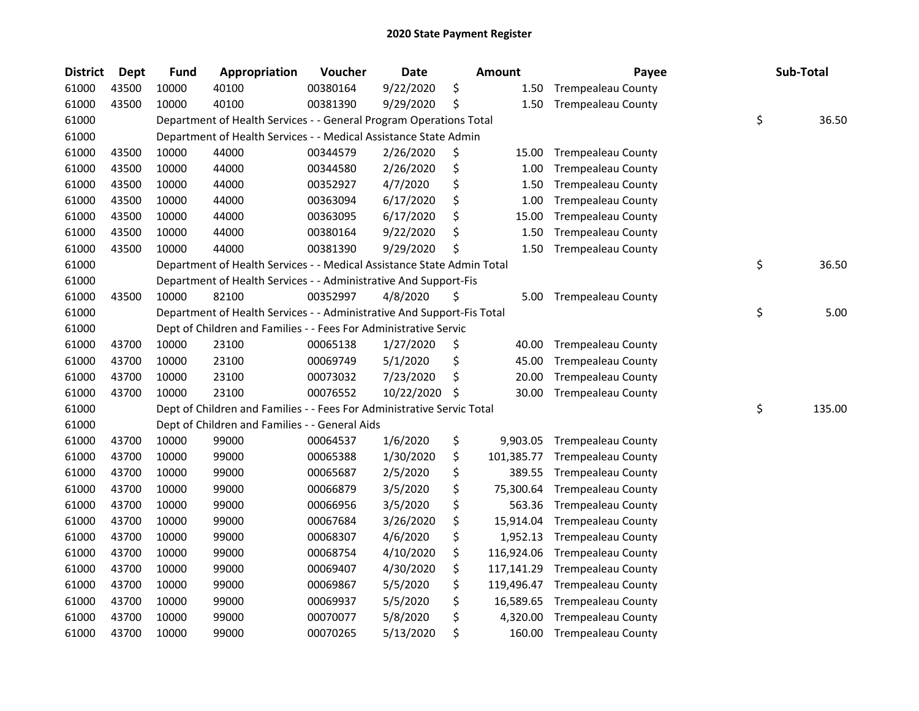| <b>District</b> | <b>Dept</b> | <b>Fund</b> | Appropriation                                                          | Voucher  | <b>Date</b> | Amount           | Payee                     | Sub-Total    |
|-----------------|-------------|-------------|------------------------------------------------------------------------|----------|-------------|------------------|---------------------------|--------------|
| 61000           | 43500       | 10000       | 40100                                                                  | 00380164 | 9/22/2020   | \$<br>1.50       | <b>Trempealeau County</b> |              |
| 61000           | 43500       | 10000       | 40100                                                                  | 00381390 | 9/29/2020   | \$<br>1.50       | <b>Trempealeau County</b> |              |
| 61000           |             |             | Department of Health Services - - General Program Operations Total     |          |             |                  |                           | \$<br>36.50  |
| 61000           |             |             | Department of Health Services - - Medical Assistance State Admin       |          |             |                  |                           |              |
| 61000           | 43500       | 10000       | 44000                                                                  | 00344579 | 2/26/2020   | \$<br>15.00      | <b>Trempealeau County</b> |              |
| 61000           | 43500       | 10000       | 44000                                                                  | 00344580 | 2/26/2020   | \$<br>1.00       | <b>Trempealeau County</b> |              |
| 61000           | 43500       | 10000       | 44000                                                                  | 00352927 | 4/7/2020    | \$<br>1.50       | <b>Trempealeau County</b> |              |
| 61000           | 43500       | 10000       | 44000                                                                  | 00363094 | 6/17/2020   | \$<br>1.00       | <b>Trempealeau County</b> |              |
| 61000           | 43500       | 10000       | 44000                                                                  | 00363095 | 6/17/2020   | \$<br>15.00      | <b>Trempealeau County</b> |              |
| 61000           | 43500       | 10000       | 44000                                                                  | 00380164 | 9/22/2020   | \$<br>1.50       | <b>Trempealeau County</b> |              |
| 61000           | 43500       | 10000       | 44000                                                                  | 00381390 | 9/29/2020   | \$<br>1.50       | <b>Trempealeau County</b> |              |
| 61000           |             |             | Department of Health Services - - Medical Assistance State Admin Total |          |             |                  |                           | \$<br>36.50  |
| 61000           |             |             | Department of Health Services - - Administrative And Support-Fis       |          |             |                  |                           |              |
| 61000           | 43500       | 10000       | 82100                                                                  | 00352997 | 4/8/2020    | \$<br>5.00       | <b>Trempealeau County</b> |              |
| 61000           |             |             | Department of Health Services - - Administrative And Support-Fis Total |          |             |                  |                           | \$<br>5.00   |
| 61000           |             |             | Dept of Children and Families - - Fees For Administrative Servic       |          |             |                  |                           |              |
| 61000           | 43700       | 10000       | 23100                                                                  | 00065138 | 1/27/2020   | \$<br>40.00      | <b>Trempealeau County</b> |              |
| 61000           | 43700       | 10000       | 23100                                                                  | 00069749 | 5/1/2020    | \$<br>45.00      | <b>Trempealeau County</b> |              |
| 61000           | 43700       | 10000       | 23100                                                                  | 00073032 | 7/23/2020   | \$<br>20.00      | <b>Trempealeau County</b> |              |
| 61000           | 43700       | 10000       | 23100                                                                  | 00076552 | 10/22/2020  | \$<br>30.00      | <b>Trempealeau County</b> |              |
| 61000           |             |             | Dept of Children and Families - - Fees For Administrative Servic Total |          |             |                  |                           | \$<br>135.00 |
| 61000           |             |             | Dept of Children and Families - - General Aids                         |          |             |                  |                           |              |
| 61000           | 43700       | 10000       | 99000                                                                  | 00064537 | 1/6/2020    | \$<br>9,903.05   | <b>Trempealeau County</b> |              |
| 61000           | 43700       | 10000       | 99000                                                                  | 00065388 | 1/30/2020   | \$<br>101,385.77 | <b>Trempealeau County</b> |              |
| 61000           | 43700       | 10000       | 99000                                                                  | 00065687 | 2/5/2020    | \$<br>389.55     | <b>Trempealeau County</b> |              |
| 61000           | 43700       | 10000       | 99000                                                                  | 00066879 | 3/5/2020    | \$<br>75,300.64  | <b>Trempealeau County</b> |              |
| 61000           | 43700       | 10000       | 99000                                                                  | 00066956 | 3/5/2020    | \$<br>563.36     | <b>Trempealeau County</b> |              |
| 61000           | 43700       | 10000       | 99000                                                                  | 00067684 | 3/26/2020   | \$<br>15,914.04  | <b>Trempealeau County</b> |              |
| 61000           | 43700       | 10000       | 99000                                                                  | 00068307 | 4/6/2020    | \$<br>1,952.13   | <b>Trempealeau County</b> |              |
| 61000           | 43700       | 10000       | 99000                                                                  | 00068754 | 4/10/2020   | \$<br>116,924.06 | <b>Trempealeau County</b> |              |
| 61000           | 43700       | 10000       | 99000                                                                  | 00069407 | 4/30/2020   | \$<br>117,141.29 | <b>Trempealeau County</b> |              |
| 61000           | 43700       | 10000       | 99000                                                                  | 00069867 | 5/5/2020    | \$<br>119,496.47 | <b>Trempealeau County</b> |              |
| 61000           | 43700       | 10000       | 99000                                                                  | 00069937 | 5/5/2020    | \$<br>16,589.65  | <b>Trempealeau County</b> |              |
| 61000           | 43700       | 10000       | 99000                                                                  | 00070077 | 5/8/2020    | \$<br>4,320.00   | <b>Trempealeau County</b> |              |
| 61000           | 43700       | 10000       | 99000                                                                  | 00070265 | 5/13/2020   | \$<br>160.00     | <b>Trempealeau County</b> |              |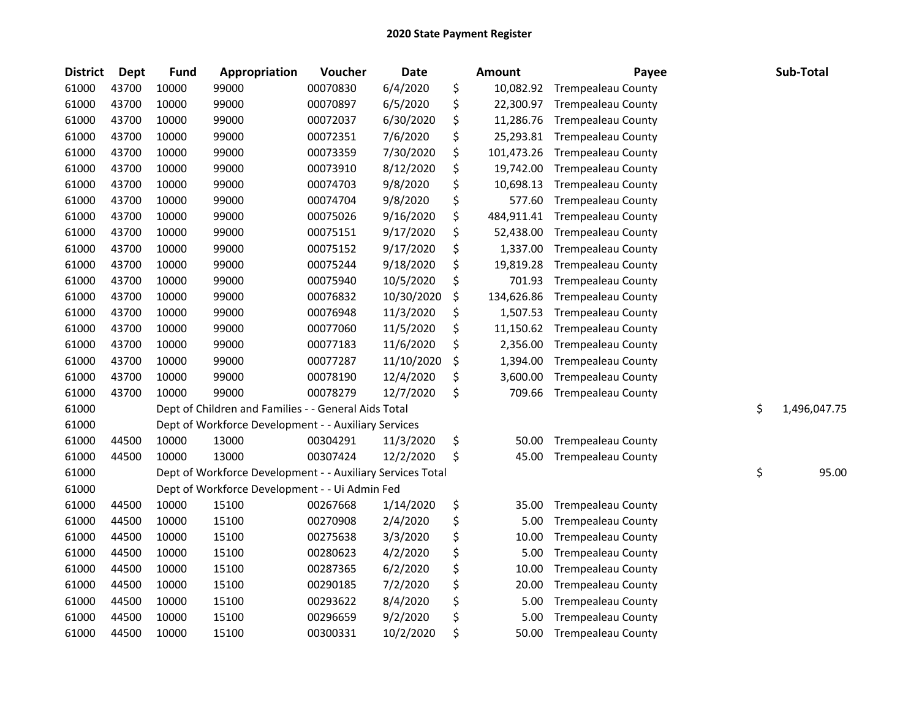| <b>District</b> | <b>Dept</b> | <b>Fund</b> | Appropriation                                              | Voucher  | <b>Date</b> | Amount           | Payee                     | Sub-Total          |
|-----------------|-------------|-------------|------------------------------------------------------------|----------|-------------|------------------|---------------------------|--------------------|
| 61000           | 43700       | 10000       | 99000                                                      | 00070830 | 6/4/2020    | \$<br>10,082.92  | <b>Trempealeau County</b> |                    |
| 61000           | 43700       | 10000       | 99000                                                      | 00070897 | 6/5/2020    | \$<br>22,300.97  | <b>Trempealeau County</b> |                    |
| 61000           | 43700       | 10000       | 99000                                                      | 00072037 | 6/30/2020   | \$<br>11,286.76  | <b>Trempealeau County</b> |                    |
| 61000           | 43700       | 10000       | 99000                                                      | 00072351 | 7/6/2020    | \$<br>25,293.81  | <b>Trempealeau County</b> |                    |
| 61000           | 43700       | 10000       | 99000                                                      | 00073359 | 7/30/2020   | \$<br>101,473.26 | <b>Trempealeau County</b> |                    |
| 61000           | 43700       | 10000       | 99000                                                      | 00073910 | 8/12/2020   | \$<br>19,742.00  | <b>Trempealeau County</b> |                    |
| 61000           | 43700       | 10000       | 99000                                                      | 00074703 | 9/8/2020    | \$<br>10,698.13  | <b>Trempealeau County</b> |                    |
| 61000           | 43700       | 10000       | 99000                                                      | 00074704 | 9/8/2020    | \$<br>577.60     | <b>Trempealeau County</b> |                    |
| 61000           | 43700       | 10000       | 99000                                                      | 00075026 | 9/16/2020   | \$<br>484,911.41 | <b>Trempealeau County</b> |                    |
| 61000           | 43700       | 10000       | 99000                                                      | 00075151 | 9/17/2020   | \$<br>52,438.00  | <b>Trempealeau County</b> |                    |
| 61000           | 43700       | 10000       | 99000                                                      | 00075152 | 9/17/2020   | \$<br>1,337.00   | <b>Trempealeau County</b> |                    |
| 61000           | 43700       | 10000       | 99000                                                      | 00075244 | 9/18/2020   | \$<br>19,819.28  | <b>Trempealeau County</b> |                    |
| 61000           | 43700       | 10000       | 99000                                                      | 00075940 | 10/5/2020   | \$<br>701.93     | <b>Trempealeau County</b> |                    |
| 61000           | 43700       | 10000       | 99000                                                      | 00076832 | 10/30/2020  | \$<br>134,626.86 | <b>Trempealeau County</b> |                    |
| 61000           | 43700       | 10000       | 99000                                                      | 00076948 | 11/3/2020   | \$<br>1,507.53   | <b>Trempealeau County</b> |                    |
| 61000           | 43700       | 10000       | 99000                                                      | 00077060 | 11/5/2020   | \$<br>11,150.62  | <b>Trempealeau County</b> |                    |
| 61000           | 43700       | 10000       | 99000                                                      | 00077183 | 11/6/2020   | \$<br>2,356.00   | <b>Trempealeau County</b> |                    |
| 61000           | 43700       | 10000       | 99000                                                      | 00077287 | 11/10/2020  | \$<br>1,394.00   | <b>Trempealeau County</b> |                    |
| 61000           | 43700       | 10000       | 99000                                                      | 00078190 | 12/4/2020   | \$<br>3,600.00   | <b>Trempealeau County</b> |                    |
| 61000           | 43700       | 10000       | 99000                                                      | 00078279 | 12/7/2020   | \$<br>709.66     | <b>Trempealeau County</b> |                    |
| 61000           |             |             | Dept of Children and Families - - General Aids Total       |          |             |                  |                           | \$<br>1,496,047.75 |
| 61000           |             |             | Dept of Workforce Development - - Auxiliary Services       |          |             |                  |                           |                    |
| 61000           | 44500       | 10000       | 13000                                                      | 00304291 | 11/3/2020   | \$<br>50.00      | <b>Trempealeau County</b> |                    |
| 61000           | 44500       | 10000       | 13000                                                      | 00307424 | 12/2/2020   | \$<br>45.00      | <b>Trempealeau County</b> |                    |
| 61000           |             |             | Dept of Workforce Development - - Auxiliary Services Total |          |             |                  |                           | \$<br>95.00        |
| 61000           |             |             | Dept of Workforce Development - - Ui Admin Fed             |          |             |                  |                           |                    |
| 61000           | 44500       | 10000       | 15100                                                      | 00267668 | 1/14/2020   | \$<br>35.00      | <b>Trempealeau County</b> |                    |
| 61000           | 44500       | 10000       | 15100                                                      | 00270908 | 2/4/2020    | \$<br>5.00       | <b>Trempealeau County</b> |                    |
| 61000           | 44500       | 10000       | 15100                                                      | 00275638 | 3/3/2020    | \$<br>10.00      | <b>Trempealeau County</b> |                    |
| 61000           | 44500       | 10000       | 15100                                                      | 00280623 | 4/2/2020    | \$<br>5.00       | Trempealeau County        |                    |
| 61000           | 44500       | 10000       | 15100                                                      | 00287365 | 6/2/2020    | \$<br>10.00      | <b>Trempealeau County</b> |                    |
| 61000           | 44500       | 10000       | 15100                                                      | 00290185 | 7/2/2020    | \$<br>20.00      | <b>Trempealeau County</b> |                    |
| 61000           | 44500       | 10000       | 15100                                                      | 00293622 | 8/4/2020    | \$<br>5.00       | <b>Trempealeau County</b> |                    |
| 61000           | 44500       | 10000       | 15100                                                      | 00296659 | 9/2/2020    | \$<br>5.00       | <b>Trempealeau County</b> |                    |
| 61000           | 44500       | 10000       | 15100                                                      | 00300331 | 10/2/2020   | \$<br>50.00      | <b>Trempealeau County</b> |                    |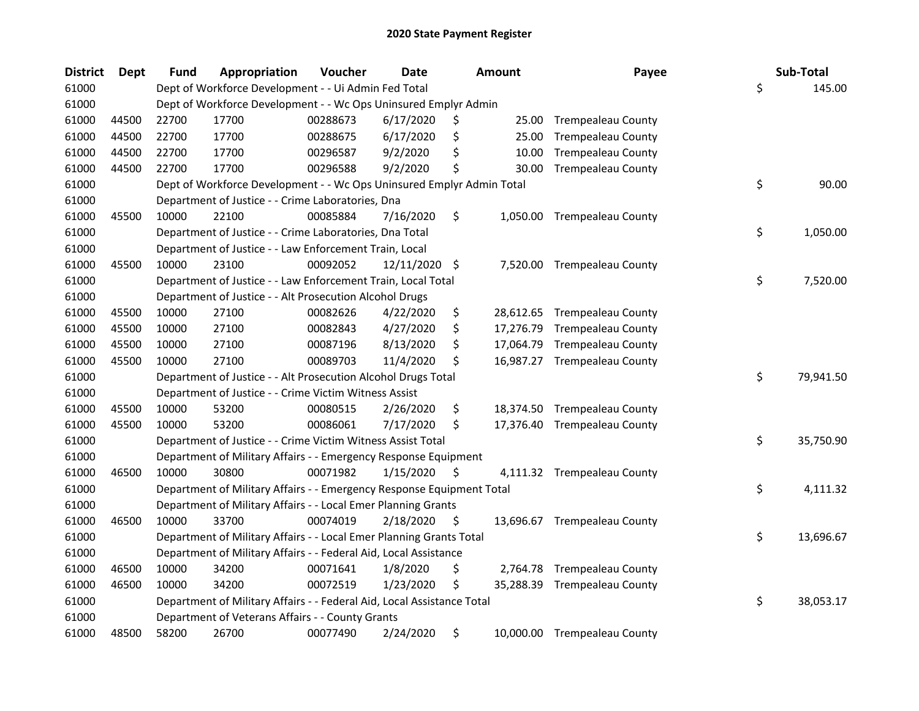| <b>District</b> | Dept  | <b>Fund</b> | Appropriation                                                          | Voucher  | Date          |     | <b>Amount</b> | Payee                        | Sub-Total       |
|-----------------|-------|-------------|------------------------------------------------------------------------|----------|---------------|-----|---------------|------------------------------|-----------------|
| 61000           |       |             | Dept of Workforce Development - - Ui Admin Fed Total                   |          |               |     |               |                              | \$<br>145.00    |
| 61000           |       |             | Dept of Workforce Development - - Wc Ops Uninsured Emplyr Admin        |          |               |     |               |                              |                 |
| 61000           | 44500 | 22700       | 17700                                                                  | 00288673 | 6/17/2020     | \$  | 25.00         | <b>Trempealeau County</b>    |                 |
| 61000           | 44500 | 22700       | 17700                                                                  | 00288675 | 6/17/2020     | \$  | 25.00         | <b>Trempealeau County</b>    |                 |
| 61000           | 44500 | 22700       | 17700                                                                  | 00296587 | 9/2/2020      | \$  | 10.00         | <b>Trempealeau County</b>    |                 |
| 61000           | 44500 | 22700       | 17700                                                                  | 00296588 | 9/2/2020      | Ś   | 30.00         | <b>Trempealeau County</b>    |                 |
| 61000           |       |             | Dept of Workforce Development - - Wc Ops Uninsured Emplyr Admin Total  |          |               |     |               |                              | \$<br>90.00     |
| 61000           |       |             | Department of Justice - - Crime Laboratories, Dna                      |          |               |     |               |                              |                 |
| 61000           | 45500 | 10000       | 22100                                                                  | 00085884 | 7/16/2020     | \$  |               | 1,050.00 Trempealeau County  |                 |
| 61000           |       |             | Department of Justice - - Crime Laboratories, Dna Total                |          |               |     |               |                              | \$<br>1,050.00  |
| 61000           |       |             | Department of Justice - - Law Enforcement Train, Local                 |          |               |     |               |                              |                 |
| 61000           | 45500 | 10000       | 23100                                                                  | 00092052 | 12/11/2020 \$ |     |               | 7,520.00 Trempealeau County  |                 |
| 61000           |       |             | Department of Justice - - Law Enforcement Train, Local Total           |          |               |     |               |                              | \$<br>7,520.00  |
| 61000           |       |             | Department of Justice - - Alt Prosecution Alcohol Drugs                |          |               |     |               |                              |                 |
| 61000           | 45500 | 10000       | 27100                                                                  | 00082626 | 4/22/2020     | \$  |               | 28,612.65 Trempealeau County |                 |
| 61000           | 45500 | 10000       | 27100                                                                  | 00082843 | 4/27/2020     | \$  |               | 17,276.79 Trempealeau County |                 |
| 61000           | 45500 | 10000       | 27100                                                                  | 00087196 | 8/13/2020     | \$  | 17,064.79     | <b>Trempealeau County</b>    |                 |
| 61000           | 45500 | 10000       | 27100                                                                  | 00089703 | 11/4/2020     | \$  |               | 16,987.27 Trempealeau County |                 |
| 61000           |       |             | Department of Justice - - Alt Prosecution Alcohol Drugs Total          |          |               |     |               |                              | \$<br>79,941.50 |
| 61000           |       |             | Department of Justice - - Crime Victim Witness Assist                  |          |               |     |               |                              |                 |
| 61000           | 45500 | 10000       | 53200                                                                  | 00080515 | 2/26/2020     | \$  |               | 18,374.50 Trempealeau County |                 |
| 61000           | 45500 | 10000       | 53200                                                                  | 00086061 | 7/17/2020     | \$  |               | 17,376.40 Trempealeau County |                 |
| 61000           |       |             | Department of Justice - - Crime Victim Witness Assist Total            |          |               |     |               |                              | \$<br>35,750.90 |
| 61000           |       |             | Department of Military Affairs - - Emergency Response Equipment        |          |               |     |               |                              |                 |
| 61000           | 46500 | 10000       | 30800                                                                  | 00071982 | 1/15/2020     | \$. |               | 4,111.32 Trempealeau County  |                 |
| 61000           |       |             | Department of Military Affairs - - Emergency Response Equipment Total  |          |               |     |               |                              | \$<br>4,111.32  |
| 61000           |       |             | Department of Military Affairs - - Local Emer Planning Grants          |          |               |     |               |                              |                 |
| 61000           | 46500 | 10000       | 33700                                                                  | 00074019 | 2/18/2020     | S   |               | 13,696.67 Trempealeau County |                 |
| 61000           |       |             | Department of Military Affairs - - Local Emer Planning Grants Total    |          |               |     |               |                              | \$<br>13,696.67 |
| 61000           |       |             | Department of Military Affairs - - Federal Aid, Local Assistance       |          |               |     |               |                              |                 |
| 61000           | 46500 | 10000       | 34200                                                                  | 00071641 | 1/8/2020      | \$  |               | 2,764.78 Trempealeau County  |                 |
| 61000           | 46500 | 10000       | 34200                                                                  | 00072519 | 1/23/2020     | \$  |               | 35,288.39 Trempealeau County |                 |
| 61000           |       |             | Department of Military Affairs - - Federal Aid, Local Assistance Total |          |               |     |               |                              | \$<br>38,053.17 |
| 61000           |       |             | Department of Veterans Affairs - - County Grants                       |          |               |     |               |                              |                 |
| 61000           | 48500 | 58200       | 26700                                                                  | 00077490 | 2/24/2020     | \$  |               | 10,000.00 Trempealeau County |                 |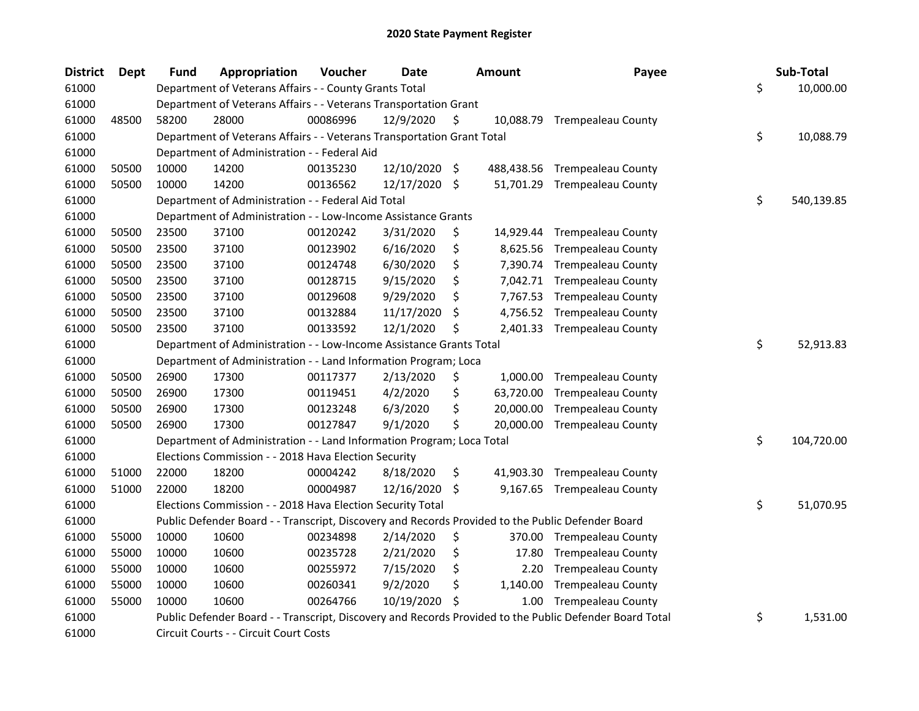| <b>District</b> | <b>Dept</b> | <b>Fund</b> | Appropriation                                                          | Voucher  | <b>Date</b>   |    | Amount    | Payee                                                                                                   | Sub-Total        |
|-----------------|-------------|-------------|------------------------------------------------------------------------|----------|---------------|----|-----------|---------------------------------------------------------------------------------------------------------|------------------|
| 61000           |             |             | Department of Veterans Affairs - - County Grants Total                 |          |               |    |           |                                                                                                         | \$<br>10,000.00  |
| 61000           |             |             | Department of Veterans Affairs - - Veterans Transportation Grant       |          |               |    |           |                                                                                                         |                  |
| 61000           | 48500       | 58200       | 28000                                                                  | 00086996 | 12/9/2020     | \$ |           | 10,088.79 Trempealeau County                                                                            |                  |
| 61000           |             |             | Department of Veterans Affairs - - Veterans Transportation Grant Total |          |               |    |           |                                                                                                         | \$<br>10,088.79  |
| 61000           |             |             | Department of Administration - - Federal Aid                           |          |               |    |           |                                                                                                         |                  |
| 61000           | 50500       | 10000       | 14200                                                                  | 00135230 | 12/10/2020 \$ |    |           | 488,438.56 Trempealeau County                                                                           |                  |
| 61000           | 50500       | 10000       | 14200                                                                  | 00136562 | 12/17/2020    | \$ |           | 51,701.29 Trempealeau County                                                                            |                  |
| 61000           |             |             | Department of Administration - - Federal Aid Total                     |          |               |    |           |                                                                                                         | \$<br>540,139.85 |
| 61000           |             |             | Department of Administration - - Low-Income Assistance Grants          |          |               |    |           |                                                                                                         |                  |
| 61000           | 50500       | 23500       | 37100                                                                  | 00120242 | 3/31/2020     | \$ |           | 14,929.44 Trempealeau County                                                                            |                  |
| 61000           | 50500       | 23500       | 37100                                                                  | 00123902 | 6/16/2020     | \$ | 8,625.56  | <b>Trempealeau County</b>                                                                               |                  |
| 61000           | 50500       | 23500       | 37100                                                                  | 00124748 | 6/30/2020     | \$ | 7,390.74  | <b>Trempealeau County</b>                                                                               |                  |
| 61000           | 50500       | 23500       | 37100                                                                  | 00128715 | 9/15/2020     | \$ | 7,042.71  | <b>Trempealeau County</b>                                                                               |                  |
| 61000           | 50500       | 23500       | 37100                                                                  | 00129608 | 9/29/2020     | Ś  | 7,767.53  | <b>Trempealeau County</b>                                                                               |                  |
| 61000           | 50500       | 23500       | 37100                                                                  | 00132884 | 11/17/2020    | \$ | 4,756.52  | <b>Trempealeau County</b>                                                                               |                  |
| 61000           | 50500       | 23500       | 37100                                                                  | 00133592 | 12/1/2020     | Ś  | 2,401.33  | <b>Trempealeau County</b>                                                                               |                  |
| 61000           |             |             | Department of Administration - - Low-Income Assistance Grants Total    |          |               |    |           |                                                                                                         | \$<br>52,913.83  |
| 61000           |             |             | Department of Administration - - Land Information Program; Loca        |          |               |    |           |                                                                                                         |                  |
| 61000           | 50500       | 26900       | 17300                                                                  | 00117377 | 2/13/2020     | \$ | 1,000.00  | <b>Trempealeau County</b>                                                                               |                  |
| 61000           | 50500       | 26900       | 17300                                                                  | 00119451 | 4/2/2020      | \$ | 63,720.00 | <b>Trempealeau County</b>                                                                               |                  |
| 61000           | 50500       | 26900       | 17300                                                                  | 00123248 | 6/3/2020      | \$ | 20,000.00 | <b>Trempealeau County</b>                                                                               |                  |
| 61000           | 50500       | 26900       | 17300                                                                  | 00127847 | 9/1/2020      | \$ | 20,000.00 | <b>Trempealeau County</b>                                                                               |                  |
| 61000           |             |             | Department of Administration - - Land Information Program; Loca Total  |          |               |    |           |                                                                                                         | \$<br>104,720.00 |
| 61000           |             |             | Elections Commission - - 2018 Hava Election Security                   |          |               |    |           |                                                                                                         |                  |
| 61000           | 51000       | 22000       | 18200                                                                  | 00004242 | 8/18/2020     | \$ | 41,903.30 | <b>Trempealeau County</b>                                                                               |                  |
| 61000           | 51000       | 22000       | 18200                                                                  | 00004987 | 12/16/2020    | \$ |           | 9,167.65 Trempealeau County                                                                             |                  |
| 61000           |             |             | Elections Commission - - 2018 Hava Election Security Total             |          |               |    |           |                                                                                                         | \$<br>51,070.95  |
| 61000           |             |             |                                                                        |          |               |    |           | Public Defender Board - - Transcript, Discovery and Records Provided to the Public Defender Board       |                  |
| 61000           | 55000       | 10000       | 10600                                                                  | 00234898 | 2/14/2020     | \$ |           | 370.00 Trempealeau County                                                                               |                  |
| 61000           | 55000       | 10000       | 10600                                                                  | 00235728 | 2/21/2020     | \$ | 17.80     | <b>Trempealeau County</b>                                                                               |                  |
| 61000           | 55000       | 10000       | 10600                                                                  | 00255972 | 7/15/2020     | \$ | 2.20      | <b>Trempealeau County</b>                                                                               |                  |
| 61000           | 55000       | 10000       | 10600                                                                  | 00260341 | 9/2/2020      | \$ | 1,140.00  | <b>Trempealeau County</b>                                                                               |                  |
| 61000           | 55000       | 10000       | 10600                                                                  | 00264766 | 10/19/2020    | \$ | 1.00      | <b>Trempealeau County</b>                                                                               |                  |
| 61000           |             |             |                                                                        |          |               |    |           | Public Defender Board - - Transcript, Discovery and Records Provided to the Public Defender Board Total | \$<br>1,531.00   |
| 61000           |             |             | Circuit Courts - - Circuit Court Costs                                 |          |               |    |           |                                                                                                         |                  |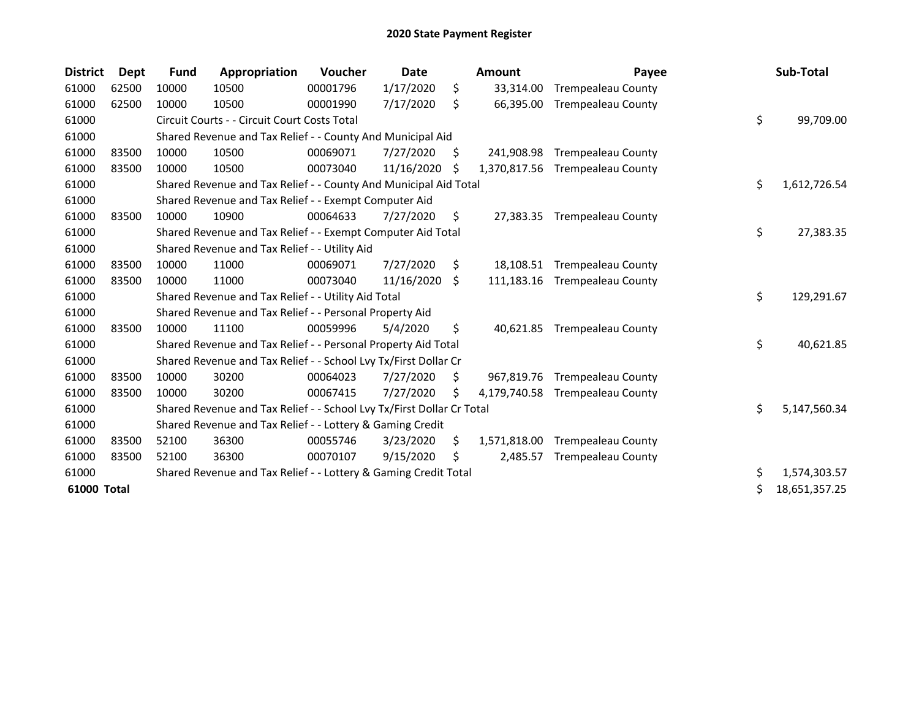| <b>District</b> | Dept  | <b>Fund</b> | Appropriation                                                         | Voucher  | Date       |     | <b>Amount</b> | Payee                     | Sub-Total           |
|-----------------|-------|-------------|-----------------------------------------------------------------------|----------|------------|-----|---------------|---------------------------|---------------------|
| 61000           | 62500 | 10000       | 10500                                                                 | 00001796 | 1/17/2020  | \$  | 33,314.00     | <b>Trempealeau County</b> |                     |
| 61000           | 62500 | 10000       | 10500                                                                 | 00001990 | 7/17/2020  | \$  | 66,395.00     | <b>Trempealeau County</b> |                     |
| 61000           |       |             | Circuit Courts - - Circuit Court Costs Total                          |          |            |     |               |                           | \$<br>99,709.00     |
| 61000           |       |             | Shared Revenue and Tax Relief - - County And Municipal Aid            |          |            |     |               |                           |                     |
| 61000           | 83500 | 10000       | 10500                                                                 | 00069071 | 7/27/2020  | S.  | 241,908.98    | <b>Trempealeau County</b> |                     |
| 61000           | 83500 | 10000       | 10500                                                                 | 00073040 | 11/16/2020 | .S  | 1,370,817.56  | <b>Trempealeau County</b> |                     |
| 61000           |       |             | Shared Revenue and Tax Relief - - County And Municipal Aid Total      |          |            |     |               |                           | \$<br>1,612,726.54  |
| 61000           |       |             | Shared Revenue and Tax Relief - - Exempt Computer Aid                 |          |            |     |               |                           |                     |
| 61000           | 83500 | 10000       | 10900                                                                 | 00064633 | 7/27/2020  | \$. | 27,383.35     | <b>Trempealeau County</b> |                     |
| 61000           |       |             | Shared Revenue and Tax Relief - - Exempt Computer Aid Total           |          |            |     |               |                           | \$<br>27,383.35     |
| 61000           |       |             | Shared Revenue and Tax Relief - - Utility Aid                         |          |            |     |               |                           |                     |
| 61000           | 83500 | 10000       | 11000                                                                 | 00069071 | 7/27/2020  | \$  | 18,108.51     | <b>Trempealeau County</b> |                     |
| 61000           | 83500 | 10000       | 11000                                                                 | 00073040 | 11/16/2020 | Ŝ.  | 111,183.16    | <b>Trempealeau County</b> |                     |
| 61000           |       |             | Shared Revenue and Tax Relief - - Utility Aid Total                   |          |            |     |               |                           | \$<br>129,291.67    |
| 61000           |       |             | Shared Revenue and Tax Relief - - Personal Property Aid               |          |            |     |               |                           |                     |
| 61000           | 83500 | 10000       | 11100                                                                 | 00059996 | 5/4/2020   | \$  | 40,621.85     | <b>Trempealeau County</b> |                     |
| 61000           |       |             | Shared Revenue and Tax Relief - - Personal Property Aid Total         |          |            |     |               |                           | \$<br>40,621.85     |
| 61000           |       |             | Shared Revenue and Tax Relief - - School Lvy Tx/First Dollar Cr       |          |            |     |               |                           |                     |
| 61000           | 83500 | 10000       | 30200                                                                 | 00064023 | 7/27/2020  | \$. | 967,819.76    | <b>Trempealeau County</b> |                     |
| 61000           | 83500 | 10000       | 30200                                                                 | 00067415 | 7/27/2020  | S   | 4,179,740.58  | <b>Trempealeau County</b> |                     |
| 61000           |       |             | Shared Revenue and Tax Relief - - School Lvy Tx/First Dollar Cr Total |          |            |     |               |                           | \$<br>5,147,560.34  |
| 61000           |       |             | Shared Revenue and Tax Relief - - Lottery & Gaming Credit             |          |            |     |               |                           |                     |
| 61000           | 83500 | 52100       | 36300                                                                 | 00055746 | 3/23/2020  | S   | 1,571,818.00  | <b>Trempealeau County</b> |                     |
| 61000           | 83500 | 52100       | 36300                                                                 | 00070107 | 9/15/2020  | \$  | 2,485.57      | <b>Trempealeau County</b> |                     |
| 61000           |       |             | Shared Revenue and Tax Relief - - Lottery & Gaming Credit Total       |          |            |     |               |                           | \$<br>1,574,303.57  |
| 61000 Total     |       |             |                                                                       |          |            |     |               |                           | \$<br>18,651,357.25 |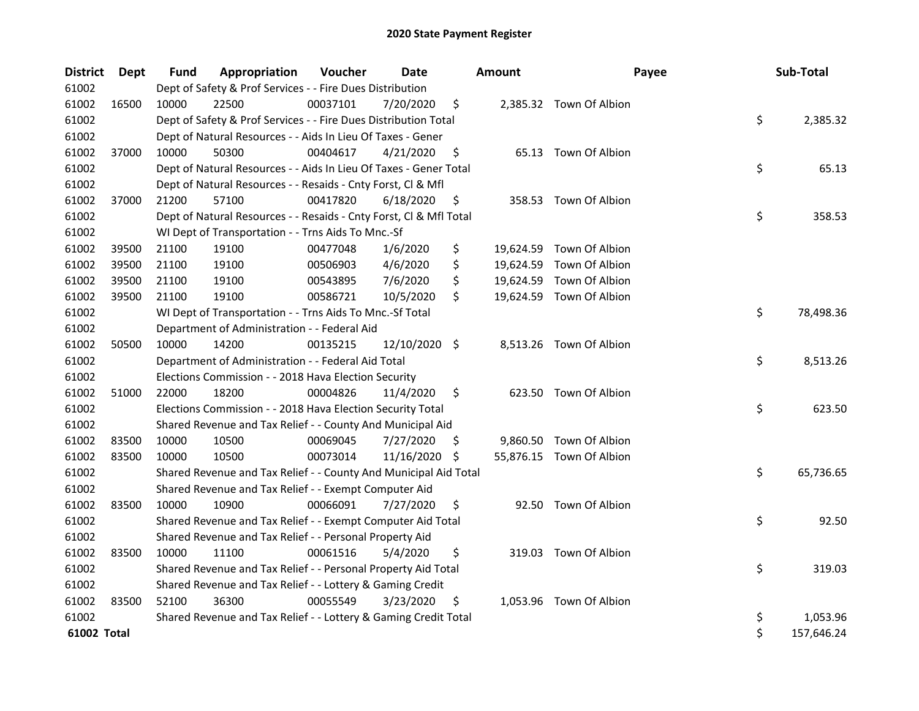| <b>District</b> | Dept  | <b>Fund</b> | Appropriation                                                      | Voucher  | Date          |     | <b>Amount</b> | Payee                    | Sub-Total        |
|-----------------|-------|-------------|--------------------------------------------------------------------|----------|---------------|-----|---------------|--------------------------|------------------|
| 61002           |       |             | Dept of Safety & Prof Services - - Fire Dues Distribution          |          |               |     |               |                          |                  |
| 61002           | 16500 | 10000       | 22500                                                              | 00037101 | 7/20/2020     | \$  |               | 2,385.32 Town Of Albion  |                  |
| 61002           |       |             | Dept of Safety & Prof Services - - Fire Dues Distribution Total    |          |               |     |               |                          | \$<br>2,385.32   |
| 61002           |       |             | Dept of Natural Resources - - Aids In Lieu Of Taxes - Gener        |          |               |     |               |                          |                  |
| 61002           | 37000 | 10000       | 50300                                                              | 00404617 | 4/21/2020     | \$  |               | 65.13 Town Of Albion     |                  |
| 61002           |       |             | Dept of Natural Resources - - Aids In Lieu Of Taxes - Gener Total  |          |               |     |               |                          | \$<br>65.13      |
| 61002           |       |             | Dept of Natural Resources - - Resaids - Cnty Forst, Cl & Mfl       |          |               |     |               |                          |                  |
| 61002           | 37000 | 21200       | 57100                                                              | 00417820 | 6/18/2020     | \$  |               | 358.53 Town Of Albion    |                  |
| 61002           |       |             | Dept of Natural Resources - - Resaids - Cnty Forst, Cl & Mfl Total |          |               |     |               |                          | \$<br>358.53     |
| 61002           |       |             | WI Dept of Transportation - - Trns Aids To Mnc.-Sf                 |          |               |     |               |                          |                  |
| 61002           | 39500 | 21100       | 19100                                                              | 00477048 | 1/6/2020      | \$  |               | 19,624.59 Town Of Albion |                  |
| 61002           | 39500 | 21100       | 19100                                                              | 00506903 | 4/6/2020      | \$  |               | 19,624.59 Town Of Albion |                  |
| 61002           | 39500 | 21100       | 19100                                                              | 00543895 | 7/6/2020      | \$  |               | 19,624.59 Town Of Albion |                  |
| 61002           | 39500 | 21100       | 19100                                                              | 00586721 | 10/5/2020     | \$  |               | 19,624.59 Town Of Albion |                  |
| 61002           |       |             | WI Dept of Transportation - - Trns Aids To Mnc.-Sf Total           |          |               |     |               |                          | \$<br>78,498.36  |
| 61002           |       |             | Department of Administration - - Federal Aid                       |          |               |     |               |                          |                  |
| 61002           | 50500 | 10000       | 14200                                                              | 00135215 | 12/10/2020 \$ |     |               | 8,513.26 Town Of Albion  |                  |
| 61002           |       |             | Department of Administration - - Federal Aid Total                 |          |               |     |               |                          | \$<br>8,513.26   |
| 61002           |       |             | Elections Commission - - 2018 Hava Election Security               |          |               |     |               |                          |                  |
| 61002           | 51000 | 22000       | 18200                                                              | 00004826 | 11/4/2020     | \$  |               | 623.50 Town Of Albion    |                  |
| 61002           |       |             | Elections Commission - - 2018 Hava Election Security Total         |          |               |     |               |                          | \$<br>623.50     |
| 61002           |       |             | Shared Revenue and Tax Relief - - County And Municipal Aid         |          |               |     |               |                          |                  |
| 61002           | 83500 | 10000       | 10500                                                              | 00069045 | 7/27/2020     | \$. |               | 9,860.50 Town Of Albion  |                  |
| 61002           | 83500 | 10000       | 10500                                                              | 00073014 | 11/16/2020 \$ |     |               | 55,876.15 Town Of Albion |                  |
| 61002           |       |             | Shared Revenue and Tax Relief - - County And Municipal Aid Total   |          |               |     |               |                          | \$<br>65,736.65  |
| 61002           |       |             | Shared Revenue and Tax Relief - - Exempt Computer Aid              |          |               |     |               |                          |                  |
| 61002           | 83500 | 10000       | 10900                                                              | 00066091 | 7/27/2020     | \$  |               | 92.50 Town Of Albion     |                  |
| 61002           |       |             | Shared Revenue and Tax Relief - - Exempt Computer Aid Total        |          |               |     |               |                          | \$<br>92.50      |
| 61002           |       |             | Shared Revenue and Tax Relief - - Personal Property Aid            |          |               |     |               |                          |                  |
| 61002           | 83500 | 10000       | 11100                                                              | 00061516 | 5/4/2020      | \$  |               | 319.03 Town Of Albion    |                  |
| 61002           |       |             | Shared Revenue and Tax Relief - - Personal Property Aid Total      |          |               |     |               |                          | \$<br>319.03     |
| 61002           |       |             | Shared Revenue and Tax Relief - - Lottery & Gaming Credit          |          |               |     |               |                          |                  |
| 61002           | 83500 | 52100       | 36300                                                              | 00055549 | 3/23/2020     | \$  |               | 1,053.96 Town Of Albion  |                  |
| 61002           |       |             | Shared Revenue and Tax Relief - - Lottery & Gaming Credit Total    |          |               |     |               |                          | \$<br>1,053.96   |
| 61002 Total     |       |             |                                                                    |          |               |     |               |                          | \$<br>157,646.24 |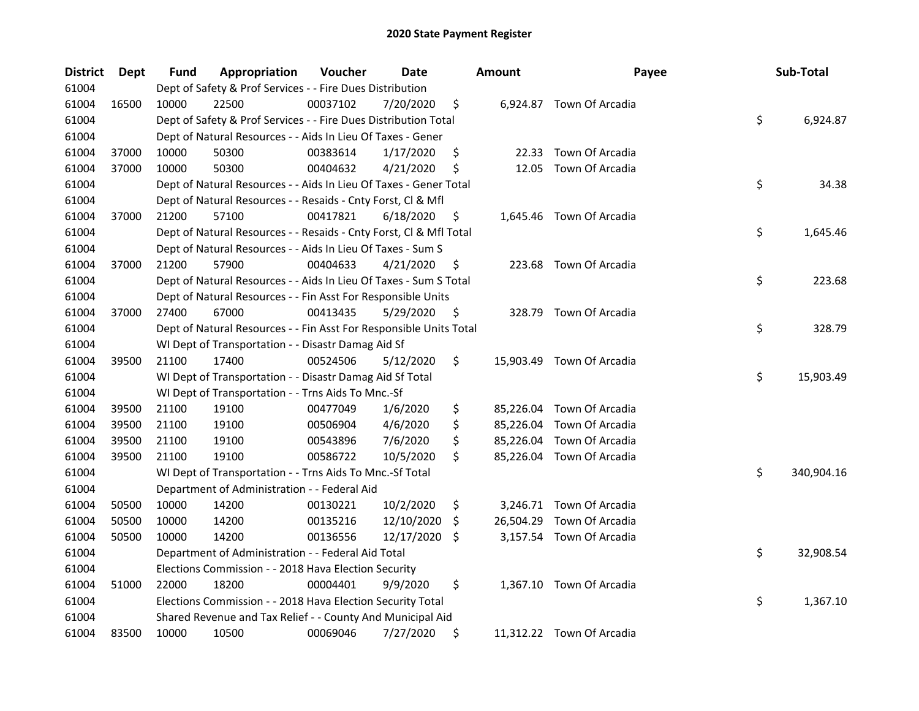| <b>District</b> | Dept  | Fund  | Appropriation                                                      | Voucher  | Date       |     | <b>Amount</b> | Payee                     | Sub-Total        |
|-----------------|-------|-------|--------------------------------------------------------------------|----------|------------|-----|---------------|---------------------------|------------------|
| 61004           |       |       | Dept of Safety & Prof Services - - Fire Dues Distribution          |          |            |     |               |                           |                  |
| 61004           | 16500 | 10000 | 22500                                                              | 00037102 | 7/20/2020  | \$  |               | 6,924.87 Town Of Arcadia  |                  |
| 61004           |       |       | Dept of Safety & Prof Services - - Fire Dues Distribution Total    |          |            |     |               |                           | \$<br>6,924.87   |
| 61004           |       |       | Dept of Natural Resources - - Aids In Lieu Of Taxes - Gener        |          |            |     |               |                           |                  |
| 61004           | 37000 | 10000 | 50300                                                              | 00383614 | 1/17/2020  | \$  |               | 22.33 Town Of Arcadia     |                  |
| 61004           | 37000 | 10000 | 50300                                                              | 00404632 | 4/21/2020  | \$  | 12.05         | Town Of Arcadia           |                  |
| 61004           |       |       | Dept of Natural Resources - - Aids In Lieu Of Taxes - Gener Total  |          |            |     |               |                           | \$<br>34.38      |
| 61004           |       |       | Dept of Natural Resources - - Resaids - Cnty Forst, Cl & Mfl       |          |            |     |               |                           |                  |
| 61004           | 37000 | 21200 | 57100                                                              | 00417821 | 6/18/2020  | \$  |               | 1,645.46 Town Of Arcadia  |                  |
| 61004           |       |       | Dept of Natural Resources - - Resaids - Cnty Forst, Cl & Mfl Total |          |            |     |               |                           | \$<br>1,645.46   |
| 61004           |       |       | Dept of Natural Resources - - Aids In Lieu Of Taxes - Sum S        |          |            |     |               |                           |                  |
| 61004           | 37000 | 21200 | 57900                                                              | 00404633 | 4/21/2020  | \$  |               | 223.68 Town Of Arcadia    |                  |
| 61004           |       |       | Dept of Natural Resources - - Aids In Lieu Of Taxes - Sum S Total  |          |            |     |               |                           | \$<br>223.68     |
| 61004           |       |       | Dept of Natural Resources - - Fin Asst For Responsible Units       |          |            |     |               |                           |                  |
| 61004           | 37000 | 27400 | 67000                                                              | 00413435 | 5/29/2020  | \$  |               | 328.79 Town Of Arcadia    |                  |
| 61004           |       |       | Dept of Natural Resources - - Fin Asst For Responsible Units Total |          |            |     |               |                           | \$<br>328.79     |
| 61004           |       |       | WI Dept of Transportation - - Disastr Damag Aid Sf                 |          |            |     |               |                           |                  |
| 61004           | 39500 | 21100 | 17400                                                              | 00524506 | 5/12/2020  | \$  |               | 15,903.49 Town Of Arcadia |                  |
| 61004           |       |       | WI Dept of Transportation - - Disastr Damag Aid Sf Total           |          |            |     |               |                           | \$<br>15,903.49  |
| 61004           |       |       | WI Dept of Transportation - - Trns Aids To Mnc.-Sf                 |          |            |     |               |                           |                  |
| 61004           | 39500 | 21100 | 19100                                                              | 00477049 | 1/6/2020   | \$  |               | 85,226.04 Town Of Arcadia |                  |
| 61004           | 39500 | 21100 | 19100                                                              | 00506904 | 4/6/2020   | \$  |               | 85,226.04 Town Of Arcadia |                  |
| 61004           | 39500 | 21100 | 19100                                                              | 00543896 | 7/6/2020   | \$  |               | 85,226.04 Town Of Arcadia |                  |
| 61004           | 39500 | 21100 | 19100                                                              | 00586722 | 10/5/2020  | \$  |               | 85,226.04 Town Of Arcadia |                  |
| 61004           |       |       | WI Dept of Transportation - - Trns Aids To Mnc.-Sf Total           |          |            |     |               |                           | \$<br>340,904.16 |
| 61004           |       |       | Department of Administration - - Federal Aid                       |          |            |     |               |                           |                  |
| 61004           | 50500 | 10000 | 14200                                                              | 00130221 | 10/2/2020  | \$  |               | 3,246.71 Town Of Arcadia  |                  |
| 61004           | 50500 | 10000 | 14200                                                              | 00135216 | 12/10/2020 | \$. | 26,504.29     | Town Of Arcadia           |                  |
| 61004           | 50500 | 10000 | 14200                                                              | 00136556 | 12/17/2020 | \$. |               | 3,157.54 Town Of Arcadia  |                  |
| 61004           |       |       | Department of Administration - - Federal Aid Total                 |          |            |     |               |                           | \$<br>32,908.54  |
| 61004           |       |       | Elections Commission - - 2018 Hava Election Security               |          |            |     |               |                           |                  |
| 61004           | 51000 | 22000 | 18200                                                              | 00004401 | 9/9/2020   | \$  |               | 1,367.10 Town Of Arcadia  |                  |
| 61004           |       |       | Elections Commission - - 2018 Hava Election Security Total         |          |            |     |               |                           | \$<br>1,367.10   |
| 61004           |       |       | Shared Revenue and Tax Relief - - County And Municipal Aid         |          |            |     |               |                           |                  |
| 61004           | 83500 | 10000 | 10500                                                              | 00069046 | 7/27/2020  | \$  |               | 11,312.22 Town Of Arcadia |                  |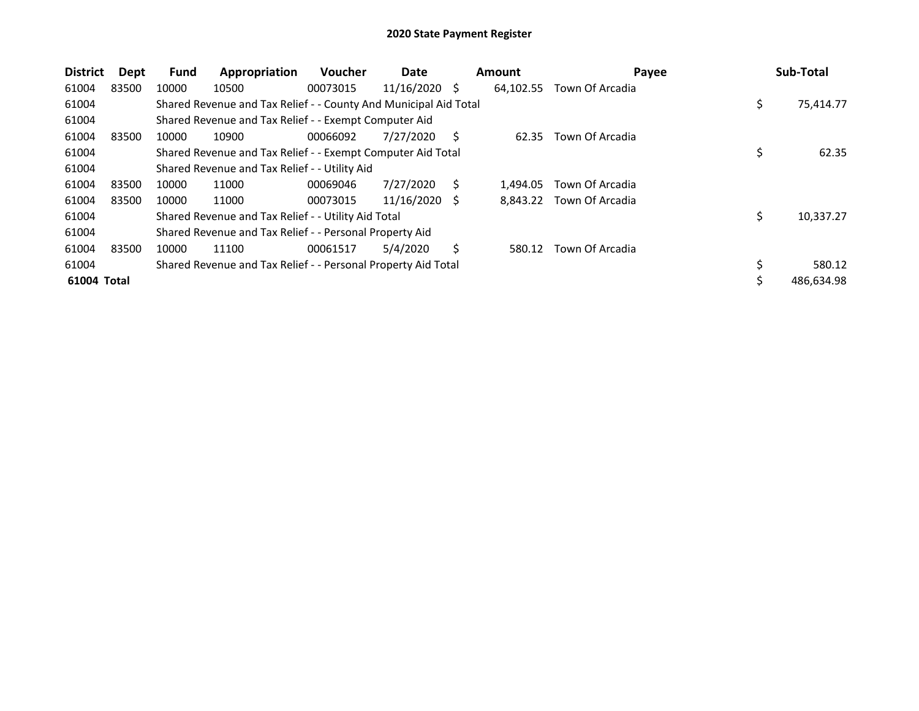| <b>District</b> | Dept  | <b>Fund</b> | Appropriation                                                    | <b>Voucher</b> | Date            |              | <b>Amount</b> | Payee           | Sub-Total        |
|-----------------|-------|-------------|------------------------------------------------------------------|----------------|-----------------|--------------|---------------|-----------------|------------------|
| 61004           | 83500 | 10000       | 10500                                                            | 00073015       | $11/16/2020$ \$ |              | 64,102.55     | Town Of Arcadia |                  |
| 61004           |       |             | Shared Revenue and Tax Relief - - County And Municipal Aid Total |                |                 |              |               |                 | \$<br>75,414.77  |
| 61004           |       |             | Shared Revenue and Tax Relief - - Exempt Computer Aid            |                |                 |              |               |                 |                  |
| 61004           | 83500 | 10000       | 10900                                                            | 00066092       | 7/27/2020       | S            | 62.35         | Town Of Arcadia |                  |
| 61004           |       |             | Shared Revenue and Tax Relief - - Exempt Computer Aid Total      |                |                 |              |               |                 | \$<br>62.35      |
| 61004           |       |             | Shared Revenue and Tax Relief - - Utility Aid                    |                |                 |              |               |                 |                  |
| 61004           | 83500 | 10000       | 11000                                                            | 00069046       | 7/27/2020       | S            | 1.494.05      | Town Of Arcadia |                  |
| 61004           | 83500 | 10000       | 11000                                                            | 00073015       | 11/16/2020      | <sup>S</sup> | 8,843.22      | Town Of Arcadia |                  |
| 61004           |       |             | Shared Revenue and Tax Relief - - Utility Aid Total              |                |                 |              |               |                 | \$<br>10,337.27  |
| 61004           |       |             | Shared Revenue and Tax Relief - - Personal Property Aid          |                |                 |              |               |                 |                  |
| 61004           | 83500 | 10000       | 11100                                                            | 00061517       | 5/4/2020        | Ś.           | 580.12        | Town Of Arcadia |                  |
| 61004           |       |             | Shared Revenue and Tax Relief - - Personal Property Aid Total    |                |                 |              |               |                 | \$<br>580.12     |
| 61004 Total     |       |             |                                                                  |                |                 |              |               |                 | \$<br>486,634.98 |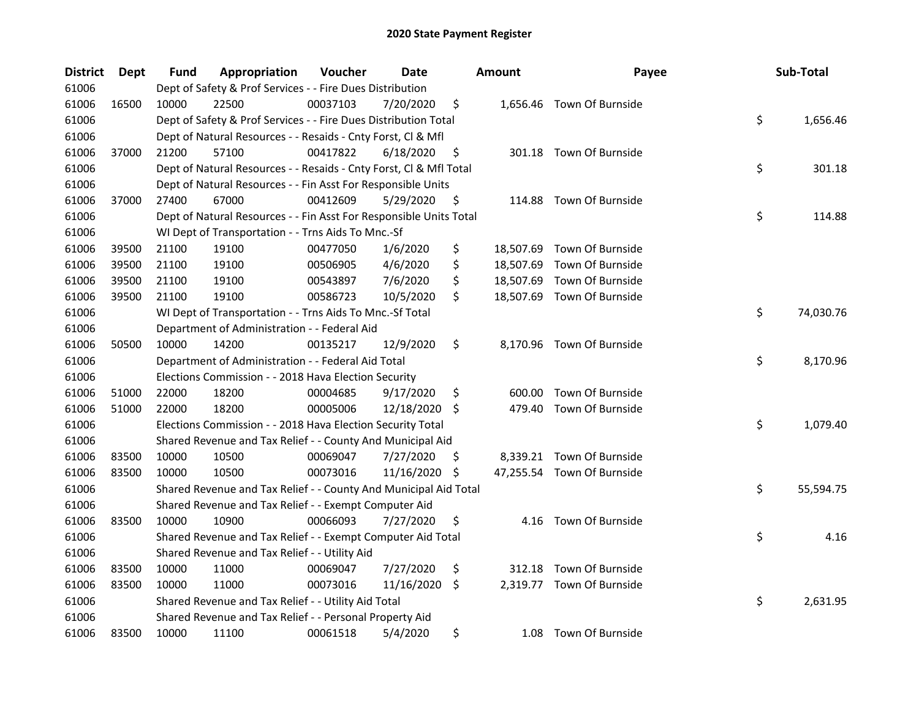| <b>District</b> | Dept  | Fund  | Appropriation                                                      | Voucher  | Date          |     | <b>Amount</b> | Payee                      | Sub-Total       |
|-----------------|-------|-------|--------------------------------------------------------------------|----------|---------------|-----|---------------|----------------------------|-----------------|
| 61006           |       |       | Dept of Safety & Prof Services - - Fire Dues Distribution          |          |               |     |               |                            |                 |
| 61006           | 16500 | 10000 | 22500                                                              | 00037103 | 7/20/2020     | \$  |               | 1,656.46 Town Of Burnside  |                 |
| 61006           |       |       | Dept of Safety & Prof Services - - Fire Dues Distribution Total    |          |               |     |               |                            | \$<br>1,656.46  |
| 61006           |       |       | Dept of Natural Resources - - Resaids - Cnty Forst, Cl & Mfl       |          |               |     |               |                            |                 |
| 61006           | 37000 | 21200 | 57100                                                              | 00417822 | 6/18/2020     | \$  |               | 301.18 Town Of Burnside    |                 |
| 61006           |       |       | Dept of Natural Resources - - Resaids - Cnty Forst, CI & Mfl Total |          |               |     |               |                            | \$<br>301.18    |
| 61006           |       |       | Dept of Natural Resources - - Fin Asst For Responsible Units       |          |               |     |               |                            |                 |
| 61006           | 37000 | 27400 | 67000                                                              | 00412609 | 5/29/2020     | \$  |               | 114.88 Town Of Burnside    |                 |
| 61006           |       |       | Dept of Natural Resources - - Fin Asst For Responsible Units Total |          |               |     |               |                            | \$<br>114.88    |
| 61006           |       |       | WI Dept of Transportation - - Trns Aids To Mnc.-Sf                 |          |               |     |               |                            |                 |
| 61006           | 39500 | 21100 | 19100                                                              | 00477050 | 1/6/2020      | \$  |               | 18,507.69 Town Of Burnside |                 |
| 61006           | 39500 | 21100 | 19100                                                              | 00506905 | 4/6/2020      | \$  |               | 18,507.69 Town Of Burnside |                 |
| 61006           | 39500 | 21100 | 19100                                                              | 00543897 | 7/6/2020      | \$  |               | 18,507.69 Town Of Burnside |                 |
| 61006           | 39500 | 21100 | 19100                                                              | 00586723 | 10/5/2020     | \$  |               | 18,507.69 Town Of Burnside |                 |
| 61006           |       |       | WI Dept of Transportation - - Trns Aids To Mnc.-Sf Total           |          |               |     |               |                            | \$<br>74,030.76 |
| 61006           |       |       | Department of Administration - - Federal Aid                       |          |               |     |               |                            |                 |
| 61006           | 50500 | 10000 | 14200                                                              | 00135217 | 12/9/2020     | \$  |               | 8,170.96 Town Of Burnside  |                 |
| 61006           |       |       | Department of Administration - - Federal Aid Total                 |          |               |     |               |                            | \$<br>8,170.96  |
| 61006           |       |       | Elections Commission - - 2018 Hava Election Security               |          |               |     |               |                            |                 |
| 61006           | 51000 | 22000 | 18200                                                              | 00004685 | 9/17/2020     | \$  | 600.00        | Town Of Burnside           |                 |
| 61006           | 51000 | 22000 | 18200                                                              | 00005006 | 12/18/2020 \$ |     | 479.40        | Town Of Burnside           |                 |
| 61006           |       |       | Elections Commission - - 2018 Hava Election Security Total         |          |               |     |               |                            | \$<br>1,079.40  |
| 61006           |       |       | Shared Revenue and Tax Relief - - County And Municipal Aid         |          |               |     |               |                            |                 |
| 61006           | 83500 | 10000 | 10500                                                              | 00069047 | 7/27/2020     | \$. |               | 8,339.21 Town Of Burnside  |                 |
| 61006           | 83500 | 10000 | 10500                                                              | 00073016 | 11/16/2020    | \$  |               | 47,255.54 Town Of Burnside |                 |
| 61006           |       |       | Shared Revenue and Tax Relief - - County And Municipal Aid Total   |          |               |     |               |                            | \$<br>55,594.75 |
| 61006           |       |       | Shared Revenue and Tax Relief - - Exempt Computer Aid              |          |               |     |               |                            |                 |
| 61006           | 83500 | 10000 | 10900                                                              | 00066093 | 7/27/2020     | \$  |               | 4.16 Town Of Burnside      |                 |
| 61006           |       |       | Shared Revenue and Tax Relief - - Exempt Computer Aid Total        |          |               |     |               |                            | \$<br>4.16      |
| 61006           |       |       | Shared Revenue and Tax Relief - - Utility Aid                      |          |               |     |               |                            |                 |
| 61006           | 83500 | 10000 | 11000                                                              | 00069047 | 7/27/2020     | \$  |               | 312.18 Town Of Burnside    |                 |
| 61006           | 83500 | 10000 | 11000                                                              | 00073016 | 11/16/2020    | \$  |               | 2,319.77 Town Of Burnside  |                 |
| 61006           |       |       | Shared Revenue and Tax Relief - - Utility Aid Total                |          |               |     |               |                            | \$<br>2,631.95  |
| 61006           |       |       | Shared Revenue and Tax Relief - - Personal Property Aid            |          |               |     |               |                            |                 |
| 61006           | 83500 | 10000 | 11100                                                              | 00061518 | 5/4/2020      | \$  | 1.08          | Town Of Burnside           |                 |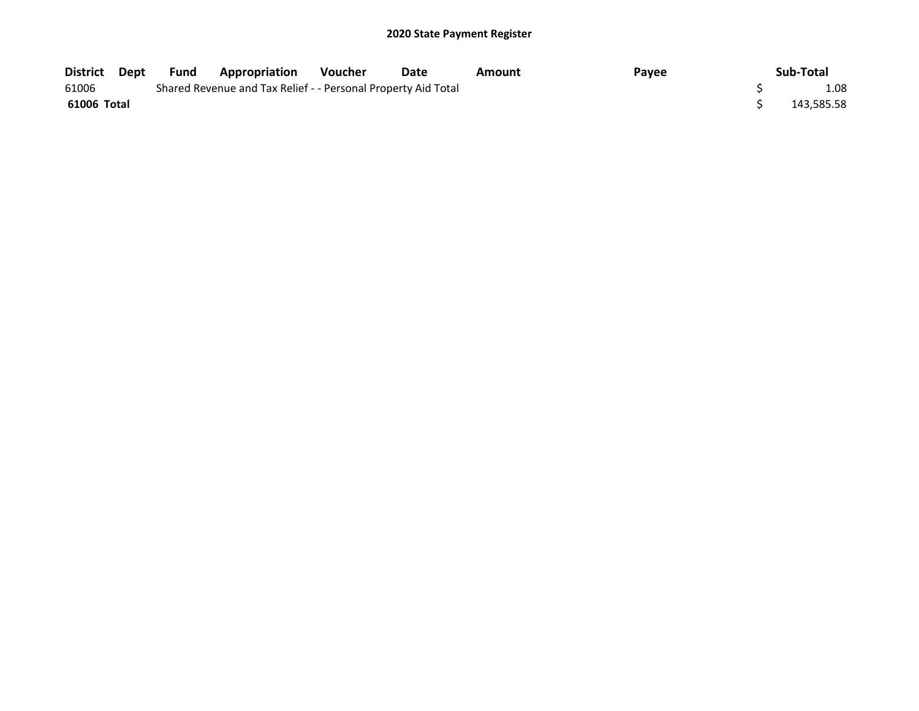| District Dept | Fund | <b>Appropriation</b>                                          | <b>Voucher</b> | Date | Amount | Payee | Sub-Total  |
|---------------|------|---------------------------------------------------------------|----------------|------|--------|-------|------------|
| 61006         |      | Shared Revenue and Tax Relief - - Personal Property Aid Total |                |      |        |       | 1.08       |
| 61006 Total   |      |                                                               |                |      |        |       | 143,585.58 |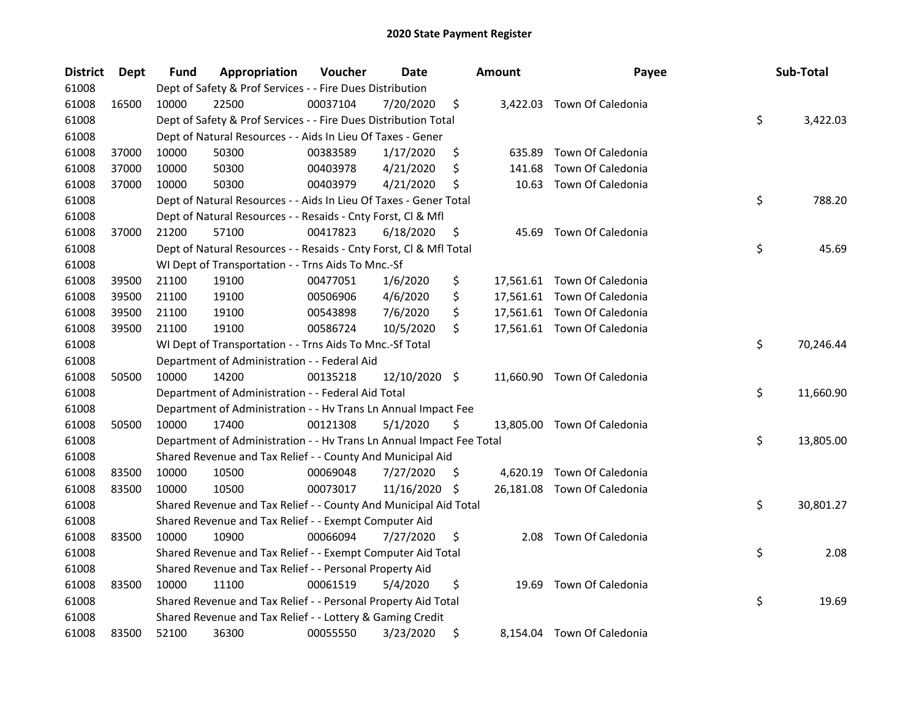| <b>District</b> | Dept  | Fund  | Appropriation                                                        | Voucher  | Date          |     | <b>Amount</b> | Payee                       | Sub-Total       |
|-----------------|-------|-------|----------------------------------------------------------------------|----------|---------------|-----|---------------|-----------------------------|-----------------|
| 61008           |       |       | Dept of Safety & Prof Services - - Fire Dues Distribution            |          |               |     |               |                             |                 |
| 61008           | 16500 | 10000 | 22500                                                                | 00037104 | 7/20/2020     | \$  |               | 3,422.03 Town Of Caledonia  |                 |
| 61008           |       |       | Dept of Safety & Prof Services - - Fire Dues Distribution Total      |          |               |     |               |                             | \$<br>3,422.03  |
| 61008           |       |       | Dept of Natural Resources - - Aids In Lieu Of Taxes - Gener          |          |               |     |               |                             |                 |
| 61008           | 37000 | 10000 | 50300                                                                | 00383589 | 1/17/2020     | \$  | 635.89        | Town Of Caledonia           |                 |
| 61008           | 37000 | 10000 | 50300                                                                | 00403978 | 4/21/2020     | \$  | 141.68        | Town Of Caledonia           |                 |
| 61008           | 37000 | 10000 | 50300                                                                | 00403979 | 4/21/2020     | \$  |               | 10.63 Town Of Caledonia     |                 |
| 61008           |       |       | Dept of Natural Resources - - Aids In Lieu Of Taxes - Gener Total    |          |               |     |               |                             | \$<br>788.20    |
| 61008           |       |       | Dept of Natural Resources - - Resaids - Cnty Forst, Cl & Mfl         |          |               |     |               |                             |                 |
| 61008           | 37000 | 21200 | 57100                                                                | 00417823 | 6/18/2020     | \$  | 45.69         | Town Of Caledonia           |                 |
| 61008           |       |       | Dept of Natural Resources - - Resaids - Cnty Forst, Cl & Mfl Total   |          |               |     |               |                             | \$<br>45.69     |
| 61008           |       |       | WI Dept of Transportation - - Trns Aids To Mnc.-Sf                   |          |               |     |               |                             |                 |
| 61008           | 39500 | 21100 | 19100                                                                | 00477051 | 1/6/2020      | \$  |               | 17,561.61 Town Of Caledonia |                 |
| 61008           | 39500 | 21100 | 19100                                                                | 00506906 | 4/6/2020      | \$  |               | 17,561.61 Town Of Caledonia |                 |
| 61008           | 39500 | 21100 | 19100                                                                | 00543898 | 7/6/2020      | \$  |               | 17,561.61 Town Of Caledonia |                 |
| 61008           | 39500 | 21100 | 19100                                                                | 00586724 | 10/5/2020     | \$  |               | 17,561.61 Town Of Caledonia |                 |
| 61008           |       |       | WI Dept of Transportation - - Trns Aids To Mnc.-Sf Total             |          |               |     |               |                             | \$<br>70,246.44 |
| 61008           |       |       | Department of Administration - - Federal Aid                         |          |               |     |               |                             |                 |
| 61008           | 50500 | 10000 | 14200                                                                | 00135218 | 12/10/2020 \$ |     |               | 11,660.90 Town Of Caledonia |                 |
| 61008           |       |       | Department of Administration - - Federal Aid Total                   |          |               |     |               |                             | \$<br>11,660.90 |
| 61008           |       |       | Department of Administration - - Hv Trans Ln Annual Impact Fee       |          |               |     |               |                             |                 |
| 61008           | 50500 | 10000 | 17400                                                                | 00121308 | 5/1/2020      | \$  |               | 13,805.00 Town Of Caledonia |                 |
| 61008           |       |       | Department of Administration - - Hv Trans Ln Annual Impact Fee Total |          |               |     |               |                             | \$<br>13,805.00 |
| 61008           |       |       | Shared Revenue and Tax Relief - - County And Municipal Aid           |          |               |     |               |                             |                 |
| 61008           | 83500 | 10000 | 10500                                                                | 00069048 | 7/27/2020     | \$. |               | 4,620.19 Town Of Caledonia  |                 |
| 61008           | 83500 | 10000 | 10500                                                                | 00073017 | 11/16/2020    | \$. |               | 26,181.08 Town Of Caledonia |                 |
| 61008           |       |       | Shared Revenue and Tax Relief - - County And Municipal Aid Total     |          |               |     |               |                             | \$<br>30,801.27 |
| 61008           |       |       | Shared Revenue and Tax Relief - - Exempt Computer Aid                |          |               |     |               |                             |                 |
| 61008           | 83500 | 10000 | 10900                                                                | 00066094 | 7/27/2020     | \$  | 2.08          | Town Of Caledonia           |                 |
| 61008           |       |       | Shared Revenue and Tax Relief - - Exempt Computer Aid Total          |          |               |     |               |                             | \$<br>2.08      |
| 61008           |       |       | Shared Revenue and Tax Relief - - Personal Property Aid              |          |               |     |               |                             |                 |
| 61008           | 83500 | 10000 | 11100                                                                | 00061519 | 5/4/2020      | \$  | 19.69         | Town Of Caledonia           |                 |
| 61008           |       |       | Shared Revenue and Tax Relief - - Personal Property Aid Total        |          |               |     |               |                             | \$<br>19.69     |
| 61008           |       |       | Shared Revenue and Tax Relief - - Lottery & Gaming Credit            |          |               |     |               |                             |                 |
| 61008           | 83500 | 52100 | 36300                                                                | 00055550 | 3/23/2020     | \$  |               | 8,154.04 Town Of Caledonia  |                 |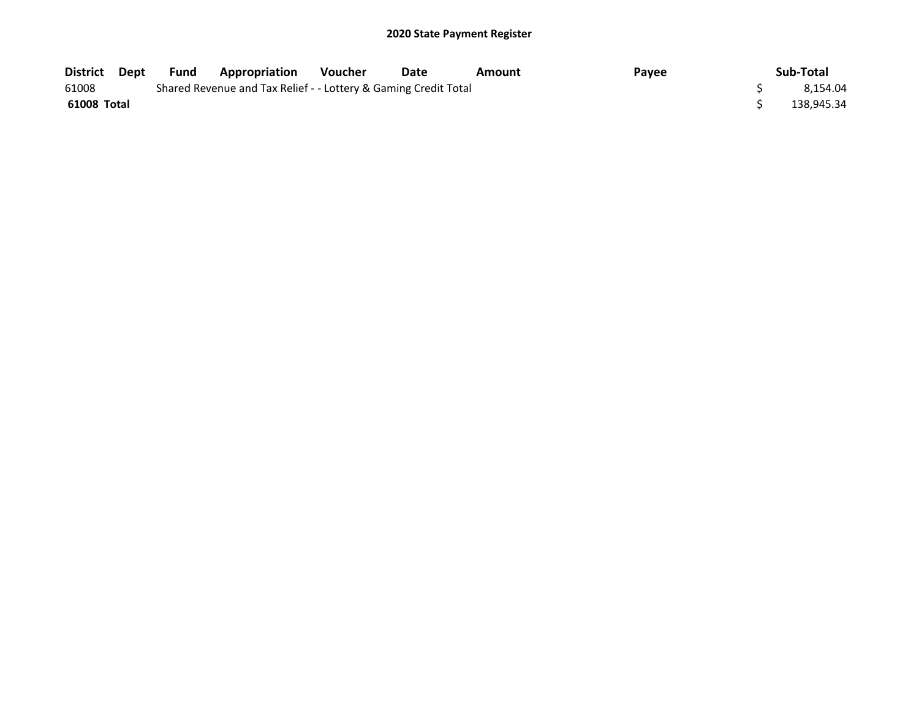| District    | Dept | Fund                                                            | Appropriation | <b>Voucher</b> | Date | Amount | Payee | Sub-Total  |
|-------------|------|-----------------------------------------------------------------|---------------|----------------|------|--------|-------|------------|
| 61008       |      | Shared Revenue and Tax Relief - - Lottery & Gaming Credit Total |               | 8.154.04       |      |        |       |            |
| 61008 Total |      |                                                                 |               |                |      |        |       | 138.945.34 |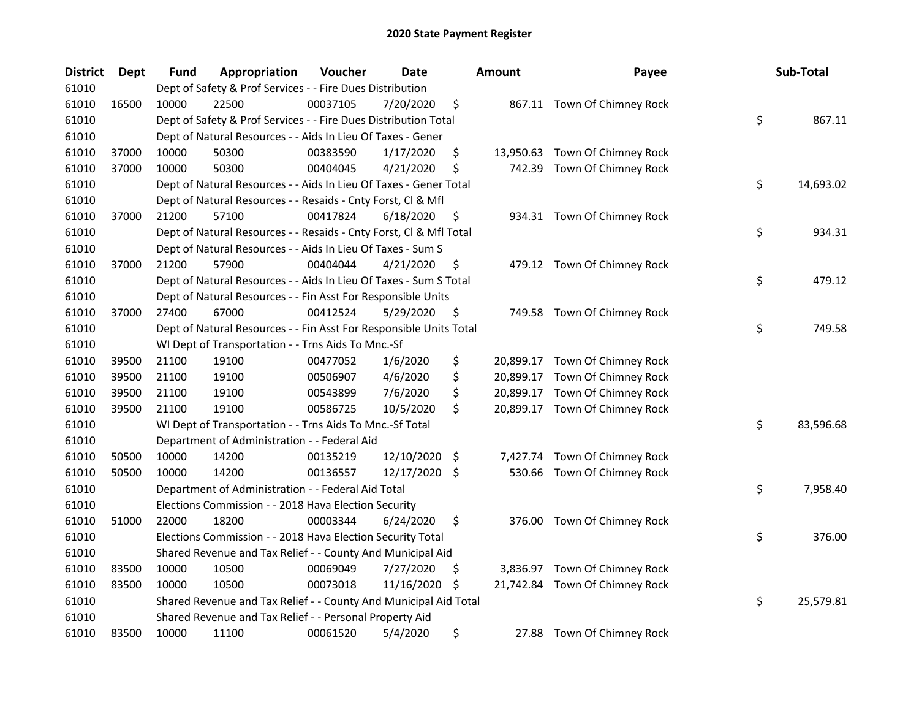| <b>District</b> | <b>Dept</b> | Fund  | Appropriation                                                      | Voucher  | Date       |     | <b>Amount</b> | Payee                          | Sub-Total       |
|-----------------|-------------|-------|--------------------------------------------------------------------|----------|------------|-----|---------------|--------------------------------|-----------------|
| 61010           |             |       | Dept of Safety & Prof Services - - Fire Dues Distribution          |          |            |     |               |                                |                 |
| 61010           | 16500       | 10000 | 22500                                                              | 00037105 | 7/20/2020  | \$  |               | 867.11 Town Of Chimney Rock    |                 |
| 61010           |             |       | Dept of Safety & Prof Services - - Fire Dues Distribution Total    |          |            |     |               |                                | \$<br>867.11    |
| 61010           |             |       | Dept of Natural Resources - - Aids In Lieu Of Taxes - Gener        |          |            |     |               |                                |                 |
| 61010           | 37000       | 10000 | 50300                                                              | 00383590 | 1/17/2020  | \$  | 13,950.63     | Town Of Chimney Rock           |                 |
| 61010           | 37000       | 10000 | 50300                                                              | 00404045 | 4/21/2020  | \$  | 742.39        | Town Of Chimney Rock           |                 |
| 61010           |             |       | Dept of Natural Resources - - Aids In Lieu Of Taxes - Gener Total  |          |            |     |               |                                | \$<br>14,693.02 |
| 61010           |             |       | Dept of Natural Resources - - Resaids - Cnty Forst, Cl & Mfl       |          |            |     |               |                                |                 |
| 61010           | 37000       | 21200 | 57100                                                              | 00417824 | 6/18/2020  | \$  |               | 934.31 Town Of Chimney Rock    |                 |
| 61010           |             |       | Dept of Natural Resources - - Resaids - Cnty Forst, Cl & Mfl Total |          |            |     |               |                                | \$<br>934.31    |
| 61010           |             |       | Dept of Natural Resources - - Aids In Lieu Of Taxes - Sum S        |          |            |     |               |                                |                 |
| 61010           | 37000       | 21200 | 57900                                                              | 00404044 | 4/21/2020  | \$  |               | 479.12 Town Of Chimney Rock    |                 |
| 61010           |             |       | Dept of Natural Resources - - Aids In Lieu Of Taxes - Sum S Total  |          |            |     |               |                                | \$<br>479.12    |
| 61010           |             |       | Dept of Natural Resources - - Fin Asst For Responsible Units       |          |            |     |               |                                |                 |
| 61010           | 37000       | 27400 | 67000                                                              | 00412524 | 5/29/2020  | \$  |               | 749.58 Town Of Chimney Rock    |                 |
| 61010           |             |       | Dept of Natural Resources - - Fin Asst For Responsible Units Total |          |            |     |               |                                | \$<br>749.58    |
| 61010           |             |       | WI Dept of Transportation - - Trns Aids To Mnc.-Sf                 |          |            |     |               |                                |                 |
| 61010           | 39500       | 21100 | 19100                                                              | 00477052 | 1/6/2020   | \$  | 20,899.17     | Town Of Chimney Rock           |                 |
| 61010           | 39500       | 21100 | 19100                                                              | 00506907 | 4/6/2020   | \$  | 20,899.17     | Town Of Chimney Rock           |                 |
| 61010           | 39500       | 21100 | 19100                                                              | 00543899 | 7/6/2020   | \$  | 20,899.17     | Town Of Chimney Rock           |                 |
| 61010           | 39500       | 21100 | 19100                                                              | 00586725 | 10/5/2020  | \$  |               | 20,899.17 Town Of Chimney Rock |                 |
| 61010           |             |       | WI Dept of Transportation - - Trns Aids To Mnc.-Sf Total           |          |            |     |               |                                | \$<br>83,596.68 |
| 61010           |             |       | Department of Administration - - Federal Aid                       |          |            |     |               |                                |                 |
| 61010           | 50500       | 10000 | 14200                                                              | 00135219 | 12/10/2020 | \$  | 7,427.74      | Town Of Chimney Rock           |                 |
| 61010           | 50500       | 10000 | 14200                                                              | 00136557 | 12/17/2020 | \$  | 530.66        | Town Of Chimney Rock           |                 |
| 61010           |             |       | Department of Administration - - Federal Aid Total                 |          |            |     |               |                                | \$<br>7,958.40  |
| 61010           |             |       | Elections Commission - - 2018 Hava Election Security               |          |            |     |               |                                |                 |
| 61010           | 51000       | 22000 | 18200                                                              | 00003344 | 6/24/2020  | \$  |               | 376.00 Town Of Chimney Rock    |                 |
| 61010           |             |       | Elections Commission - - 2018 Hava Election Security Total         |          |            |     |               |                                | \$<br>376.00    |
| 61010           |             |       | Shared Revenue and Tax Relief - - County And Municipal Aid         |          |            |     |               |                                |                 |
| 61010           | 83500       | 10000 | 10500                                                              | 00069049 | 7/27/2020  | \$  | 3,836.97      | Town Of Chimney Rock           |                 |
| 61010           | 83500       | 10000 | 10500                                                              | 00073018 | 11/16/2020 | \$. |               | 21,742.84 Town Of Chimney Rock |                 |
| 61010           |             |       | Shared Revenue and Tax Relief - - County And Municipal Aid Total   |          |            |     |               |                                | \$<br>25,579.81 |
| 61010           |             |       | Shared Revenue and Tax Relief - - Personal Property Aid            |          |            |     |               |                                |                 |
| 61010           | 83500       | 10000 | 11100                                                              | 00061520 | 5/4/2020   | \$  | 27.88         | Town Of Chimney Rock           |                 |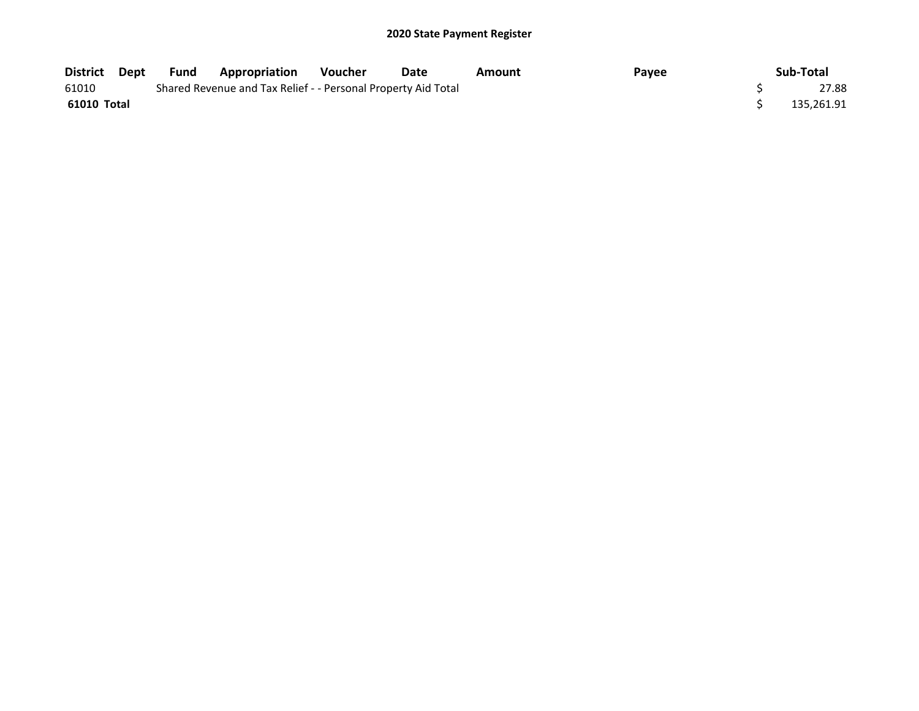| District Dept | Fund | <b>Appropriation</b>                                          | Voucher | Date | Amount | Payee | Sub-Total  |
|---------------|------|---------------------------------------------------------------|---------|------|--------|-------|------------|
| 61010         |      | Shared Revenue and Tax Relief - - Personal Property Aid Total |         |      |        |       | 27.88      |
| 61010 Total   |      |                                                               |         |      |        |       | 135,261.91 |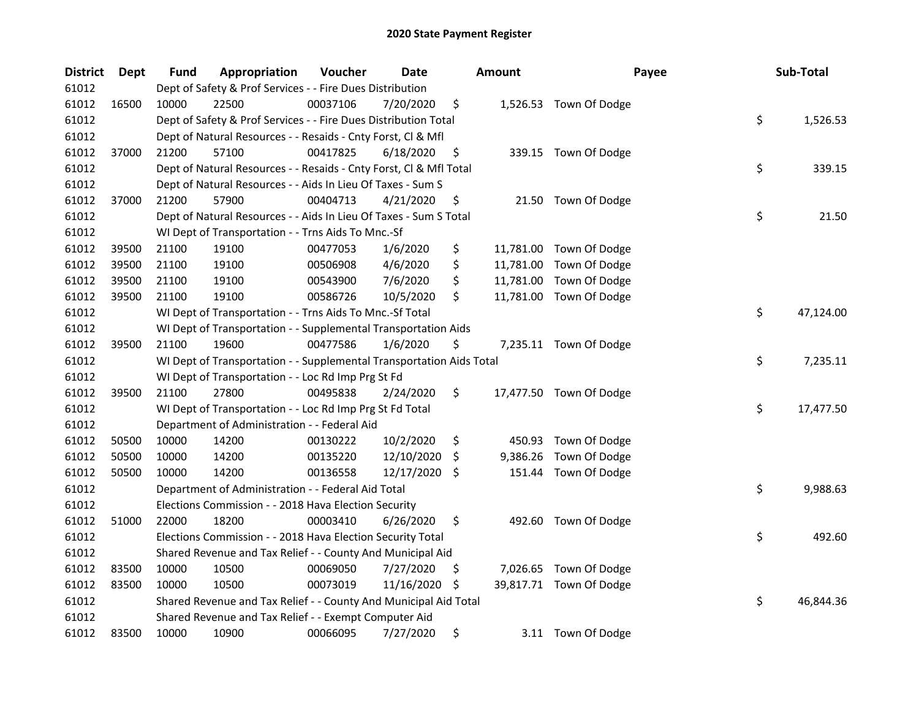| <b>District</b> | <b>Dept</b> | Fund  | Appropriation                                                        | Voucher  | Date          |     | Amount   | Payee                   | Sub-Total       |
|-----------------|-------------|-------|----------------------------------------------------------------------|----------|---------------|-----|----------|-------------------------|-----------------|
| 61012           |             |       | Dept of Safety & Prof Services - - Fire Dues Distribution            |          |               |     |          |                         |                 |
| 61012           | 16500       | 10000 | 22500                                                                | 00037106 | 7/20/2020     | \$  |          | 1,526.53 Town Of Dodge  |                 |
| 61012           |             |       | Dept of Safety & Prof Services - - Fire Dues Distribution Total      |          |               |     |          |                         | \$<br>1,526.53  |
| 61012           |             |       | Dept of Natural Resources - - Resaids - Cnty Forst, Cl & Mfl         |          |               |     |          |                         |                 |
| 61012           | 37000       | 21200 | 57100                                                                | 00417825 | 6/18/2020     | \$  |          | 339.15 Town Of Dodge    |                 |
| 61012           |             |       | Dept of Natural Resources - - Resaids - Cnty Forst, Cl & Mfl Total   |          |               |     |          |                         | \$<br>339.15    |
| 61012           |             |       | Dept of Natural Resources - - Aids In Lieu Of Taxes - Sum S          |          |               |     |          |                         |                 |
| 61012           | 37000       | 21200 | 57900                                                                | 00404713 | 4/21/2020     | \$  |          | 21.50 Town Of Dodge     |                 |
| 61012           |             |       | Dept of Natural Resources - - Aids In Lieu Of Taxes - Sum S Total    |          |               |     |          |                         | \$<br>21.50     |
| 61012           |             |       | WI Dept of Transportation - - Trns Aids To Mnc.-Sf                   |          |               |     |          |                         |                 |
| 61012           | 39500       | 21100 | 19100                                                                | 00477053 | 1/6/2020      | \$  |          | 11,781.00 Town Of Dodge |                 |
| 61012           | 39500       | 21100 | 19100                                                                | 00506908 | 4/6/2020      | \$  |          | 11,781.00 Town Of Dodge |                 |
| 61012           | 39500       | 21100 | 19100                                                                | 00543900 | 7/6/2020      | \$  |          | 11,781.00 Town Of Dodge |                 |
| 61012           | 39500       | 21100 | 19100                                                                | 00586726 | 10/5/2020     | \$  |          | 11,781.00 Town Of Dodge |                 |
| 61012           |             |       | WI Dept of Transportation - - Trns Aids To Mnc.-Sf Total             |          |               |     |          |                         | \$<br>47,124.00 |
| 61012           |             |       | WI Dept of Transportation - - Supplemental Transportation Aids       |          |               |     |          |                         |                 |
| 61012           | 39500       | 21100 | 19600                                                                | 00477586 | 1/6/2020      | \$  |          | 7,235.11 Town Of Dodge  |                 |
| 61012           |             |       | WI Dept of Transportation - - Supplemental Transportation Aids Total |          |               |     |          |                         | \$<br>7,235.11  |
| 61012           |             |       | WI Dept of Transportation - - Loc Rd Imp Prg St Fd                   |          |               |     |          |                         |                 |
| 61012           | 39500       | 21100 | 27800                                                                | 00495838 | 2/24/2020     | \$  |          | 17,477.50 Town Of Dodge |                 |
| 61012           |             |       | WI Dept of Transportation - - Loc Rd Imp Prg St Fd Total             |          |               |     |          |                         | \$<br>17,477.50 |
| 61012           |             |       | Department of Administration - - Federal Aid                         |          |               |     |          |                         |                 |
| 61012           | 50500       | 10000 | 14200                                                                | 00130222 | 10/2/2020     | \$  | 450.93   | Town Of Dodge           |                 |
| 61012           | 50500       | 10000 | 14200                                                                | 00135220 | 12/10/2020    | -S  | 9,386.26 | Town Of Dodge           |                 |
| 61012           | 50500       | 10000 | 14200                                                                | 00136558 | 12/17/2020 \$ |     |          | 151.44 Town Of Dodge    |                 |
| 61012           |             |       | Department of Administration - - Federal Aid Total                   |          |               |     |          |                         | \$<br>9,988.63  |
| 61012           |             |       | Elections Commission - - 2018 Hava Election Security                 |          |               |     |          |                         |                 |
| 61012           | 51000       | 22000 | 18200                                                                | 00003410 | 6/26/2020     | \$  |          | 492.60 Town Of Dodge    |                 |
| 61012           |             |       | Elections Commission - - 2018 Hava Election Security Total           |          |               |     |          |                         | \$<br>492.60    |
| 61012           |             |       | Shared Revenue and Tax Relief - - County And Municipal Aid           |          |               |     |          |                         |                 |
| 61012           | 83500       | 10000 | 10500                                                                | 00069050 | 7/27/2020     | \$. |          | 7,026.65 Town Of Dodge  |                 |
| 61012           | 83500       | 10000 | 10500                                                                | 00073019 | 11/16/2020    | -S  |          | 39,817.71 Town Of Dodge |                 |
| 61012           |             |       | Shared Revenue and Tax Relief - - County And Municipal Aid Total     |          |               |     |          |                         | \$<br>46,844.36 |
| 61012           |             |       | Shared Revenue and Tax Relief - - Exempt Computer Aid                |          |               |     |          |                         |                 |
| 61012           | 83500       | 10000 | 10900                                                                | 00066095 | 7/27/2020     | \$  |          | 3.11 Town Of Dodge      |                 |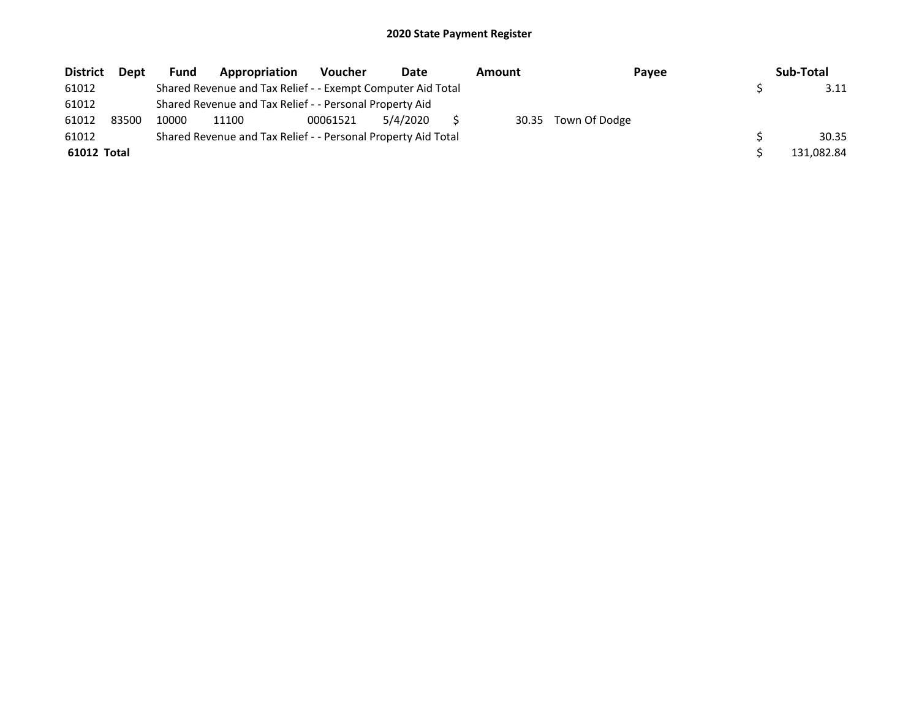| <b>District</b> | <b>Dept</b> | Fund  | Appropriation                                                 | <b>Voucher</b> | Date     | Amount | Payee               | Sub-Total  |
|-----------------|-------------|-------|---------------------------------------------------------------|----------------|----------|--------|---------------------|------------|
| 61012           |             |       | Shared Revenue and Tax Relief - - Exempt Computer Aid Total   |                |          |        |                     | 3.11       |
| 61012           |             |       | Shared Revenue and Tax Relief - - Personal Property Aid       |                |          |        |                     |            |
| 61012           | 83500       | 10000 | 11100                                                         | 00061521       | 5/4/2020 |        | 30.35 Town Of Dodge |            |
| 61012           |             |       | Shared Revenue and Tax Relief - - Personal Property Aid Total |                |          |        |                     | 30.35      |
| 61012 Total     |             |       |                                                               |                |          |        |                     | 131,082.84 |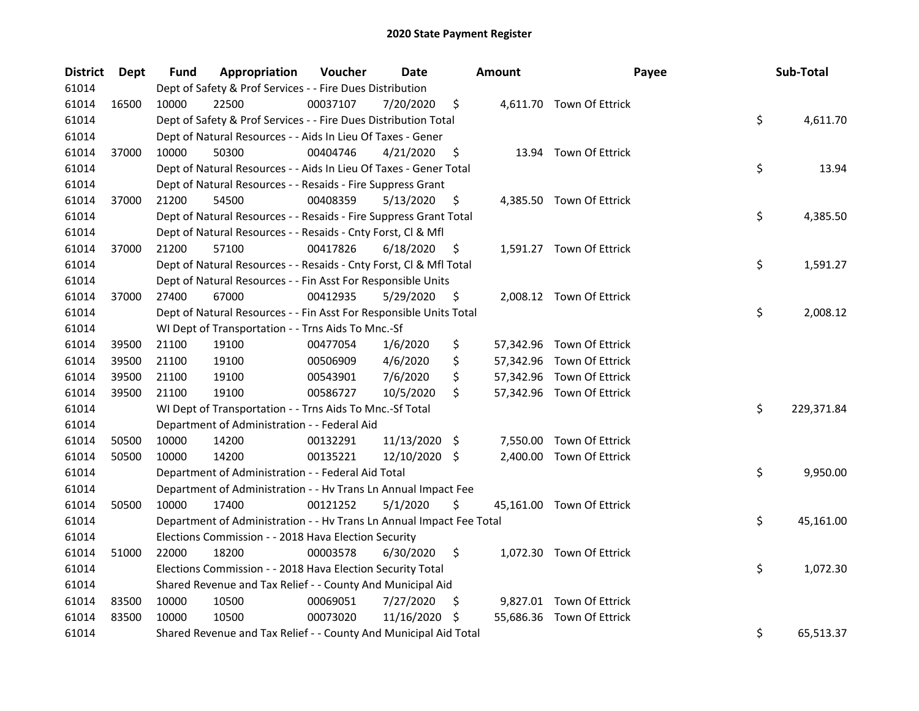| <b>District</b> | <b>Dept</b> | Fund  | Appropriation                                                        | Voucher  | <b>Date</b>   |     | <b>Amount</b> | Payee                     | Sub-Total        |
|-----------------|-------------|-------|----------------------------------------------------------------------|----------|---------------|-----|---------------|---------------------------|------------------|
| 61014           |             |       | Dept of Safety & Prof Services - - Fire Dues Distribution            |          |               |     |               |                           |                  |
| 61014           | 16500       | 10000 | 22500                                                                | 00037107 | 7/20/2020     | \$  |               | 4,611.70 Town Of Ettrick  |                  |
| 61014           |             |       | Dept of Safety & Prof Services - - Fire Dues Distribution Total      |          |               |     |               |                           | \$<br>4,611.70   |
| 61014           |             |       | Dept of Natural Resources - - Aids In Lieu Of Taxes - Gener          |          |               |     |               |                           |                  |
| 61014           | 37000       | 10000 | 50300                                                                | 00404746 | 4/21/2020     | \$  |               | 13.94 Town Of Ettrick     |                  |
| 61014           |             |       | Dept of Natural Resources - - Aids In Lieu Of Taxes - Gener Total    |          |               |     |               |                           | \$<br>13.94      |
| 61014           |             |       | Dept of Natural Resources - - Resaids - Fire Suppress Grant          |          |               |     |               |                           |                  |
| 61014           | 37000       | 21200 | 54500                                                                | 00408359 | 5/13/2020     | \$  |               | 4,385.50 Town Of Ettrick  |                  |
| 61014           |             |       | Dept of Natural Resources - - Resaids - Fire Suppress Grant Total    |          |               |     |               |                           | \$<br>4,385.50   |
| 61014           |             |       | Dept of Natural Resources - - Resaids - Cnty Forst, Cl & Mfl         |          |               |     |               |                           |                  |
| 61014           | 37000       | 21200 | 57100                                                                | 00417826 | 6/18/2020     | \$  |               | 1,591.27 Town Of Ettrick  |                  |
| 61014           |             |       | Dept of Natural Resources - - Resaids - Cnty Forst, Cl & Mfl Total   |          |               |     |               |                           | \$<br>1,591.27   |
| 61014           |             |       | Dept of Natural Resources - - Fin Asst For Responsible Units         |          |               |     |               |                           |                  |
| 61014           | 37000       | 27400 | 67000                                                                | 00412935 | 5/29/2020     | \$  |               | 2,008.12 Town Of Ettrick  |                  |
| 61014           |             |       | Dept of Natural Resources - - Fin Asst For Responsible Units Total   |          |               |     |               |                           | \$<br>2,008.12   |
| 61014           |             |       | WI Dept of Transportation - - Trns Aids To Mnc.-Sf                   |          |               |     |               |                           |                  |
| 61014           | 39500       | 21100 | 19100                                                                | 00477054 | 1/6/2020      | \$  |               | 57,342.96 Town Of Ettrick |                  |
| 61014           | 39500       | 21100 | 19100                                                                | 00506909 | 4/6/2020      | \$  |               | 57,342.96 Town Of Ettrick |                  |
| 61014           | 39500       | 21100 | 19100                                                                | 00543901 | 7/6/2020      | \$  |               | 57,342.96 Town Of Ettrick |                  |
| 61014           | 39500       | 21100 | 19100                                                                | 00586727 | 10/5/2020     | \$  |               | 57,342.96 Town Of Ettrick |                  |
| 61014           |             |       | WI Dept of Transportation - - Trns Aids To Mnc.-Sf Total             |          |               |     |               |                           | \$<br>229,371.84 |
| 61014           |             |       | Department of Administration - - Federal Aid                         |          |               |     |               |                           |                  |
| 61014           | 50500       | 10000 | 14200                                                                | 00132291 | 11/13/2020 \$ |     |               | 7,550.00 Town Of Ettrick  |                  |
| 61014           | 50500       | 10000 | 14200                                                                | 00135221 | 12/10/2020 \$ |     |               | 2,400.00 Town Of Ettrick  |                  |
| 61014           |             |       | Department of Administration - - Federal Aid Total                   |          |               |     |               |                           | \$<br>9,950.00   |
| 61014           |             |       | Department of Administration - - Hv Trans Ln Annual Impact Fee       |          |               |     |               |                           |                  |
| 61014           | 50500       | 10000 | 17400                                                                | 00121252 | 5/1/2020      | \$  |               | 45,161.00 Town Of Ettrick |                  |
| 61014           |             |       | Department of Administration - - Hv Trans Ln Annual Impact Fee Total |          |               |     |               |                           | \$<br>45,161.00  |
| 61014           |             |       | Elections Commission - - 2018 Hava Election Security                 |          |               |     |               |                           |                  |
| 61014           | 51000       | 22000 | 18200                                                                | 00003578 | 6/30/2020     | \$  |               | 1,072.30 Town Of Ettrick  |                  |
| 61014           |             |       | Elections Commission - - 2018 Hava Election Security Total           |          |               |     |               |                           | \$<br>1,072.30   |
| 61014           |             |       | Shared Revenue and Tax Relief - - County And Municipal Aid           |          |               |     |               |                           |                  |
| 61014           | 83500       | 10000 | 10500                                                                | 00069051 | 7/27/2020     | \$. |               | 9,827.01 Town Of Ettrick  |                  |
| 61014           | 83500       | 10000 | 10500                                                                | 00073020 | 11/16/2020    | \$. |               | 55,686.36 Town Of Ettrick |                  |
| 61014           |             |       | Shared Revenue and Tax Relief - - County And Municipal Aid Total     |          |               |     |               |                           | \$<br>65,513.37  |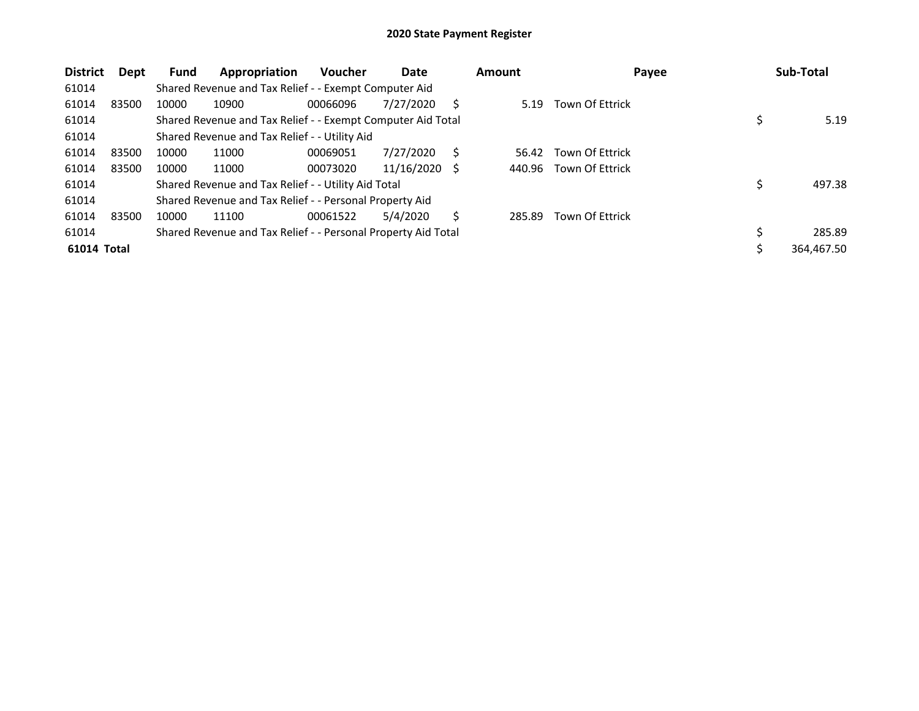| <b>District</b> | Dept  | <b>Fund</b> | Appropriation                                                 | <b>Voucher</b> | Date       |     | <b>Amount</b> | Payee                  | Sub-Total  |
|-----------------|-------|-------------|---------------------------------------------------------------|----------------|------------|-----|---------------|------------------------|------------|
| 61014           |       |             | Shared Revenue and Tax Relief - - Exempt Computer Aid         |                |            |     |               |                        |            |
| 61014           | 83500 | 10000       | 10900                                                         | 00066096       | 7/27/2020  | S   | 5.19          | Town Of Ettrick        |            |
| 61014           |       |             | Shared Revenue and Tax Relief - - Exempt Computer Aid Total   |                |            |     |               |                        | 5.19       |
| 61014           |       |             | Shared Revenue and Tax Relief - - Utility Aid                 |                |            |     |               |                        |            |
| 61014           | 83500 | 10000       | 11000                                                         | 00069051       | 7/27/2020  | S.  | 56.42         | <b>Town Of Ettrick</b> |            |
| 61014           | 83500 | 10000       | 11000                                                         | 00073020       | 11/16/2020 | - S | 440.96        | Town Of Ettrick        |            |
| 61014           |       |             | Shared Revenue and Tax Relief - - Utility Aid Total           |                |            |     |               |                        | 497.38     |
| 61014           |       |             | Shared Revenue and Tax Relief - - Personal Property Aid       |                |            |     |               |                        |            |
| 61014           | 83500 | 10000       | 11100                                                         | 00061522       | 5/4/2020   | S.  | 285.89        | <b>Town Of Ettrick</b> |            |
| 61014           |       |             | Shared Revenue and Tax Relief - - Personal Property Aid Total |                |            |     |               |                        | 285.89     |
| 61014 Total     |       |             |                                                               |                |            |     |               |                        | 364,467.50 |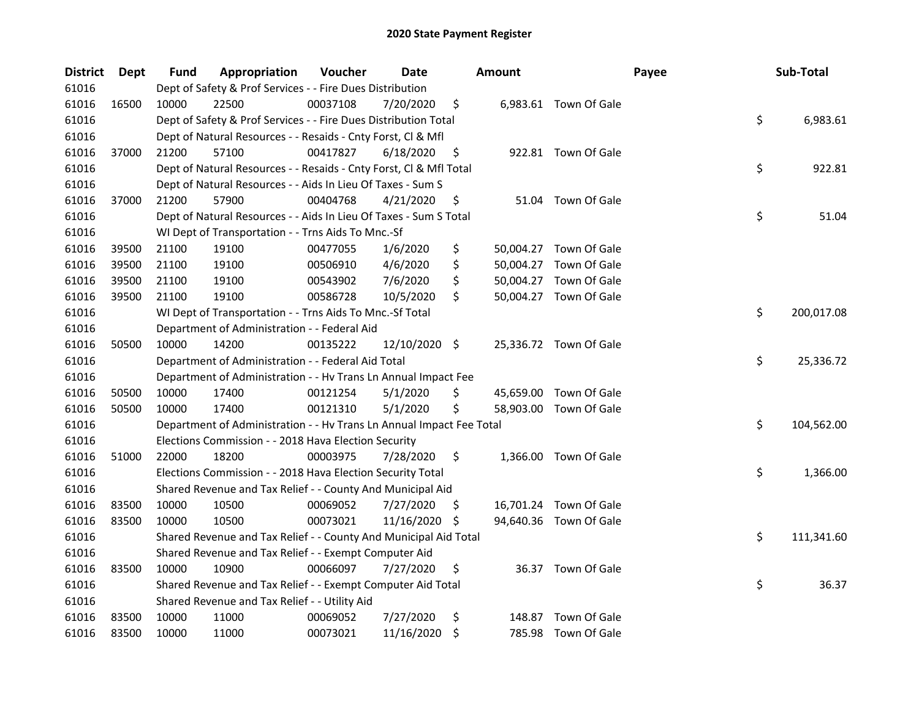| <b>District</b> | Dept  | Fund  | Appropriation                                                        | Voucher  | Date          |     | <b>Amount</b> |                        | Payee | Sub-Total        |
|-----------------|-------|-------|----------------------------------------------------------------------|----------|---------------|-----|---------------|------------------------|-------|------------------|
| 61016           |       |       | Dept of Safety & Prof Services - - Fire Dues Distribution            |          |               |     |               |                        |       |                  |
| 61016           | 16500 | 10000 | 22500                                                                | 00037108 | 7/20/2020     | \$  |               | 6,983.61 Town Of Gale  |       |                  |
| 61016           |       |       | Dept of Safety & Prof Services - - Fire Dues Distribution Total      |          |               |     |               |                        |       | \$<br>6,983.61   |
| 61016           |       |       | Dept of Natural Resources - - Resaids - Cnty Forst, Cl & Mfl         |          |               |     |               |                        |       |                  |
| 61016           | 37000 | 21200 | 57100                                                                | 00417827 | 6/18/2020     | \$  |               | 922.81 Town Of Gale    |       |                  |
| 61016           |       |       | Dept of Natural Resources - - Resaids - Cnty Forst, Cl & Mfl Total   |          |               |     |               |                        |       | \$<br>922.81     |
| 61016           |       |       | Dept of Natural Resources - - Aids In Lieu Of Taxes - Sum S          |          |               |     |               |                        |       |                  |
| 61016           | 37000 | 21200 | 57900                                                                | 00404768 | 4/21/2020     | \$  |               | 51.04 Town Of Gale     |       |                  |
| 61016           |       |       | Dept of Natural Resources - - Aids In Lieu Of Taxes - Sum S Total    |          |               |     |               |                        |       | \$<br>51.04      |
| 61016           |       |       | WI Dept of Transportation - - Trns Aids To Mnc.-Sf                   |          |               |     |               |                        |       |                  |
| 61016           | 39500 | 21100 | 19100                                                                | 00477055 | 1/6/2020      | \$  |               | 50,004.27 Town Of Gale |       |                  |
| 61016           | 39500 | 21100 | 19100                                                                | 00506910 | 4/6/2020      | \$  |               | 50,004.27 Town Of Gale |       |                  |
| 61016           | 39500 | 21100 | 19100                                                                | 00543902 | 7/6/2020      | \$  |               | 50,004.27 Town Of Gale |       |                  |
| 61016           | 39500 | 21100 | 19100                                                                | 00586728 | 10/5/2020     | \$  |               | 50,004.27 Town Of Gale |       |                  |
| 61016           |       |       | WI Dept of Transportation - - Trns Aids To Mnc.-Sf Total             |          |               |     |               |                        |       | \$<br>200,017.08 |
| 61016           |       |       | Department of Administration - - Federal Aid                         |          |               |     |               |                        |       |                  |
| 61016           | 50500 | 10000 | 14200                                                                | 00135222 | 12/10/2020 \$ |     |               | 25,336.72 Town Of Gale |       |                  |
| 61016           |       |       | Department of Administration - - Federal Aid Total                   |          |               |     |               |                        |       | \$<br>25,336.72  |
| 61016           |       |       | Department of Administration - - Hv Trans Ln Annual Impact Fee       |          |               |     |               |                        |       |                  |
| 61016           | 50500 | 10000 | 17400                                                                | 00121254 | 5/1/2020      | \$  |               | 45,659.00 Town Of Gale |       |                  |
| 61016           | 50500 | 10000 | 17400                                                                | 00121310 | 5/1/2020      | \$  |               | 58,903.00 Town Of Gale |       |                  |
| 61016           |       |       | Department of Administration - - Hv Trans Ln Annual Impact Fee Total |          |               |     |               |                        |       | \$<br>104,562.00 |
| 61016           |       |       | Elections Commission - - 2018 Hava Election Security                 |          |               |     |               |                        |       |                  |
| 61016           | 51000 | 22000 | 18200                                                                | 00003975 | 7/28/2020     | \$  |               | 1,366.00 Town Of Gale  |       |                  |
| 61016           |       |       | Elections Commission - - 2018 Hava Election Security Total           |          |               |     |               |                        |       | \$<br>1,366.00   |
| 61016           |       |       | Shared Revenue and Tax Relief - - County And Municipal Aid           |          |               |     |               |                        |       |                  |
| 61016           | 83500 | 10000 | 10500                                                                | 00069052 | 7/27/2020     | \$. |               | 16,701.24 Town Of Gale |       |                  |
| 61016           | 83500 | 10000 | 10500                                                                | 00073021 | 11/16/2020    | \$  |               | 94,640.36 Town Of Gale |       |                  |
| 61016           |       |       | Shared Revenue and Tax Relief - - County And Municipal Aid Total     |          |               |     |               |                        |       | \$<br>111,341.60 |
| 61016           |       |       | Shared Revenue and Tax Relief - - Exempt Computer Aid                |          |               |     |               |                        |       |                  |
| 61016           | 83500 | 10000 | 10900                                                                | 00066097 | 7/27/2020     | \$  |               | 36.37 Town Of Gale     |       |                  |
| 61016           |       |       | Shared Revenue and Tax Relief - - Exempt Computer Aid Total          |          |               |     |               |                        |       | \$<br>36.37      |
| 61016           |       |       | Shared Revenue and Tax Relief - - Utility Aid                        |          |               |     |               |                        |       |                  |
| 61016           | 83500 | 10000 | 11000                                                                | 00069052 | 7/27/2020     | \$  | 148.87        | Town Of Gale           |       |                  |
| 61016           | 83500 | 10000 | 11000                                                                | 00073021 | 11/16/2020    | \$  |               | 785.98 Town Of Gale    |       |                  |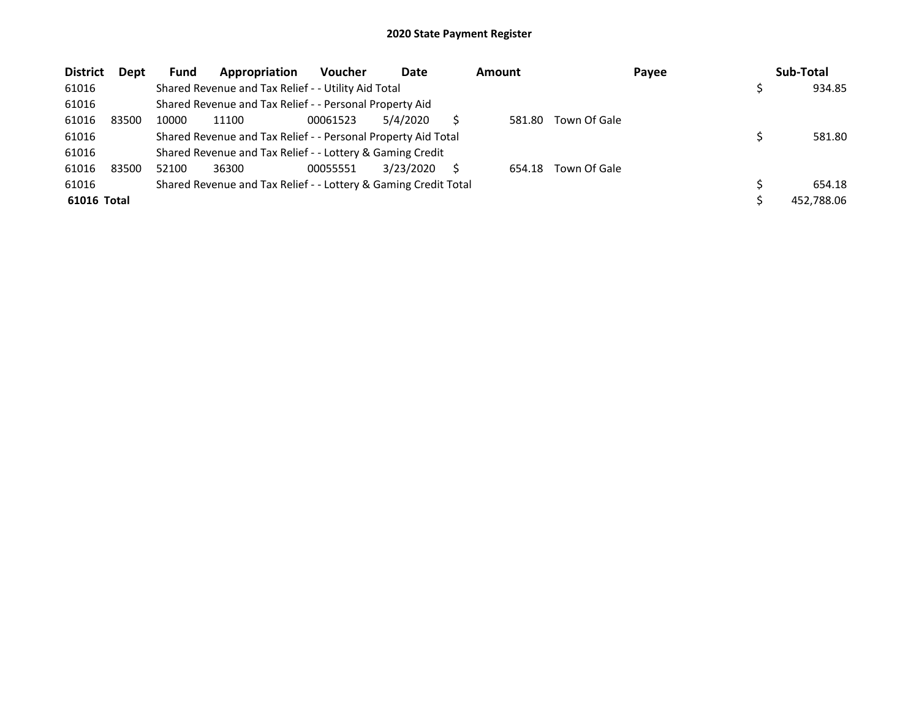| <b>District</b> | Dept  | <b>Fund</b> | Appropriation                                                   | <b>Voucher</b> | Date      |   | <b>Amount</b> |              | Payee | Sub-Total  |
|-----------------|-------|-------------|-----------------------------------------------------------------|----------------|-----------|---|---------------|--------------|-------|------------|
| 61016           |       |             | Shared Revenue and Tax Relief - - Utility Aid Total             |                |           |   |               |              |       | 934.85     |
| 61016           |       |             | Shared Revenue and Tax Relief - - Personal Property Aid         |                |           |   |               |              |       |            |
| 61016           | 83500 | 10000       | 11100                                                           | 00061523       | 5/4/2020  |   | 581.80        | Town Of Gale |       |            |
| 61016           |       |             | Shared Revenue and Tax Relief - - Personal Property Aid Total   |                |           |   |               |              |       | 581.80     |
| 61016           |       |             | Shared Revenue and Tax Relief - - Lottery & Gaming Credit       |                |           |   |               |              |       |            |
| 61016           | 83500 | 52100       | 36300                                                           | 00055551       | 3/23/2020 | S | 654.18        | Town Of Gale |       |            |
| 61016           |       |             | Shared Revenue and Tax Relief - - Lottery & Gaming Credit Total |                |           |   |               |              |       | 654.18     |
| 61016 Total     |       |             |                                                                 |                |           |   |               |              |       | 452,788.06 |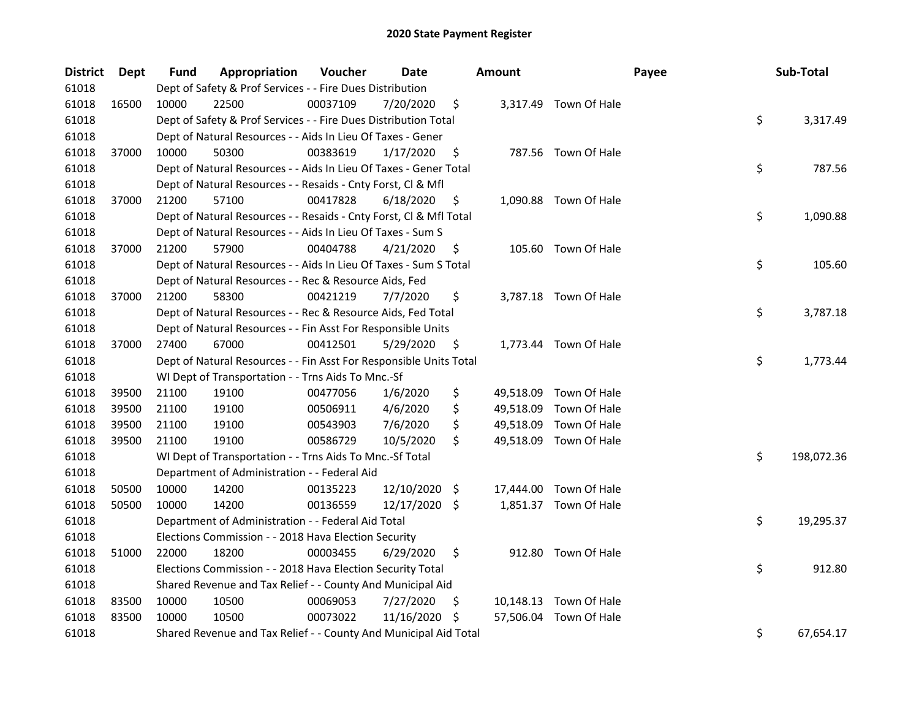| <b>District</b> | <b>Dept</b> | Fund  | Appropriation                                                      | Voucher  | Date          |     | <b>Amount</b> |                        | Payee | Sub-Total        |
|-----------------|-------------|-------|--------------------------------------------------------------------|----------|---------------|-----|---------------|------------------------|-------|------------------|
| 61018           |             |       | Dept of Safety & Prof Services - - Fire Dues Distribution          |          |               |     |               |                        |       |                  |
| 61018           | 16500       | 10000 | 22500                                                              | 00037109 | 7/20/2020     | \$  |               | 3,317.49 Town Of Hale  |       |                  |
| 61018           |             |       | Dept of Safety & Prof Services - - Fire Dues Distribution Total    |          |               |     |               |                        |       | \$<br>3,317.49   |
| 61018           |             |       | Dept of Natural Resources - - Aids In Lieu Of Taxes - Gener        |          |               |     |               |                        |       |                  |
| 61018           | 37000       | 10000 | 50300                                                              | 00383619 | 1/17/2020     | \$  |               | 787.56 Town Of Hale    |       |                  |
| 61018           |             |       | Dept of Natural Resources - - Aids In Lieu Of Taxes - Gener Total  |          |               |     |               |                        |       | \$<br>787.56     |
| 61018           |             |       | Dept of Natural Resources - - Resaids - Cnty Forst, Cl & Mfl       |          |               |     |               |                        |       |                  |
| 61018           | 37000       | 21200 | 57100                                                              | 00417828 | 6/18/2020     | \$  |               | 1,090.88 Town Of Hale  |       |                  |
| 61018           |             |       | Dept of Natural Resources - - Resaids - Cnty Forst, Cl & Mfl Total |          |               |     |               |                        |       | \$<br>1,090.88   |
| 61018           |             |       | Dept of Natural Resources - - Aids In Lieu Of Taxes - Sum S        |          |               |     |               |                        |       |                  |
| 61018           | 37000       | 21200 | 57900                                                              | 00404788 | 4/21/2020     | \$  |               | 105.60 Town Of Hale    |       |                  |
| 61018           |             |       | Dept of Natural Resources - - Aids In Lieu Of Taxes - Sum S Total  |          |               |     |               |                        |       | \$<br>105.60     |
| 61018           |             |       | Dept of Natural Resources - - Rec & Resource Aids, Fed             |          |               |     |               |                        |       |                  |
| 61018           | 37000       | 21200 | 58300                                                              | 00421219 | 7/7/2020      | \$  |               | 3,787.18 Town Of Hale  |       |                  |
| 61018           |             |       | Dept of Natural Resources - - Rec & Resource Aids, Fed Total       |          |               |     |               |                        |       | \$<br>3,787.18   |
| 61018           |             |       | Dept of Natural Resources - - Fin Asst For Responsible Units       |          |               |     |               |                        |       |                  |
| 61018           | 37000       | 27400 | 67000                                                              | 00412501 | 5/29/2020     | \$  |               | 1,773.44 Town Of Hale  |       |                  |
| 61018           |             |       | Dept of Natural Resources - - Fin Asst For Responsible Units Total |          |               |     |               |                        |       | \$<br>1,773.44   |
| 61018           |             |       | WI Dept of Transportation - - Trns Aids To Mnc.-Sf                 |          |               |     |               |                        |       |                  |
| 61018           | 39500       | 21100 | 19100                                                              | 00477056 | 1/6/2020      | \$  |               | 49,518.09 Town Of Hale |       |                  |
| 61018           | 39500       | 21100 | 19100                                                              | 00506911 | 4/6/2020      | \$  |               | 49,518.09 Town Of Hale |       |                  |
| 61018           | 39500       | 21100 | 19100                                                              | 00543903 | 7/6/2020      | \$  |               | 49,518.09 Town Of Hale |       |                  |
| 61018           | 39500       | 21100 | 19100                                                              | 00586729 | 10/5/2020     | \$  |               | 49,518.09 Town Of Hale |       |                  |
| 61018           |             |       | WI Dept of Transportation - - Trns Aids To Mnc.-Sf Total           |          |               |     |               |                        |       | \$<br>198,072.36 |
| 61018           |             |       | Department of Administration - - Federal Aid                       |          |               |     |               |                        |       |                  |
| 61018           | 50500       | 10000 | 14200                                                              | 00135223 | 12/10/2020 \$ |     |               | 17,444.00 Town Of Hale |       |                  |
| 61018           | 50500       | 10000 | 14200                                                              | 00136559 | 12/17/2020 \$ |     |               | 1,851.37 Town Of Hale  |       |                  |
| 61018           |             |       | Department of Administration - - Federal Aid Total                 |          |               |     |               |                        |       | \$<br>19,295.37  |
| 61018           |             |       | Elections Commission - - 2018 Hava Election Security               |          |               |     |               |                        |       |                  |
| 61018           | 51000       | 22000 | 18200                                                              | 00003455 | 6/29/2020     | \$  |               | 912.80 Town Of Hale    |       |                  |
| 61018           |             |       | Elections Commission - - 2018 Hava Election Security Total         |          |               |     |               |                        |       | \$<br>912.80     |
| 61018           |             |       | Shared Revenue and Tax Relief - - County And Municipal Aid         |          |               |     |               |                        |       |                  |
| 61018           | 83500       | 10000 | 10500                                                              | 00069053 | 7/27/2020     | \$  |               | 10,148.13 Town Of Hale |       |                  |
| 61018           | 83500       | 10000 | 10500                                                              | 00073022 | 11/16/2020    | \$. |               | 57,506.04 Town Of Hale |       |                  |
| 61018           |             |       | Shared Revenue and Tax Relief - - County And Municipal Aid Total   |          |               |     |               |                        |       | \$<br>67,654.17  |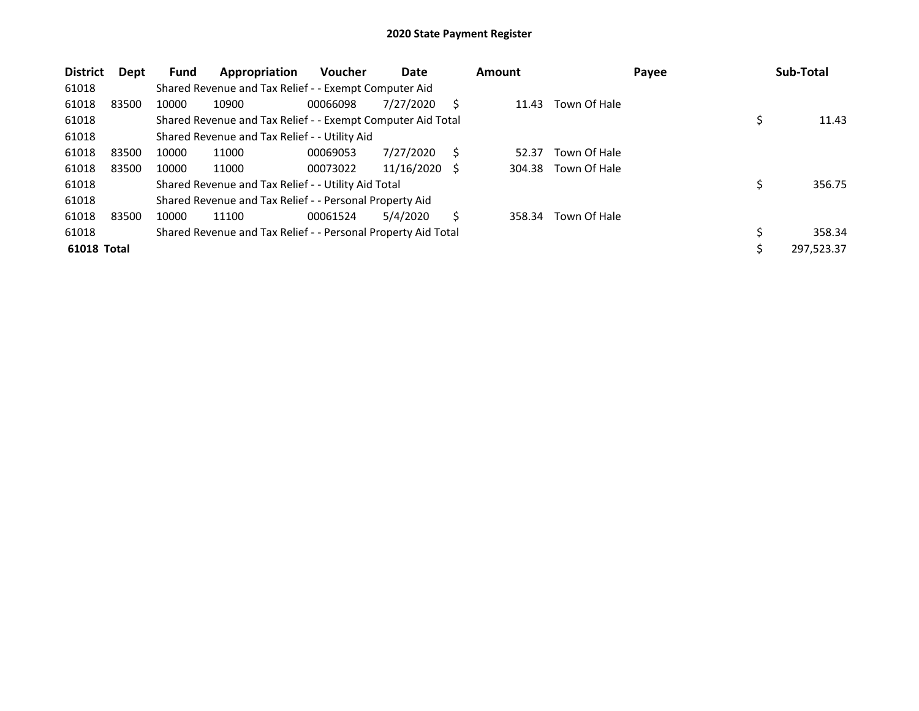| <b>District</b>    | Dept  | <b>Fund</b> | Appropriation                                                 | Voucher  | Date       |     | <b>Amount</b> |              | Payee | Sub-Total    |
|--------------------|-------|-------------|---------------------------------------------------------------|----------|------------|-----|---------------|--------------|-------|--------------|
| 61018              |       |             | Shared Revenue and Tax Relief - - Exempt Computer Aid         |          |            |     |               |              |       |              |
| 61018              | 83500 | 10000       | 10900                                                         | 00066098 | 7/27/2020  | S   | 11.43         | Town Of Hale |       |              |
| 61018              |       |             | Shared Revenue and Tax Relief - - Exempt Computer Aid Total   |          |            |     |               |              |       | 11.43        |
| 61018              |       |             | Shared Revenue and Tax Relief - - Utility Aid                 |          |            |     |               |              |       |              |
| 61018              | 83500 | 10000       | 11000                                                         | 00069053 | 7/27/2020  | S   | 52.37         | Town Of Hale |       |              |
| 61018              | 83500 | 10000       | 11000                                                         | 00073022 | 11/16/2020 | - S | 304.38        | Town Of Hale |       |              |
| 61018              |       |             | Shared Revenue and Tax Relief - - Utility Aid Total           |          |            |     |               |              |       | 356.75       |
| 61018              |       |             | Shared Revenue and Tax Relief - - Personal Property Aid       |          |            |     |               |              |       |              |
| 61018              | 83500 | 10000       | 11100                                                         | 00061524 | 5/4/2020   | S   | 358.34        | Town Of Hale |       |              |
| 61018              |       |             | Shared Revenue and Tax Relief - - Personal Property Aid Total |          |            |     |               |              |       | \$<br>358.34 |
| <b>61018 Total</b> |       |             |                                                               |          |            |     |               |              |       | 297,523.37   |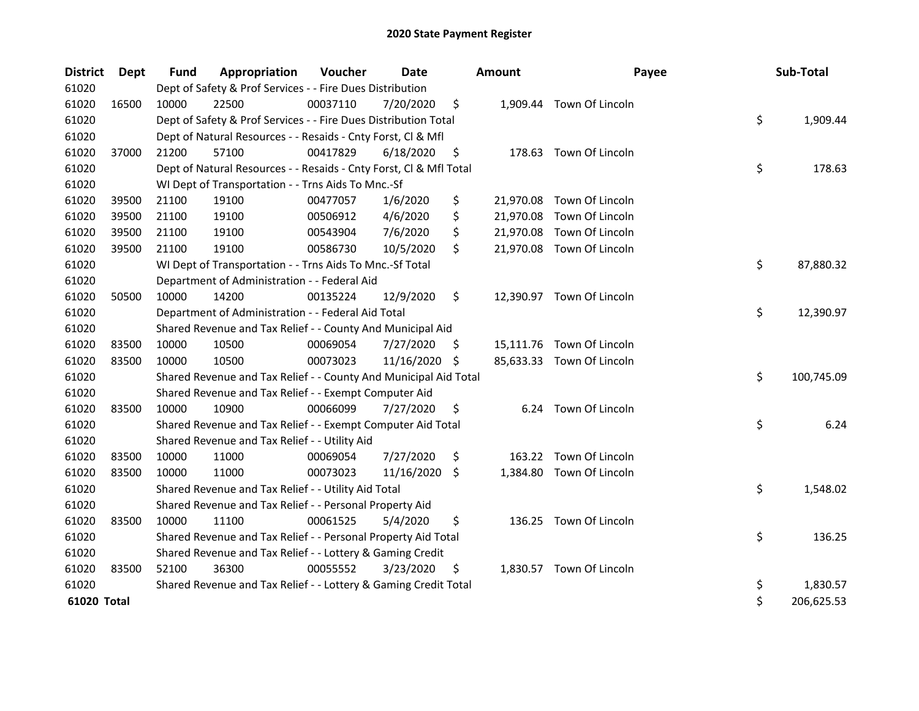| <b>District</b> | <b>Dept</b> | <b>Fund</b> | Appropriation                                                      | Voucher  | <b>Date</b>   |     | <b>Amount</b> | Payee                     | Sub-Total        |
|-----------------|-------------|-------------|--------------------------------------------------------------------|----------|---------------|-----|---------------|---------------------------|------------------|
| 61020           |             |             | Dept of Safety & Prof Services - - Fire Dues Distribution          |          |               |     |               |                           |                  |
| 61020           | 16500       | 10000       | 22500                                                              | 00037110 | 7/20/2020     | \$  |               | 1,909.44 Town Of Lincoln  |                  |
| 61020           |             |             | Dept of Safety & Prof Services - - Fire Dues Distribution Total    |          |               |     |               |                           | \$<br>1,909.44   |
| 61020           |             |             | Dept of Natural Resources - - Resaids - Cnty Forst, Cl & Mfl       |          |               |     |               |                           |                  |
| 61020           | 37000       | 21200       | 57100                                                              | 00417829 | 6/18/2020     | \$  |               | 178.63 Town Of Lincoln    |                  |
| 61020           |             |             | Dept of Natural Resources - - Resaids - Cnty Forst, Cl & Mfl Total |          |               |     |               |                           | \$<br>178.63     |
| 61020           |             |             | WI Dept of Transportation - - Trns Aids To Mnc.-Sf                 |          |               |     |               |                           |                  |
| 61020           | 39500       | 21100       | 19100                                                              | 00477057 | 1/6/2020      | \$  | 21,970.08     | Town Of Lincoln           |                  |
| 61020           | 39500       | 21100       | 19100                                                              | 00506912 | 4/6/2020      | \$  | 21,970.08     | Town Of Lincoln           |                  |
| 61020           | 39500       | 21100       | 19100                                                              | 00543904 | 7/6/2020      | \$  |               | 21,970.08 Town Of Lincoln |                  |
| 61020           | 39500       | 21100       | 19100                                                              | 00586730 | 10/5/2020     | \$  |               | 21,970.08 Town Of Lincoln |                  |
| 61020           |             |             | WI Dept of Transportation - - Trns Aids To Mnc.-Sf Total           |          |               |     |               |                           | \$<br>87,880.32  |
| 61020           |             |             | Department of Administration - - Federal Aid                       |          |               |     |               |                           |                  |
| 61020           | 50500       | 10000       | 14200                                                              | 00135224 | 12/9/2020     | \$  |               | 12,390.97 Town Of Lincoln |                  |
| 61020           |             |             | Department of Administration - - Federal Aid Total                 |          |               |     |               |                           | \$<br>12,390.97  |
| 61020           |             |             | Shared Revenue and Tax Relief - - County And Municipal Aid         |          |               |     |               |                           |                  |
| 61020           | 83500       | 10000       | 10500                                                              | 00069054 | 7/27/2020     | \$. |               | 15,111.76 Town Of Lincoln |                  |
| 61020           | 83500       | 10000       | 10500                                                              | 00073023 | 11/16/2020 \$ |     |               | 85,633.33 Town Of Lincoln |                  |
| 61020           |             |             | Shared Revenue and Tax Relief - - County And Municipal Aid Total   |          |               |     |               |                           | \$<br>100,745.09 |
| 61020           |             |             | Shared Revenue and Tax Relief - - Exempt Computer Aid              |          |               |     |               |                           |                  |
| 61020           | 83500       | 10000       | 10900                                                              | 00066099 | 7/27/2020     | \$  |               | 6.24 Town Of Lincoln      |                  |
| 61020           |             |             | Shared Revenue and Tax Relief - - Exempt Computer Aid Total        |          |               |     |               |                           | \$<br>6.24       |
| 61020           |             |             | Shared Revenue and Tax Relief - - Utility Aid                      |          |               |     |               |                           |                  |
| 61020           | 83500       | 10000       | 11000                                                              | 00069054 | 7/27/2020     | \$  | 163.22        | Town Of Lincoln           |                  |
| 61020           | 83500       | 10000       | 11000                                                              | 00073023 | 11/16/2020    | \$. | 1,384.80      | Town Of Lincoln           |                  |
| 61020           |             |             | Shared Revenue and Tax Relief - - Utility Aid Total                |          |               |     |               |                           | \$<br>1,548.02   |
| 61020           |             |             | Shared Revenue and Tax Relief - - Personal Property Aid            |          |               |     |               |                           |                  |
| 61020           | 83500       | 10000       | 11100                                                              | 00061525 | 5/4/2020      | \$  |               | 136.25 Town Of Lincoln    |                  |
| 61020           |             |             | Shared Revenue and Tax Relief - - Personal Property Aid Total      |          |               |     |               |                           | \$<br>136.25     |
| 61020           |             |             | Shared Revenue and Tax Relief - - Lottery & Gaming Credit          |          |               |     |               |                           |                  |
| 61020           | 83500       | 52100       | 36300                                                              | 00055552 | 3/23/2020     | \$  |               | 1,830.57 Town Of Lincoln  |                  |
| 61020           |             |             | Shared Revenue and Tax Relief - - Lottery & Gaming Credit Total    |          |               |     |               |                           | \$<br>1,830.57   |
| 61020 Total     |             |             |                                                                    |          |               |     |               |                           | \$<br>206,625.53 |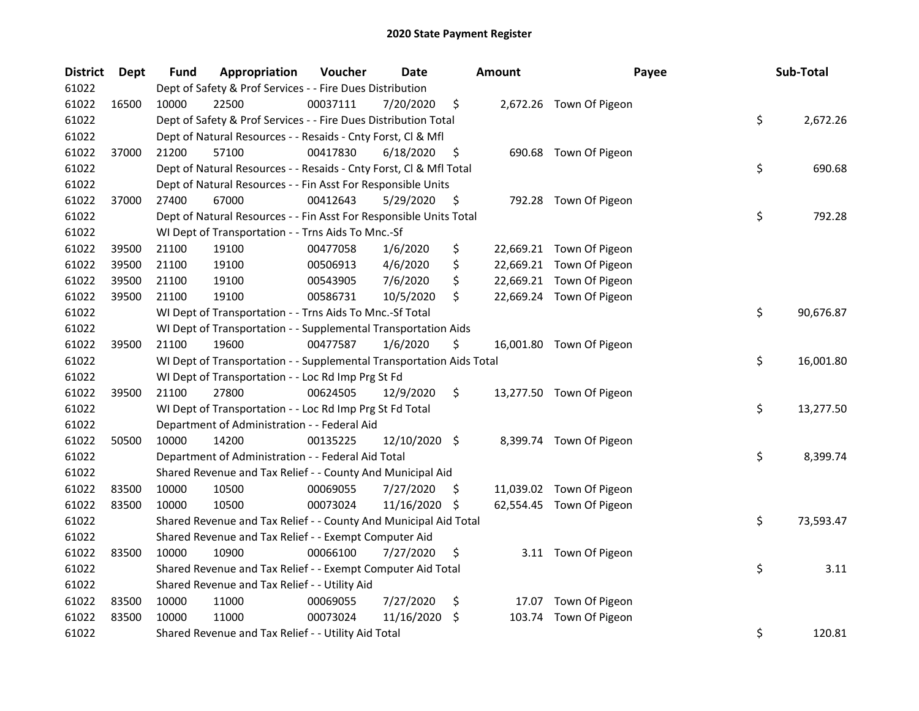| <b>District</b> | <b>Dept</b> | Fund  | Appropriation                                                        | Voucher  | Date          |    | <b>Amount</b> | Payee                    | Sub-Total       |
|-----------------|-------------|-------|----------------------------------------------------------------------|----------|---------------|----|---------------|--------------------------|-----------------|
| 61022           |             |       | Dept of Safety & Prof Services - - Fire Dues Distribution            |          |               |    |               |                          |                 |
| 61022           | 16500       | 10000 | 22500                                                                | 00037111 | 7/20/2020     | \$ |               | 2,672.26 Town Of Pigeon  |                 |
| 61022           |             |       | Dept of Safety & Prof Services - - Fire Dues Distribution Total      |          |               |    |               |                          | \$<br>2,672.26  |
| 61022           |             |       | Dept of Natural Resources - - Resaids - Cnty Forst, Cl & Mfl         |          |               |    |               |                          |                 |
| 61022           | 37000       | 21200 | 57100                                                                | 00417830 | 6/18/2020     | \$ |               | 690.68 Town Of Pigeon    |                 |
| 61022           |             |       | Dept of Natural Resources - - Resaids - Cnty Forst, Cl & Mfl Total   |          |               |    |               |                          | \$<br>690.68    |
| 61022           |             |       | Dept of Natural Resources - - Fin Asst For Responsible Units         |          |               |    |               |                          |                 |
| 61022           | 37000       | 27400 | 67000                                                                | 00412643 | 5/29/2020     | \$ |               | 792.28 Town Of Pigeon    |                 |
| 61022           |             |       | Dept of Natural Resources - - Fin Asst For Responsible Units Total   |          |               |    |               |                          | \$<br>792.28    |
| 61022           |             |       | WI Dept of Transportation - - Trns Aids To Mnc.-Sf                   |          |               |    |               |                          |                 |
| 61022           | 39500       | 21100 | 19100                                                                | 00477058 | 1/6/2020      | \$ |               | 22,669.21 Town Of Pigeon |                 |
| 61022           | 39500       | 21100 | 19100                                                                | 00506913 | 4/6/2020      | \$ |               | 22,669.21 Town Of Pigeon |                 |
| 61022           | 39500       | 21100 | 19100                                                                | 00543905 | 7/6/2020      | \$ |               | 22,669.21 Town Of Pigeon |                 |
| 61022           | 39500       | 21100 | 19100                                                                | 00586731 | 10/5/2020     | \$ |               | 22,669.24 Town Of Pigeon |                 |
| 61022           |             |       | WI Dept of Transportation - - Trns Aids To Mnc.-Sf Total             |          |               |    |               |                          | \$<br>90,676.87 |
| 61022           |             |       | WI Dept of Transportation - - Supplemental Transportation Aids       |          |               |    |               |                          |                 |
| 61022           | 39500       | 21100 | 19600                                                                | 00477587 | 1/6/2020      | \$ |               | 16,001.80 Town Of Pigeon |                 |
| 61022           |             |       | WI Dept of Transportation - - Supplemental Transportation Aids Total |          |               |    |               |                          | \$<br>16,001.80 |
| 61022           |             |       | WI Dept of Transportation - - Loc Rd Imp Prg St Fd                   |          |               |    |               |                          |                 |
| 61022           | 39500       | 21100 | 27800                                                                | 00624505 | 12/9/2020     | \$ |               | 13,277.50 Town Of Pigeon |                 |
| 61022           |             |       | WI Dept of Transportation - - Loc Rd Imp Prg St Fd Total             |          |               |    |               |                          | \$<br>13,277.50 |
| 61022           |             |       | Department of Administration - - Federal Aid                         |          |               |    |               |                          |                 |
| 61022           | 50500       | 10000 | 14200                                                                | 00135225 | 12/10/2020 \$ |    |               | 8,399.74 Town Of Pigeon  |                 |
| 61022           |             |       | Department of Administration - - Federal Aid Total                   |          |               |    |               |                          | \$<br>8,399.74  |
| 61022           |             |       | Shared Revenue and Tax Relief - - County And Municipal Aid           |          |               |    |               |                          |                 |
| 61022           | 83500       | 10000 | 10500                                                                | 00069055 | 7/27/2020     | S. |               | 11,039.02 Town Of Pigeon |                 |
| 61022           | 83500       | 10000 | 10500                                                                | 00073024 | 11/16/2020    | \$ |               | 62,554.45 Town Of Pigeon |                 |
| 61022           |             |       | Shared Revenue and Tax Relief - - County And Municipal Aid Total     |          |               |    |               |                          | \$<br>73,593.47 |
| 61022           |             |       | Shared Revenue and Tax Relief - - Exempt Computer Aid                |          |               |    |               |                          |                 |
| 61022           | 83500       | 10000 | 10900                                                                | 00066100 | 7/27/2020     | \$ |               | 3.11 Town Of Pigeon      |                 |
| 61022           |             |       | Shared Revenue and Tax Relief - - Exempt Computer Aid Total          |          |               |    |               |                          | \$<br>3.11      |
| 61022           |             |       | Shared Revenue and Tax Relief - - Utility Aid                        |          |               |    |               |                          |                 |
| 61022           | 83500       | 10000 | 11000                                                                | 00069055 | 7/27/2020     | \$ | 17.07         | Town Of Pigeon           |                 |
| 61022           | 83500       | 10000 | 11000                                                                | 00073024 | 11/16/2020    | \$ | 103.74        | Town Of Pigeon           |                 |
| 61022           |             |       | Shared Revenue and Tax Relief - - Utility Aid Total                  |          |               |    |               |                          | \$<br>120.81    |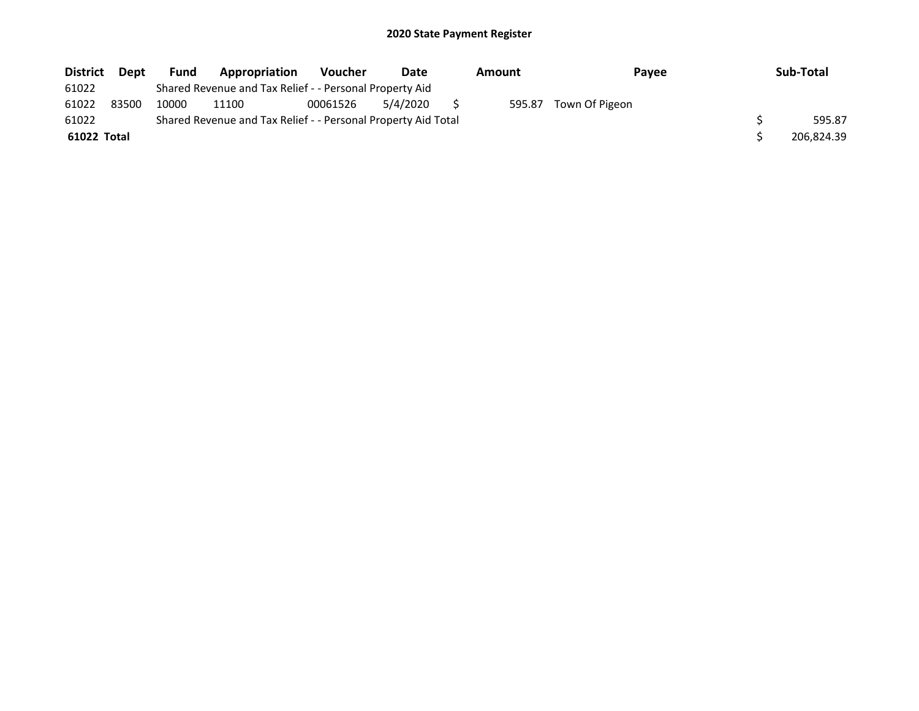| <b>District</b> | <b>Dept</b> | <b>Fund</b> | Appropriation                                                 | <b>Voucher</b> | Date     | Amount | <b>Pavee</b>   | Sub-Total  |
|-----------------|-------------|-------------|---------------------------------------------------------------|----------------|----------|--------|----------------|------------|
| 61022           |             |             | Shared Revenue and Tax Relief - - Personal Property Aid       |                |          |        |                |            |
| 61022           | 83500       | 10000       | 11100                                                         | 00061526       | 5/4/2020 | 595.87 | Town Of Pigeon |            |
| 61022           |             |             | Shared Revenue and Tax Relief - - Personal Property Aid Total |                |          |        |                | 595.87     |
| 61022 Total     |             |             |                                                               |                |          |        |                | 206.824.39 |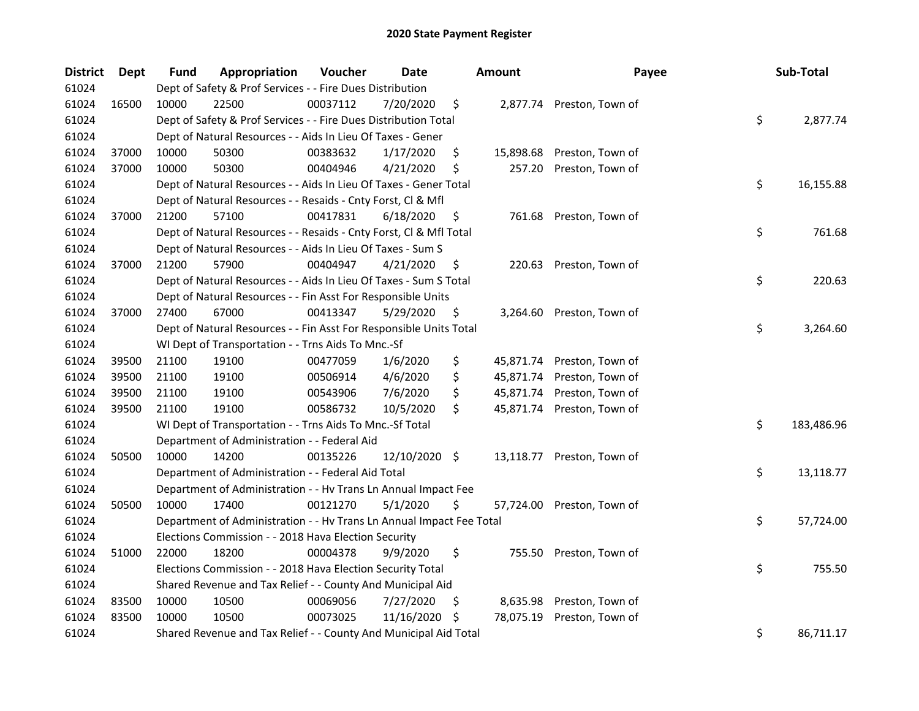| <b>District</b> | Dept  | Fund  | Appropriation                                                        | Voucher  | <b>Date</b>   |     | <b>Amount</b> | Payee                      | Sub-Total        |
|-----------------|-------|-------|----------------------------------------------------------------------|----------|---------------|-----|---------------|----------------------------|------------------|
| 61024           |       |       | Dept of Safety & Prof Services - - Fire Dues Distribution            |          |               |     |               |                            |                  |
| 61024           | 16500 | 10000 | 22500                                                                | 00037112 | 7/20/2020     | \$  |               | 2,877.74 Preston, Town of  |                  |
| 61024           |       |       | Dept of Safety & Prof Services - - Fire Dues Distribution Total      |          |               |     |               |                            | \$<br>2,877.74   |
| 61024           |       |       | Dept of Natural Resources - - Aids In Lieu Of Taxes - Gener          |          |               |     |               |                            |                  |
| 61024           | 37000 | 10000 | 50300                                                                | 00383632 | 1/17/2020     | \$  | 15,898.68     | Preston, Town of           |                  |
| 61024           | 37000 | 10000 | 50300                                                                | 00404946 | 4/21/2020     | \$  | 257.20        | Preston, Town of           |                  |
| 61024           |       |       | Dept of Natural Resources - - Aids In Lieu Of Taxes - Gener Total    |          |               |     |               |                            | \$<br>16,155.88  |
| 61024           |       |       | Dept of Natural Resources - - Resaids - Cnty Forst, Cl & Mfl         |          |               |     |               |                            |                  |
| 61024           | 37000 | 21200 | 57100                                                                | 00417831 | 6/18/2020     | \$  |               | 761.68 Preston, Town of    |                  |
| 61024           |       |       | Dept of Natural Resources - - Resaids - Cnty Forst, Cl & Mfl Total   |          |               |     |               |                            | \$<br>761.68     |
| 61024           |       |       | Dept of Natural Resources - - Aids In Lieu Of Taxes - Sum S          |          |               |     |               |                            |                  |
| 61024           | 37000 | 21200 | 57900                                                                | 00404947 | 4/21/2020     | \$  |               | 220.63 Preston, Town of    |                  |
| 61024           |       |       | Dept of Natural Resources - - Aids In Lieu Of Taxes - Sum S Total    |          |               |     |               |                            | \$<br>220.63     |
| 61024           |       |       | Dept of Natural Resources - - Fin Asst For Responsible Units         |          |               |     |               |                            |                  |
| 61024           | 37000 | 27400 | 67000                                                                | 00413347 | 5/29/2020     | \$. | 3,264.60      | Preston, Town of           |                  |
| 61024           |       |       | Dept of Natural Resources - - Fin Asst For Responsible Units Total   |          |               |     |               |                            | \$<br>3,264.60   |
| 61024           |       |       | WI Dept of Transportation - - Trns Aids To Mnc.-Sf                   |          |               |     |               |                            |                  |
| 61024           | 39500 | 21100 | 19100                                                                | 00477059 | 1/6/2020      | \$  |               | 45,871.74 Preston, Town of |                  |
| 61024           | 39500 | 21100 | 19100                                                                | 00506914 | 4/6/2020      | \$  | 45,871.74     | Preston, Town of           |                  |
| 61024           | 39500 | 21100 | 19100                                                                | 00543906 | 7/6/2020      | \$  |               | 45,871.74 Preston, Town of |                  |
| 61024           | 39500 | 21100 | 19100                                                                | 00586732 | 10/5/2020     | \$  |               | 45,871.74 Preston, Town of |                  |
| 61024           |       |       | WI Dept of Transportation - - Trns Aids To Mnc.-Sf Total             |          |               |     |               |                            | \$<br>183,486.96 |
| 61024           |       |       | Department of Administration - - Federal Aid                         |          |               |     |               |                            |                  |
| 61024           | 50500 | 10000 | 14200                                                                | 00135226 | 12/10/2020 \$ |     |               | 13,118.77 Preston, Town of |                  |
| 61024           |       |       | Department of Administration - - Federal Aid Total                   |          |               |     |               |                            | \$<br>13,118.77  |
| 61024           |       |       | Department of Administration - - Hv Trans Ln Annual Impact Fee       |          |               |     |               |                            |                  |
| 61024           | 50500 | 10000 | 17400                                                                | 00121270 | 5/1/2020      | \$. |               | 57,724.00 Preston, Town of |                  |
| 61024           |       |       | Department of Administration - - Hv Trans Ln Annual Impact Fee Total |          |               |     |               |                            | \$<br>57,724.00  |
| 61024           |       |       | Elections Commission - - 2018 Hava Election Security                 |          |               |     |               |                            |                  |
| 61024           | 51000 | 22000 | 18200                                                                | 00004378 | 9/9/2020      | \$  |               | 755.50 Preston, Town of    |                  |
| 61024           |       |       | Elections Commission - - 2018 Hava Election Security Total           |          |               |     |               |                            | \$<br>755.50     |
| 61024           |       |       | Shared Revenue and Tax Relief - - County And Municipal Aid           |          |               |     |               |                            |                  |
| 61024           | 83500 | 10000 | 10500                                                                | 00069056 | 7/27/2020     | Ş   | 8,635.98      | Preston, Town of           |                  |
| 61024           | 83500 | 10000 | 10500                                                                | 00073025 | 11/16/2020    | \$. | 78,075.19     | Preston, Town of           |                  |
| 61024           |       |       | Shared Revenue and Tax Relief - - County And Municipal Aid Total     |          |               |     |               |                            | \$<br>86,711.17  |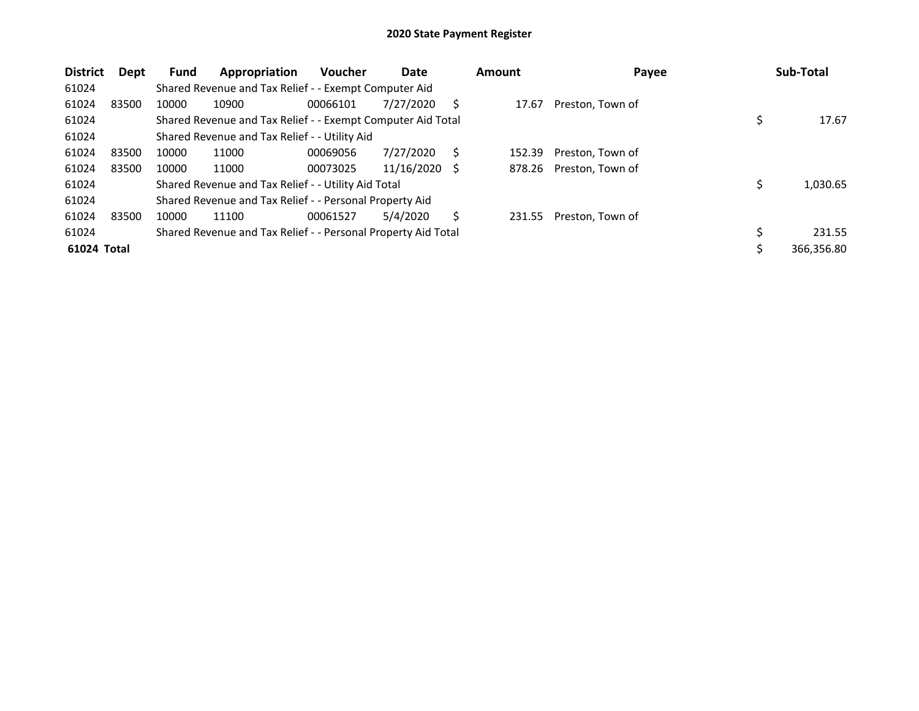| <b>District</b> | Dept  | <b>Fund</b> | Appropriation                                                 | Voucher  | Date       |    | <b>Amount</b> | Payee            | Sub-Total  |
|-----------------|-------|-------------|---------------------------------------------------------------|----------|------------|----|---------------|------------------|------------|
| 61024           |       |             | Shared Revenue and Tax Relief - - Exempt Computer Aid         |          |            |    |               |                  |            |
| 61024           | 83500 | 10000       | 10900                                                         | 00066101 | 7/27/2020  | S  | 17.67         | Preston, Town of |            |
| 61024           |       |             | Shared Revenue and Tax Relief - - Exempt Computer Aid Total   |          |            |    |               |                  | 17.67      |
| 61024           |       |             | Shared Revenue and Tax Relief - - Utility Aid                 |          |            |    |               |                  |            |
| 61024           | 83500 | 10000       | 11000                                                         | 00069056 | 7/27/2020  | S  | 152.39        | Preston, Town of |            |
| 61024           | 83500 | 10000       | 11000                                                         | 00073025 | 11/16/2020 | S. | 878.26        | Preston, Town of |            |
| 61024           |       |             | Shared Revenue and Tax Relief - - Utility Aid Total           |          |            |    |               |                  | 1,030.65   |
| 61024           |       |             | Shared Revenue and Tax Relief - - Personal Property Aid       |          |            |    |               |                  |            |
| 61024           | 83500 | 10000       | 11100                                                         | 00061527 | 5/4/2020   | Ś  | 231.55        | Preston, Town of |            |
| 61024           |       |             | Shared Revenue and Tax Relief - - Personal Property Aid Total |          |            |    |               |                  | 231.55     |
| 61024 Total     |       |             |                                                               |          |            |    |               |                  | 366,356.80 |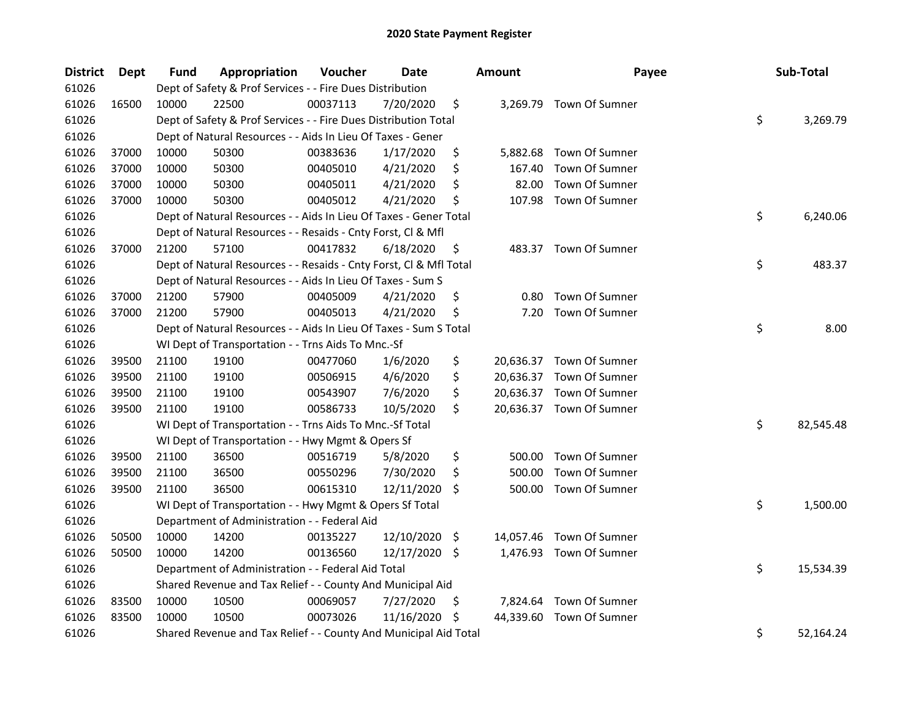| 61026<br>Dept of Safety & Prof Services - - Fire Dues Distribution<br>61026<br>16500<br>22500<br>00037113<br>\$<br>10000<br>7/20/2020<br>3,269.79 Town Of Sumner<br>\$<br>61026<br>Dept of Safety & Prof Services - - Fire Dues Distribution Total<br>3,269.79<br>61026<br>Dept of Natural Resources - - Aids In Lieu Of Taxes - Gener<br>61026<br>\$<br>37000<br>10000<br>50300<br>00383636<br>1/17/2020<br>5,882.68<br>Town Of Sumner<br>61026<br>37000<br>10000<br>50300<br>\$<br>Town Of Sumner<br>00405010<br>4/21/2020<br>167.40<br>61026<br>37000<br>Town Of Sumner<br>10000<br>50300<br>00405011<br>4/21/2020<br>\$<br>82.00<br>61026<br>37000<br>10000<br>50300<br>00405012<br>4/21/2020<br>\$<br>107.98<br>Town Of Sumner<br>\$<br>61026<br>6,240.06<br>Dept of Natural Resources - - Aids In Lieu Of Taxes - Gener Total<br>61026<br>Dept of Natural Resources - - Resaids - Cnty Forst, Cl & Mfl<br>61026<br>21200<br>57100<br>00417832<br>6/18/2020<br>483.37 Town Of Sumner<br>37000<br>\$<br>\$<br>61026<br>483.37<br>Dept of Natural Resources - - Resaids - Cnty Forst, Cl & Mfl Total<br>61026<br>Dept of Natural Resources - - Aids In Lieu Of Taxes - Sum S<br>Town Of Sumner<br>61026<br>37000<br>21200<br>57900<br>00405009<br>4/21/2020<br>\$<br>0.80<br>61026<br>37000<br>21200<br>57900<br>4/21/2020<br>\$<br>Town Of Sumner<br>00405013<br>7.20<br>\$<br>8.00<br>61026<br>Dept of Natural Resources - - Aids In Lieu Of Taxes - Sum S Total<br>61026<br>WI Dept of Transportation - - Trns Aids To Mnc.-Sf<br>61026<br>39500<br>21100<br>19100<br>00477060<br>1/6/2020<br>\$<br>20,636.37 Town Of Sumner<br>\$<br>61026<br>39500<br>21100<br>19100<br>4/6/2020<br>Town Of Sumner<br>00506915<br>20,636.37<br>7/6/2020<br>\$<br>61026<br>39500<br>21100<br>19100<br>00543907<br>20,636.37 Town Of Sumner<br>61026<br>\$<br>39500<br>21100<br>19100<br>00586733<br>10/5/2020<br>20,636.37 Town Of Sumner<br>\$<br>61026<br>WI Dept of Transportation - - Trns Aids To Mnc.-Sf Total<br>82,545.48<br>61026<br>WI Dept of Transportation - - Hwy Mgmt & Opers Sf<br>\$<br>61026<br>39500<br>21100<br>36500<br>00516719<br>5/8/2020<br>Town Of Sumner<br>500.00<br>61026<br>39500<br>21100<br>36500<br>7/30/2020<br>\$<br>Town Of Sumner<br>00550296<br>500.00<br>61026<br>Town Of Sumner<br>39500<br>21100<br>36500<br>00615310<br>12/11/2020<br>Ŝ.<br>500.00<br>\$<br>61026<br>WI Dept of Transportation - - Hwy Mgmt & Opers Sf Total<br>1,500.00<br>61026<br>Department of Administration - - Federal Aid<br>61026<br>12/10/2020<br>Town Of Sumner<br>50500<br>10000<br>14200<br>00135227<br>14,057.46<br>-\$<br>61026<br>50500<br>10000<br>14200<br>00136560<br>12/17/2020 \$<br>1,476.93 Town Of Sumner<br>\$<br>61026<br>15,534.39<br>Department of Administration - - Federal Aid Total<br>61026<br>Shared Revenue and Tax Relief - - County And Municipal Aid<br>61026<br>10000<br>10500<br>00069057<br>7/27/2020<br>7,824.64 Town Of Sumner<br>83500<br>\$<br>11/16/2020<br>61026<br>83500<br>10000<br>10500<br>00073026<br>\$<br>44,339.60<br>Town Of Sumner | <b>District</b> | <b>Dept</b> | Fund | Appropriation | Voucher | <b>Date</b> | <b>Amount</b> | Payee | Sub-Total       |
|----------------------------------------------------------------------------------------------------------------------------------------------------------------------------------------------------------------------------------------------------------------------------------------------------------------------------------------------------------------------------------------------------------------------------------------------------------------------------------------------------------------------------------------------------------------------------------------------------------------------------------------------------------------------------------------------------------------------------------------------------------------------------------------------------------------------------------------------------------------------------------------------------------------------------------------------------------------------------------------------------------------------------------------------------------------------------------------------------------------------------------------------------------------------------------------------------------------------------------------------------------------------------------------------------------------------------------------------------------------------------------------------------------------------------------------------------------------------------------------------------------------------------------------------------------------------------------------------------------------------------------------------------------------------------------------------------------------------------------------------------------------------------------------------------------------------------------------------------------------------------------------------------------------------------------------------------------------------------------------------------------------------------------------------------------------------------------------------------------------------------------------------------------------------------------------------------------------------------------------------------------------------------------------------------------------------------------------------------------------------------------------------------------------------------------------------------------------------------------------------------------------------------------------------------------------------------------------------------------------------------------------------------------------------------------------------------------------------------------------------------------------------------------------------------------------------------------------------------------------------------------------------------------------------------------------------------------------------------------------------------------------------------------------------------------------------------------------------|-----------------|-------------|------|---------------|---------|-------------|---------------|-------|-----------------|
|                                                                                                                                                                                                                                                                                                                                                                                                                                                                                                                                                                                                                                                                                                                                                                                                                                                                                                                                                                                                                                                                                                                                                                                                                                                                                                                                                                                                                                                                                                                                                                                                                                                                                                                                                                                                                                                                                                                                                                                                                                                                                                                                                                                                                                                                                                                                                                                                                                                                                                                                                                                                                                                                                                                                                                                                                                                                                                                                                                                                                                                                                              |                 |             |      |               |         |             |               |       |                 |
|                                                                                                                                                                                                                                                                                                                                                                                                                                                                                                                                                                                                                                                                                                                                                                                                                                                                                                                                                                                                                                                                                                                                                                                                                                                                                                                                                                                                                                                                                                                                                                                                                                                                                                                                                                                                                                                                                                                                                                                                                                                                                                                                                                                                                                                                                                                                                                                                                                                                                                                                                                                                                                                                                                                                                                                                                                                                                                                                                                                                                                                                                              |                 |             |      |               |         |             |               |       |                 |
|                                                                                                                                                                                                                                                                                                                                                                                                                                                                                                                                                                                                                                                                                                                                                                                                                                                                                                                                                                                                                                                                                                                                                                                                                                                                                                                                                                                                                                                                                                                                                                                                                                                                                                                                                                                                                                                                                                                                                                                                                                                                                                                                                                                                                                                                                                                                                                                                                                                                                                                                                                                                                                                                                                                                                                                                                                                                                                                                                                                                                                                                                              |                 |             |      |               |         |             |               |       |                 |
|                                                                                                                                                                                                                                                                                                                                                                                                                                                                                                                                                                                                                                                                                                                                                                                                                                                                                                                                                                                                                                                                                                                                                                                                                                                                                                                                                                                                                                                                                                                                                                                                                                                                                                                                                                                                                                                                                                                                                                                                                                                                                                                                                                                                                                                                                                                                                                                                                                                                                                                                                                                                                                                                                                                                                                                                                                                                                                                                                                                                                                                                                              |                 |             |      |               |         |             |               |       |                 |
|                                                                                                                                                                                                                                                                                                                                                                                                                                                                                                                                                                                                                                                                                                                                                                                                                                                                                                                                                                                                                                                                                                                                                                                                                                                                                                                                                                                                                                                                                                                                                                                                                                                                                                                                                                                                                                                                                                                                                                                                                                                                                                                                                                                                                                                                                                                                                                                                                                                                                                                                                                                                                                                                                                                                                                                                                                                                                                                                                                                                                                                                                              |                 |             |      |               |         |             |               |       |                 |
|                                                                                                                                                                                                                                                                                                                                                                                                                                                                                                                                                                                                                                                                                                                                                                                                                                                                                                                                                                                                                                                                                                                                                                                                                                                                                                                                                                                                                                                                                                                                                                                                                                                                                                                                                                                                                                                                                                                                                                                                                                                                                                                                                                                                                                                                                                                                                                                                                                                                                                                                                                                                                                                                                                                                                                                                                                                                                                                                                                                                                                                                                              |                 |             |      |               |         |             |               |       |                 |
|                                                                                                                                                                                                                                                                                                                                                                                                                                                                                                                                                                                                                                                                                                                                                                                                                                                                                                                                                                                                                                                                                                                                                                                                                                                                                                                                                                                                                                                                                                                                                                                                                                                                                                                                                                                                                                                                                                                                                                                                                                                                                                                                                                                                                                                                                                                                                                                                                                                                                                                                                                                                                                                                                                                                                                                                                                                                                                                                                                                                                                                                                              |                 |             |      |               |         |             |               |       |                 |
|                                                                                                                                                                                                                                                                                                                                                                                                                                                                                                                                                                                                                                                                                                                                                                                                                                                                                                                                                                                                                                                                                                                                                                                                                                                                                                                                                                                                                                                                                                                                                                                                                                                                                                                                                                                                                                                                                                                                                                                                                                                                                                                                                                                                                                                                                                                                                                                                                                                                                                                                                                                                                                                                                                                                                                                                                                                                                                                                                                                                                                                                                              |                 |             |      |               |         |             |               |       |                 |
|                                                                                                                                                                                                                                                                                                                                                                                                                                                                                                                                                                                                                                                                                                                                                                                                                                                                                                                                                                                                                                                                                                                                                                                                                                                                                                                                                                                                                                                                                                                                                                                                                                                                                                                                                                                                                                                                                                                                                                                                                                                                                                                                                                                                                                                                                                                                                                                                                                                                                                                                                                                                                                                                                                                                                                                                                                                                                                                                                                                                                                                                                              |                 |             |      |               |         |             |               |       |                 |
|                                                                                                                                                                                                                                                                                                                                                                                                                                                                                                                                                                                                                                                                                                                                                                                                                                                                                                                                                                                                                                                                                                                                                                                                                                                                                                                                                                                                                                                                                                                                                                                                                                                                                                                                                                                                                                                                                                                                                                                                                                                                                                                                                                                                                                                                                                                                                                                                                                                                                                                                                                                                                                                                                                                                                                                                                                                                                                                                                                                                                                                                                              |                 |             |      |               |         |             |               |       |                 |
|                                                                                                                                                                                                                                                                                                                                                                                                                                                                                                                                                                                                                                                                                                                                                                                                                                                                                                                                                                                                                                                                                                                                                                                                                                                                                                                                                                                                                                                                                                                                                                                                                                                                                                                                                                                                                                                                                                                                                                                                                                                                                                                                                                                                                                                                                                                                                                                                                                                                                                                                                                                                                                                                                                                                                                                                                                                                                                                                                                                                                                                                                              |                 |             |      |               |         |             |               |       |                 |
|                                                                                                                                                                                                                                                                                                                                                                                                                                                                                                                                                                                                                                                                                                                                                                                                                                                                                                                                                                                                                                                                                                                                                                                                                                                                                                                                                                                                                                                                                                                                                                                                                                                                                                                                                                                                                                                                                                                                                                                                                                                                                                                                                                                                                                                                                                                                                                                                                                                                                                                                                                                                                                                                                                                                                                                                                                                                                                                                                                                                                                                                                              |                 |             |      |               |         |             |               |       |                 |
|                                                                                                                                                                                                                                                                                                                                                                                                                                                                                                                                                                                                                                                                                                                                                                                                                                                                                                                                                                                                                                                                                                                                                                                                                                                                                                                                                                                                                                                                                                                                                                                                                                                                                                                                                                                                                                                                                                                                                                                                                                                                                                                                                                                                                                                                                                                                                                                                                                                                                                                                                                                                                                                                                                                                                                                                                                                                                                                                                                                                                                                                                              |                 |             |      |               |         |             |               |       |                 |
|                                                                                                                                                                                                                                                                                                                                                                                                                                                                                                                                                                                                                                                                                                                                                                                                                                                                                                                                                                                                                                                                                                                                                                                                                                                                                                                                                                                                                                                                                                                                                                                                                                                                                                                                                                                                                                                                                                                                                                                                                                                                                                                                                                                                                                                                                                                                                                                                                                                                                                                                                                                                                                                                                                                                                                                                                                                                                                                                                                                                                                                                                              |                 |             |      |               |         |             |               |       |                 |
|                                                                                                                                                                                                                                                                                                                                                                                                                                                                                                                                                                                                                                                                                                                                                                                                                                                                                                                                                                                                                                                                                                                                                                                                                                                                                                                                                                                                                                                                                                                                                                                                                                                                                                                                                                                                                                                                                                                                                                                                                                                                                                                                                                                                                                                                                                                                                                                                                                                                                                                                                                                                                                                                                                                                                                                                                                                                                                                                                                                                                                                                                              |                 |             |      |               |         |             |               |       |                 |
|                                                                                                                                                                                                                                                                                                                                                                                                                                                                                                                                                                                                                                                                                                                                                                                                                                                                                                                                                                                                                                                                                                                                                                                                                                                                                                                                                                                                                                                                                                                                                                                                                                                                                                                                                                                                                                                                                                                                                                                                                                                                                                                                                                                                                                                                                                                                                                                                                                                                                                                                                                                                                                                                                                                                                                                                                                                                                                                                                                                                                                                                                              |                 |             |      |               |         |             |               |       |                 |
|                                                                                                                                                                                                                                                                                                                                                                                                                                                                                                                                                                                                                                                                                                                                                                                                                                                                                                                                                                                                                                                                                                                                                                                                                                                                                                                                                                                                                                                                                                                                                                                                                                                                                                                                                                                                                                                                                                                                                                                                                                                                                                                                                                                                                                                                                                                                                                                                                                                                                                                                                                                                                                                                                                                                                                                                                                                                                                                                                                                                                                                                                              |                 |             |      |               |         |             |               |       |                 |
|                                                                                                                                                                                                                                                                                                                                                                                                                                                                                                                                                                                                                                                                                                                                                                                                                                                                                                                                                                                                                                                                                                                                                                                                                                                                                                                                                                                                                                                                                                                                                                                                                                                                                                                                                                                                                                                                                                                                                                                                                                                                                                                                                                                                                                                                                                                                                                                                                                                                                                                                                                                                                                                                                                                                                                                                                                                                                                                                                                                                                                                                                              |                 |             |      |               |         |             |               |       |                 |
|                                                                                                                                                                                                                                                                                                                                                                                                                                                                                                                                                                                                                                                                                                                                                                                                                                                                                                                                                                                                                                                                                                                                                                                                                                                                                                                                                                                                                                                                                                                                                                                                                                                                                                                                                                                                                                                                                                                                                                                                                                                                                                                                                                                                                                                                                                                                                                                                                                                                                                                                                                                                                                                                                                                                                                                                                                                                                                                                                                                                                                                                                              |                 |             |      |               |         |             |               |       |                 |
|                                                                                                                                                                                                                                                                                                                                                                                                                                                                                                                                                                                                                                                                                                                                                                                                                                                                                                                                                                                                                                                                                                                                                                                                                                                                                                                                                                                                                                                                                                                                                                                                                                                                                                                                                                                                                                                                                                                                                                                                                                                                                                                                                                                                                                                                                                                                                                                                                                                                                                                                                                                                                                                                                                                                                                                                                                                                                                                                                                                                                                                                                              |                 |             |      |               |         |             |               |       |                 |
|                                                                                                                                                                                                                                                                                                                                                                                                                                                                                                                                                                                                                                                                                                                                                                                                                                                                                                                                                                                                                                                                                                                                                                                                                                                                                                                                                                                                                                                                                                                                                                                                                                                                                                                                                                                                                                                                                                                                                                                                                                                                                                                                                                                                                                                                                                                                                                                                                                                                                                                                                                                                                                                                                                                                                                                                                                                                                                                                                                                                                                                                                              |                 |             |      |               |         |             |               |       |                 |
|                                                                                                                                                                                                                                                                                                                                                                                                                                                                                                                                                                                                                                                                                                                                                                                                                                                                                                                                                                                                                                                                                                                                                                                                                                                                                                                                                                                                                                                                                                                                                                                                                                                                                                                                                                                                                                                                                                                                                                                                                                                                                                                                                                                                                                                                                                                                                                                                                                                                                                                                                                                                                                                                                                                                                                                                                                                                                                                                                                                                                                                                                              |                 |             |      |               |         |             |               |       |                 |
|                                                                                                                                                                                                                                                                                                                                                                                                                                                                                                                                                                                                                                                                                                                                                                                                                                                                                                                                                                                                                                                                                                                                                                                                                                                                                                                                                                                                                                                                                                                                                                                                                                                                                                                                                                                                                                                                                                                                                                                                                                                                                                                                                                                                                                                                                                                                                                                                                                                                                                                                                                                                                                                                                                                                                                                                                                                                                                                                                                                                                                                                                              |                 |             |      |               |         |             |               |       |                 |
|                                                                                                                                                                                                                                                                                                                                                                                                                                                                                                                                                                                                                                                                                                                                                                                                                                                                                                                                                                                                                                                                                                                                                                                                                                                                                                                                                                                                                                                                                                                                                                                                                                                                                                                                                                                                                                                                                                                                                                                                                                                                                                                                                                                                                                                                                                                                                                                                                                                                                                                                                                                                                                                                                                                                                                                                                                                                                                                                                                                                                                                                                              |                 |             |      |               |         |             |               |       |                 |
|                                                                                                                                                                                                                                                                                                                                                                                                                                                                                                                                                                                                                                                                                                                                                                                                                                                                                                                                                                                                                                                                                                                                                                                                                                                                                                                                                                                                                                                                                                                                                                                                                                                                                                                                                                                                                                                                                                                                                                                                                                                                                                                                                                                                                                                                                                                                                                                                                                                                                                                                                                                                                                                                                                                                                                                                                                                                                                                                                                                                                                                                                              |                 |             |      |               |         |             |               |       |                 |
|                                                                                                                                                                                                                                                                                                                                                                                                                                                                                                                                                                                                                                                                                                                                                                                                                                                                                                                                                                                                                                                                                                                                                                                                                                                                                                                                                                                                                                                                                                                                                                                                                                                                                                                                                                                                                                                                                                                                                                                                                                                                                                                                                                                                                                                                                                                                                                                                                                                                                                                                                                                                                                                                                                                                                                                                                                                                                                                                                                                                                                                                                              |                 |             |      |               |         |             |               |       |                 |
|                                                                                                                                                                                                                                                                                                                                                                                                                                                                                                                                                                                                                                                                                                                                                                                                                                                                                                                                                                                                                                                                                                                                                                                                                                                                                                                                                                                                                                                                                                                                                                                                                                                                                                                                                                                                                                                                                                                                                                                                                                                                                                                                                                                                                                                                                                                                                                                                                                                                                                                                                                                                                                                                                                                                                                                                                                                                                                                                                                                                                                                                                              |                 |             |      |               |         |             |               |       |                 |
|                                                                                                                                                                                                                                                                                                                                                                                                                                                                                                                                                                                                                                                                                                                                                                                                                                                                                                                                                                                                                                                                                                                                                                                                                                                                                                                                                                                                                                                                                                                                                                                                                                                                                                                                                                                                                                                                                                                                                                                                                                                                                                                                                                                                                                                                                                                                                                                                                                                                                                                                                                                                                                                                                                                                                                                                                                                                                                                                                                                                                                                                                              |                 |             |      |               |         |             |               |       |                 |
|                                                                                                                                                                                                                                                                                                                                                                                                                                                                                                                                                                                                                                                                                                                                                                                                                                                                                                                                                                                                                                                                                                                                                                                                                                                                                                                                                                                                                                                                                                                                                                                                                                                                                                                                                                                                                                                                                                                                                                                                                                                                                                                                                                                                                                                                                                                                                                                                                                                                                                                                                                                                                                                                                                                                                                                                                                                                                                                                                                                                                                                                                              |                 |             |      |               |         |             |               |       |                 |
|                                                                                                                                                                                                                                                                                                                                                                                                                                                                                                                                                                                                                                                                                                                                                                                                                                                                                                                                                                                                                                                                                                                                                                                                                                                                                                                                                                                                                                                                                                                                                                                                                                                                                                                                                                                                                                                                                                                                                                                                                                                                                                                                                                                                                                                                                                                                                                                                                                                                                                                                                                                                                                                                                                                                                                                                                                                                                                                                                                                                                                                                                              |                 |             |      |               |         |             |               |       |                 |
|                                                                                                                                                                                                                                                                                                                                                                                                                                                                                                                                                                                                                                                                                                                                                                                                                                                                                                                                                                                                                                                                                                                                                                                                                                                                                                                                                                                                                                                                                                                                                                                                                                                                                                                                                                                                                                                                                                                                                                                                                                                                                                                                                                                                                                                                                                                                                                                                                                                                                                                                                                                                                                                                                                                                                                                                                                                                                                                                                                                                                                                                                              |                 |             |      |               |         |             |               |       |                 |
|                                                                                                                                                                                                                                                                                                                                                                                                                                                                                                                                                                                                                                                                                                                                                                                                                                                                                                                                                                                                                                                                                                                                                                                                                                                                                                                                                                                                                                                                                                                                                                                                                                                                                                                                                                                                                                                                                                                                                                                                                                                                                                                                                                                                                                                                                                                                                                                                                                                                                                                                                                                                                                                                                                                                                                                                                                                                                                                                                                                                                                                                                              |                 |             |      |               |         |             |               |       |                 |
|                                                                                                                                                                                                                                                                                                                                                                                                                                                                                                                                                                                                                                                                                                                                                                                                                                                                                                                                                                                                                                                                                                                                                                                                                                                                                                                                                                                                                                                                                                                                                                                                                                                                                                                                                                                                                                                                                                                                                                                                                                                                                                                                                                                                                                                                                                                                                                                                                                                                                                                                                                                                                                                                                                                                                                                                                                                                                                                                                                                                                                                                                              |                 |             |      |               |         |             |               |       |                 |
|                                                                                                                                                                                                                                                                                                                                                                                                                                                                                                                                                                                                                                                                                                                                                                                                                                                                                                                                                                                                                                                                                                                                                                                                                                                                                                                                                                                                                                                                                                                                                                                                                                                                                                                                                                                                                                                                                                                                                                                                                                                                                                                                                                                                                                                                                                                                                                                                                                                                                                                                                                                                                                                                                                                                                                                                                                                                                                                                                                                                                                                                                              |                 |             |      |               |         |             |               |       |                 |
| Shared Revenue and Tax Relief - - County And Municipal Aid Total                                                                                                                                                                                                                                                                                                                                                                                                                                                                                                                                                                                                                                                                                                                                                                                                                                                                                                                                                                                                                                                                                                                                                                                                                                                                                                                                                                                                                                                                                                                                                                                                                                                                                                                                                                                                                                                                                                                                                                                                                                                                                                                                                                                                                                                                                                                                                                                                                                                                                                                                                                                                                                                                                                                                                                                                                                                                                                                                                                                                                             | 61026           |             |      |               |         |             |               |       | \$<br>52,164.24 |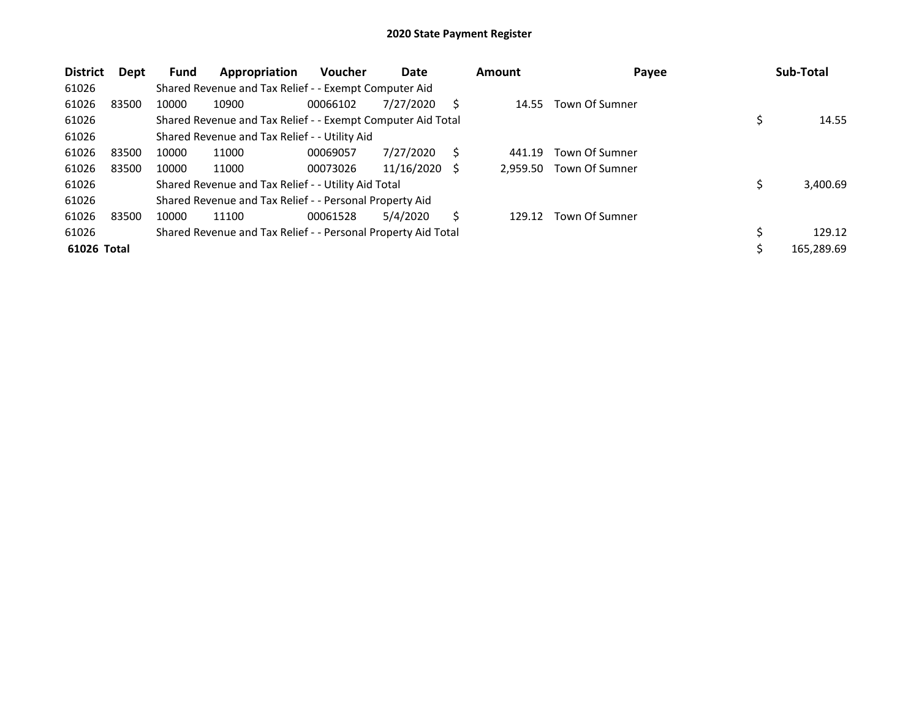| <b>District</b> | Dept  | <b>Fund</b> | Appropriation                                                 | <b>Voucher</b> | Date       |     | <b>Amount</b> | Payee          | Sub-Total    |
|-----------------|-------|-------------|---------------------------------------------------------------|----------------|------------|-----|---------------|----------------|--------------|
| 61026           |       |             | Shared Revenue and Tax Relief - - Exempt Computer Aid         |                |            |     |               |                |              |
| 61026           | 83500 | 10000       | 10900                                                         | 00066102       | 7/27/2020  | S   | 14.55         | Town Of Sumner |              |
| 61026           |       |             | Shared Revenue and Tax Relief - - Exempt Computer Aid Total   |                |            |     |               |                | 14.55        |
| 61026           |       |             | Shared Revenue and Tax Relief - - Utility Aid                 |                |            |     |               |                |              |
| 61026           | 83500 | 10000       | 11000                                                         | 00069057       | 7/27/2020  | S   | 441.19        | Town Of Sumner |              |
| 61026           | 83500 | 10000       | 11000                                                         | 00073026       | 11/16/2020 | - S | 2.959.50      | Town Of Sumner |              |
| 61026           |       |             | Shared Revenue and Tax Relief - - Utility Aid Total           |                |            |     |               |                | 3,400.69     |
| 61026           |       |             | Shared Revenue and Tax Relief - - Personal Property Aid       |                |            |     |               |                |              |
| 61026           | 83500 | 10000       | 11100                                                         | 00061528       | 5/4/2020   | S   | 129.12        | Town Of Sumner |              |
| 61026           |       |             | Shared Revenue and Tax Relief - - Personal Property Aid Total |                |            |     |               |                | \$<br>129.12 |
| 61026 Total     |       |             |                                                               |                |            |     |               |                | 165,289.69   |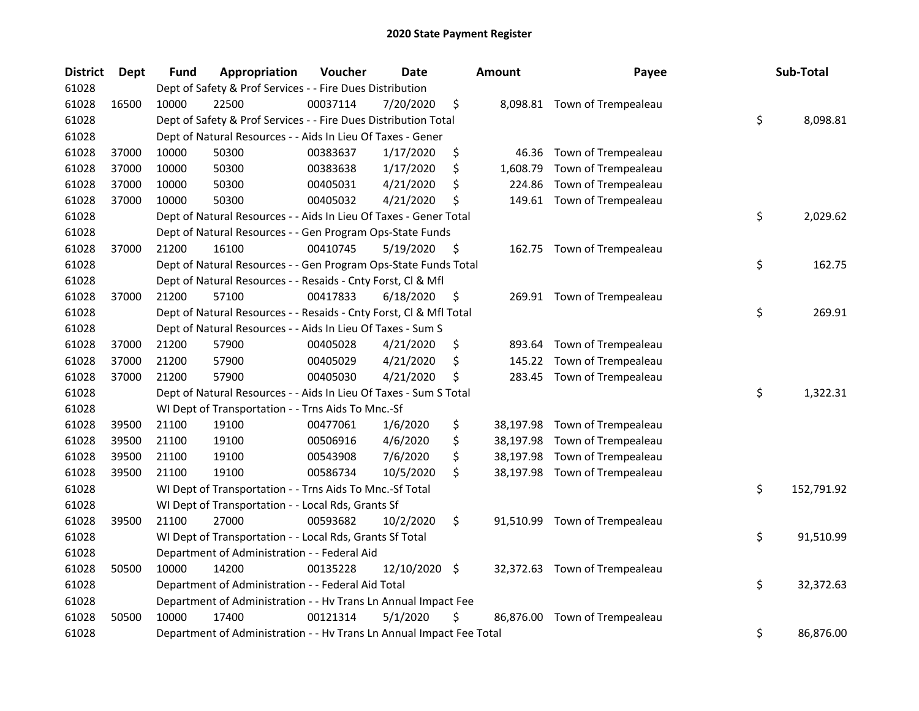| <b>District</b> | <b>Dept</b> | Fund  | Appropriation                                                        | Voucher  | <b>Date</b>   | <b>Amount</b>  | Payee                         | Sub-Total        |
|-----------------|-------------|-------|----------------------------------------------------------------------|----------|---------------|----------------|-------------------------------|------------------|
| 61028           |             |       | Dept of Safety & Prof Services - - Fire Dues Distribution            |          |               |                |                               |                  |
| 61028           | 16500       | 10000 | 22500                                                                | 00037114 | 7/20/2020     | \$             | 8,098.81 Town of Trempealeau  |                  |
| 61028           |             |       | Dept of Safety & Prof Services - - Fire Dues Distribution Total      |          |               |                |                               | \$<br>8,098.81   |
| 61028           |             |       | Dept of Natural Resources - - Aids In Lieu Of Taxes - Gener          |          |               |                |                               |                  |
| 61028           | 37000       | 10000 | 50300                                                                | 00383637 | 1/17/2020     | \$<br>46.36    | Town of Trempealeau           |                  |
| 61028           | 37000       | 10000 | 50300                                                                | 00383638 | 1/17/2020     | \$<br>1,608.79 | Town of Trempealeau           |                  |
| 61028           | 37000       | 10000 | 50300                                                                | 00405031 | 4/21/2020     | \$<br>224.86   | Town of Trempealeau           |                  |
| 61028           | 37000       | 10000 | 50300                                                                | 00405032 | 4/21/2020     | \$             | 149.61 Town of Trempealeau    |                  |
| 61028           |             |       | Dept of Natural Resources - - Aids In Lieu Of Taxes - Gener Total    |          |               |                |                               | \$<br>2,029.62   |
| 61028           |             |       | Dept of Natural Resources - - Gen Program Ops-State Funds            |          |               |                |                               |                  |
| 61028           | 37000       | 21200 | 16100                                                                | 00410745 | 5/19/2020     | \$             | 162.75 Town of Trempealeau    |                  |
| 61028           |             |       | Dept of Natural Resources - - Gen Program Ops-State Funds Total      |          |               |                |                               | \$<br>162.75     |
| 61028           |             |       | Dept of Natural Resources - - Resaids - Cnty Forst, Cl & Mfl         |          |               |                |                               |                  |
| 61028           | 37000       | 21200 | 57100                                                                | 00417833 | 6/18/2020     | \$             | 269.91 Town of Trempealeau    |                  |
| 61028           |             |       | Dept of Natural Resources - - Resaids - Cnty Forst, Cl & Mfl Total   |          |               |                |                               | \$<br>269.91     |
| 61028           |             |       | Dept of Natural Resources - - Aids In Lieu Of Taxes - Sum S          |          |               |                |                               |                  |
| 61028           | 37000       | 21200 | 57900                                                                | 00405028 | 4/21/2020     | \$<br>893.64   | Town of Trempealeau           |                  |
| 61028           | 37000       | 21200 | 57900                                                                | 00405029 | 4/21/2020     | \$<br>145.22   | Town of Trempealeau           |                  |
| 61028           | 37000       | 21200 | 57900                                                                | 00405030 | 4/21/2020     | \$             | 283.45 Town of Trempealeau    |                  |
| 61028           |             |       | Dept of Natural Resources - - Aids In Lieu Of Taxes - Sum S Total    |          |               |                |                               | \$<br>1,322.31   |
| 61028           |             |       | WI Dept of Transportation - - Trns Aids To Mnc.-Sf                   |          |               |                |                               |                  |
| 61028           | 39500       | 21100 | 19100                                                                | 00477061 | 1/6/2020      | \$             | 38,197.98 Town of Trempealeau |                  |
| 61028           | 39500       | 21100 | 19100                                                                | 00506916 | 4/6/2020      | \$             | 38,197.98 Town of Trempealeau |                  |
| 61028           | 39500       | 21100 | 19100                                                                | 00543908 | 7/6/2020      | \$             | 38,197.98 Town of Trempealeau |                  |
| 61028           | 39500       | 21100 | 19100                                                                | 00586734 | 10/5/2020     | \$             | 38,197.98 Town of Trempealeau |                  |
| 61028           |             |       | WI Dept of Transportation - - Trns Aids To Mnc.-Sf Total             |          |               |                |                               | \$<br>152,791.92 |
| 61028           |             |       | WI Dept of Transportation - - Local Rds, Grants Sf                   |          |               |                |                               |                  |
| 61028           | 39500       | 21100 | 27000                                                                | 00593682 | 10/2/2020     | \$             | 91,510.99 Town of Trempealeau |                  |
| 61028           |             |       | WI Dept of Transportation - - Local Rds, Grants Sf Total             |          |               |                |                               | \$<br>91,510.99  |
| 61028           |             |       | Department of Administration - - Federal Aid                         |          |               |                |                               |                  |
| 61028           | 50500       | 10000 | 14200                                                                | 00135228 | 12/10/2020 \$ |                | 32,372.63 Town of Trempealeau |                  |
| 61028           |             |       | Department of Administration - - Federal Aid Total                   |          |               |                |                               | \$<br>32,372.63  |
| 61028           |             |       | Department of Administration - - Hv Trans Ln Annual Impact Fee       |          |               |                |                               |                  |
| 61028           | 50500       | 10000 | 17400                                                                | 00121314 | 5/1/2020      | \$             | 86,876.00 Town of Trempealeau |                  |
| 61028           |             |       | Department of Administration - - Hv Trans Ln Annual Impact Fee Total |          |               |                |                               | \$<br>86,876.00  |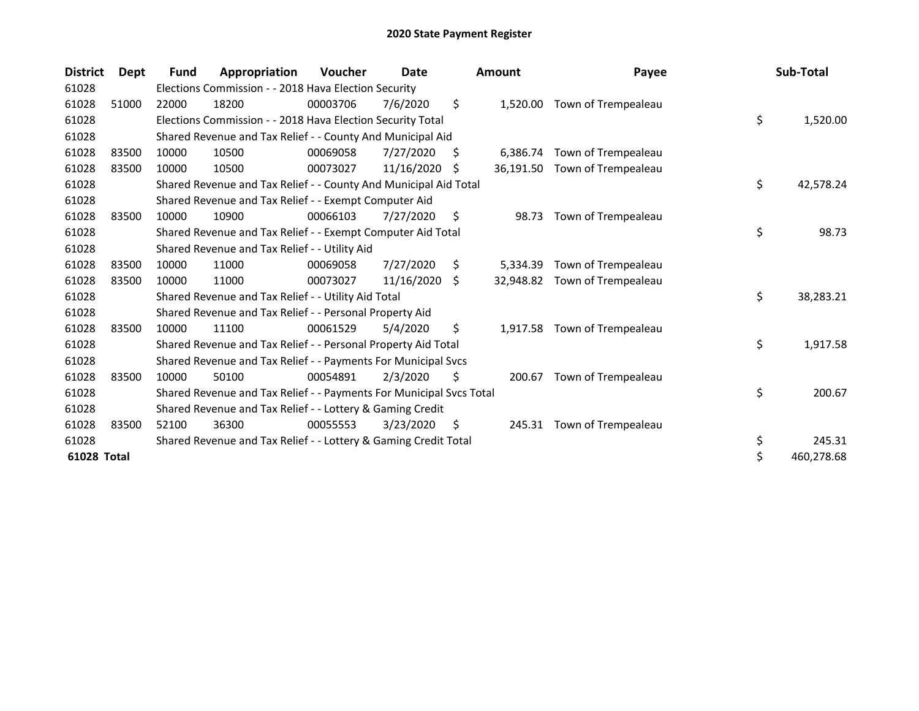| <b>District</b> | Dept  | <b>Fund</b> | Appropriation                                                       | <b>Voucher</b> | Date       |    | <b>Amount</b> | Payee                        | Sub-Total        |
|-----------------|-------|-------------|---------------------------------------------------------------------|----------------|------------|----|---------------|------------------------------|------------------|
| 61028           |       |             | Elections Commission - - 2018 Hava Election Security                |                |            |    |               |                              |                  |
| 61028           | 51000 | 22000       | 18200                                                               | 00003706       | 7/6/2020   | \$ |               | 1,520.00 Town of Trempealeau |                  |
| 61028           |       |             | Elections Commission - - 2018 Hava Election Security Total          |                |            |    |               |                              | \$<br>1,520.00   |
| 61028           |       |             | Shared Revenue and Tax Relief - - County And Municipal Aid          |                |            |    |               |                              |                  |
| 61028           | 83500 | 10000       | 10500                                                               | 00069058       | 7/27/2020  | S  | 6,386.74      | Town of Trempealeau          |                  |
| 61028           | 83500 | 10000       | 10500                                                               | 00073027       | 11/16/2020 | -S | 36,191.50     | Town of Trempealeau          |                  |
| 61028           |       |             | Shared Revenue and Tax Relief - - County And Municipal Aid Total    |                |            |    |               |                              | \$<br>42,578.24  |
| 61028           |       |             | Shared Revenue and Tax Relief - - Exempt Computer Aid               |                |            |    |               |                              |                  |
| 61028           | 83500 | 10000       | 10900                                                               | 00066103       | 7/27/2020  | \$ | 98.73         | Town of Trempealeau          |                  |
| 61028           |       |             | Shared Revenue and Tax Relief - - Exempt Computer Aid Total         |                |            |    |               |                              | \$<br>98.73      |
| 61028           |       |             | Shared Revenue and Tax Relief - - Utility Aid                       |                |            |    |               |                              |                  |
| 61028           | 83500 | 10000       | 11000                                                               | 00069058       | 7/27/2020  | S. | 5,334.39      | Town of Trempealeau          |                  |
| 61028           | 83500 | 10000       | 11000                                                               | 00073027       | 11/16/2020 | S. | 32,948.82     | Town of Trempealeau          |                  |
| 61028           |       |             | Shared Revenue and Tax Relief - - Utility Aid Total                 |                |            |    |               |                              | \$<br>38,283.21  |
| 61028           |       |             | Shared Revenue and Tax Relief - - Personal Property Aid             |                |            |    |               |                              |                  |
| 61028           | 83500 | 10000       | 11100                                                               | 00061529       | 5/4/2020   | \$ | 1,917.58      | Town of Trempealeau          |                  |
| 61028           |       |             | Shared Revenue and Tax Relief - - Personal Property Aid Total       |                |            |    |               |                              | \$<br>1,917.58   |
| 61028           |       |             | Shared Revenue and Tax Relief - - Payments For Municipal Svcs       |                |            |    |               |                              |                  |
| 61028           | 83500 | 10000       | 50100                                                               | 00054891       | 2/3/2020   | Ŝ. | 200.67        | Town of Trempealeau          |                  |
| 61028           |       |             | Shared Revenue and Tax Relief - - Payments For Municipal Svcs Total |                |            |    |               |                              | \$<br>200.67     |
| 61028           |       |             | Shared Revenue and Tax Relief - - Lottery & Gaming Credit           |                |            |    |               |                              |                  |
| 61028           | 83500 | 52100       | 36300                                                               | 00055553       | 3/23/2020  | S. |               | 245.31 Town of Trempealeau   |                  |
| 61028           |       |             | Shared Revenue and Tax Relief - - Lottery & Gaming Credit Total     |                |            |    |               |                              | \$<br>245.31     |
| 61028 Total     |       |             |                                                                     |                |            |    |               |                              | \$<br>460,278.68 |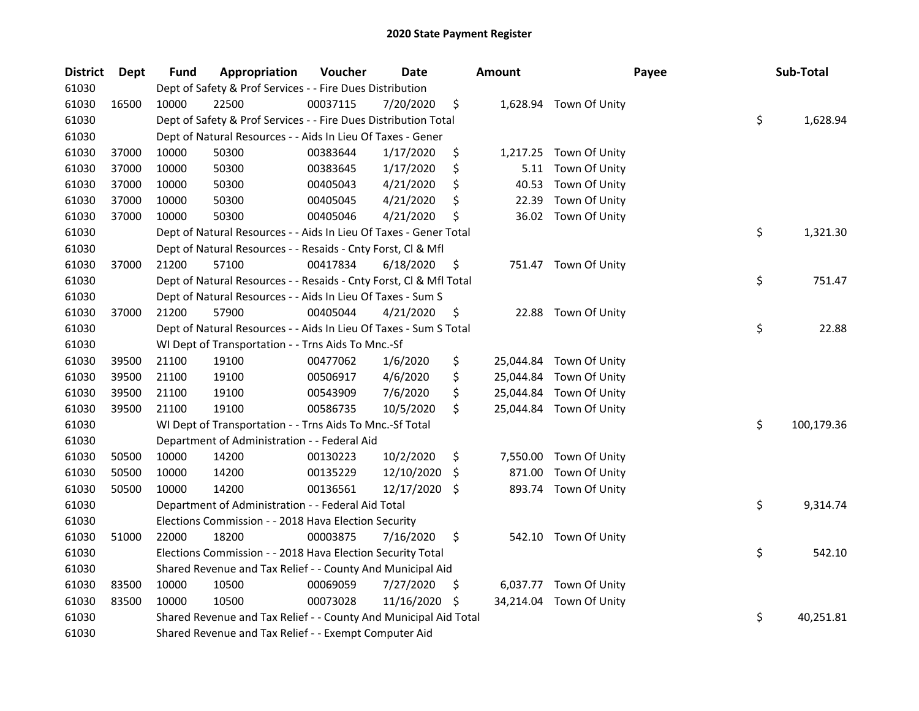| <b>District</b> | <b>Dept</b> | Fund  | Appropriation                                                      | Voucher  | <b>Date</b> |     | <b>Amount</b> |                         | Payee | Sub-Total  |
|-----------------|-------------|-------|--------------------------------------------------------------------|----------|-------------|-----|---------------|-------------------------|-------|------------|
| 61030           |             |       | Dept of Safety & Prof Services - - Fire Dues Distribution          |          |             |     |               |                         |       |            |
| 61030           | 16500       | 10000 | 22500                                                              | 00037115 | 7/20/2020   | \$  |               | 1,628.94 Town Of Unity  |       |            |
| 61030           |             |       | Dept of Safety & Prof Services - - Fire Dues Distribution Total    |          |             |     |               |                         | \$    | 1,628.94   |
| 61030           |             |       | Dept of Natural Resources - - Aids In Lieu Of Taxes - Gener        |          |             |     |               |                         |       |            |
| 61030           | 37000       | 10000 | 50300                                                              | 00383644 | 1/17/2020   | \$  | 1,217.25      | Town Of Unity           |       |            |
| 61030           | 37000       | 10000 | 50300                                                              | 00383645 | 1/17/2020   | \$  | 5.11          | Town Of Unity           |       |            |
| 61030           | 37000       | 10000 | 50300                                                              | 00405043 | 4/21/2020   | \$  | 40.53         | Town Of Unity           |       |            |
| 61030           | 37000       | 10000 | 50300                                                              | 00405045 | 4/21/2020   | \$  | 22.39         | Town Of Unity           |       |            |
| 61030           | 37000       | 10000 | 50300                                                              | 00405046 | 4/21/2020   | \$  |               | 36.02 Town Of Unity     |       |            |
| 61030           |             |       | Dept of Natural Resources - - Aids In Lieu Of Taxes - Gener Total  |          |             |     |               |                         | \$    | 1,321.30   |
| 61030           |             |       | Dept of Natural Resources - - Resaids - Cnty Forst, Cl & Mfl       |          |             |     |               |                         |       |            |
| 61030           | 37000       | 21200 | 57100                                                              | 00417834 | 6/18/2020   | \$  |               | 751.47 Town Of Unity    |       |            |
| 61030           |             |       | Dept of Natural Resources - - Resaids - Cnty Forst, Cl & Mfl Total |          |             |     |               |                         | \$    | 751.47     |
| 61030           |             |       | Dept of Natural Resources - - Aids In Lieu Of Taxes - Sum S        |          |             |     |               |                         |       |            |
| 61030           | 37000       | 21200 | 57900                                                              | 00405044 | 4/21/2020   | \$  | 22.88         | Town Of Unity           |       |            |
| 61030           |             |       | Dept of Natural Resources - - Aids In Lieu Of Taxes - Sum S Total  |          |             |     |               |                         | \$    | 22.88      |
| 61030           |             |       | WI Dept of Transportation - - Trns Aids To Mnc.-Sf                 |          |             |     |               |                         |       |            |
| 61030           | 39500       | 21100 | 19100                                                              | 00477062 | 1/6/2020    | \$  |               | 25,044.84 Town Of Unity |       |            |
| 61030           | 39500       | 21100 | 19100                                                              | 00506917 | 4/6/2020    | \$  | 25,044.84     | Town Of Unity           |       |            |
| 61030           | 39500       | 21100 | 19100                                                              | 00543909 | 7/6/2020    | \$  | 25,044.84     | Town Of Unity           |       |            |
| 61030           | 39500       | 21100 | 19100                                                              | 00586735 | 10/5/2020   | \$  |               | 25,044.84 Town Of Unity |       |            |
| 61030           |             |       | WI Dept of Transportation - - Trns Aids To Mnc.-Sf Total           |          |             |     |               |                         | \$    | 100,179.36 |
| 61030           |             |       | Department of Administration - - Federal Aid                       |          |             |     |               |                         |       |            |
| 61030           | 50500       | 10000 | 14200                                                              | 00130223 | 10/2/2020   | \$  | 7,550.00      | Town Of Unity           |       |            |
| 61030           | 50500       | 10000 | 14200                                                              | 00135229 | 12/10/2020  | \$. | 871.00        | Town Of Unity           |       |            |
| 61030           | 50500       | 10000 | 14200                                                              | 00136561 | 12/17/2020  | \$  | 893.74        | Town Of Unity           |       |            |
| 61030           |             |       | Department of Administration - - Federal Aid Total                 |          |             |     |               |                         | \$    | 9,314.74   |
| 61030           |             |       | Elections Commission - - 2018 Hava Election Security               |          |             |     |               |                         |       |            |
| 61030           | 51000       | 22000 | 18200                                                              | 00003875 | 7/16/2020   | \$  |               | 542.10 Town Of Unity    |       |            |
| 61030           |             |       | Elections Commission - - 2018 Hava Election Security Total         |          |             |     |               |                         | \$    | 542.10     |
| 61030           |             |       | Shared Revenue and Tax Relief - - County And Municipal Aid         |          |             |     |               |                         |       |            |
| 61030           | 83500       | 10000 | 10500                                                              | 00069059 | 7/27/2020   | Ş   |               | 6,037.77 Town Of Unity  |       |            |
| 61030           | 83500       | 10000 | 10500                                                              | 00073028 | 11/16/2020  | \$. |               | 34,214.04 Town Of Unity |       |            |
| 61030           |             |       | Shared Revenue and Tax Relief - - County And Municipal Aid Total   |          |             |     |               |                         | \$    | 40,251.81  |
| 61030           |             |       | Shared Revenue and Tax Relief - - Exempt Computer Aid              |          |             |     |               |                         |       |            |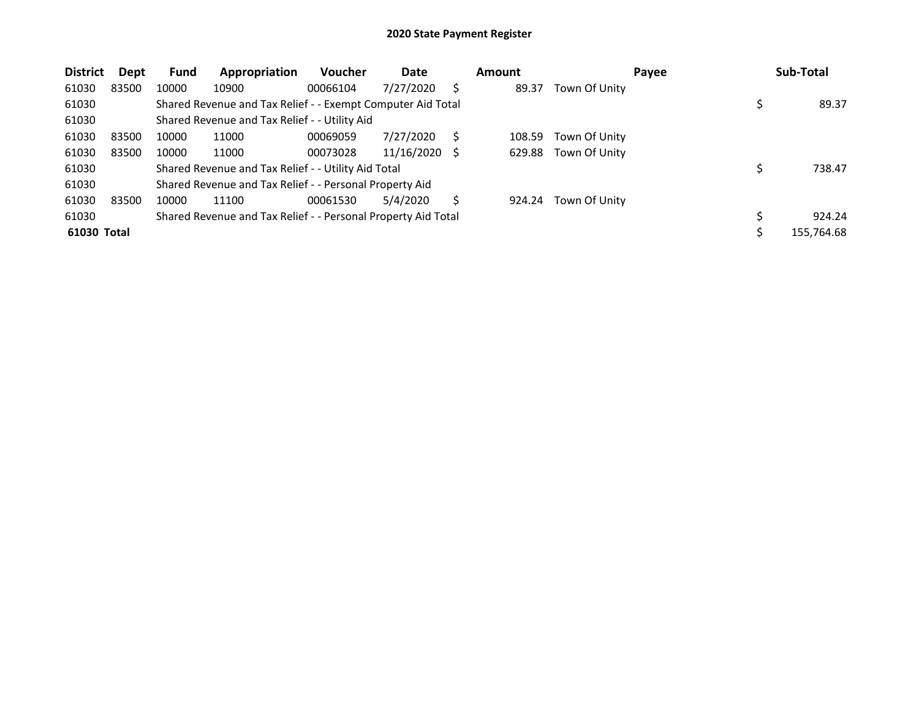| <b>District</b> | Dept  | Fund  | Appropriation                                                 | <b>Voucher</b> | Date       |    | <b>Amount</b> |               | Payee | Sub-Total  |
|-----------------|-------|-------|---------------------------------------------------------------|----------------|------------|----|---------------|---------------|-------|------------|
| 61030           | 83500 | 10000 | 10900                                                         | 00066104       | 7/27/2020  | S  | 89.37         | Town Of Unity |       |            |
| 61030           |       |       | Shared Revenue and Tax Relief - - Exempt Computer Aid Total   |                |            |    |               |               |       | 89.37      |
| 61030           |       |       | Shared Revenue and Tax Relief - - Utility Aid                 |                |            |    |               |               |       |            |
| 61030           | 83500 | 10000 | 11000                                                         | 00069059       | 7/27/2020  | S  | 108.59        | Town Of Unity |       |            |
| 61030           | 83500 | 10000 | 11000                                                         | 00073028       | 11/16/2020 | -S | 629.88        | Town Of Unity |       |            |
| 61030           |       |       | Shared Revenue and Tax Relief - - Utility Aid Total           |                |            |    |               |               |       | 738.47     |
| 61030           |       |       | Shared Revenue and Tax Relief - - Personal Property Aid       |                |            |    |               |               |       |            |
| 61030           | 83500 | 10000 | 11100                                                         | 00061530       | 5/4/2020   | S  | 924.24        | Town Of Unity |       |            |
| 61030           |       |       | Shared Revenue and Tax Relief - - Personal Property Aid Total |                |            |    |               |               |       | 924.24     |
| 61030 Total     |       |       |                                                               |                |            |    |               |               |       | 155,764.68 |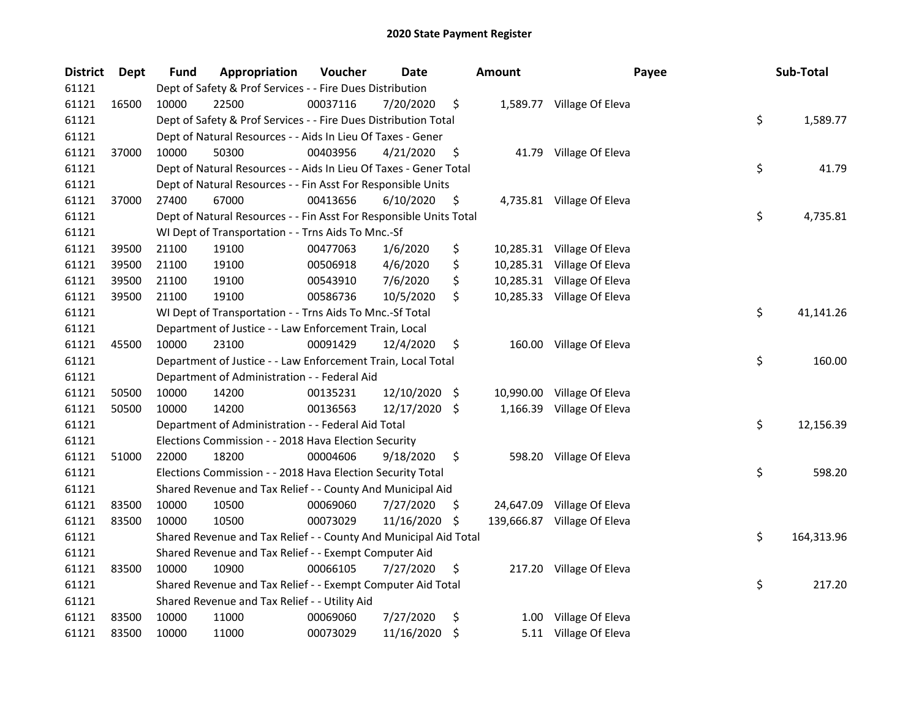| <b>District</b> | Dept  | Fund  | Appropriation                                                      | Voucher  | <b>Date</b>   |      | <b>Amount</b> | Payee                       | Sub-Total        |
|-----------------|-------|-------|--------------------------------------------------------------------|----------|---------------|------|---------------|-----------------------------|------------------|
| 61121           |       |       | Dept of Safety & Prof Services - - Fire Dues Distribution          |          |               |      |               |                             |                  |
| 61121           | 16500 | 10000 | 22500                                                              | 00037116 | 7/20/2020     | \$   |               | 1,589.77 Village Of Eleva   |                  |
| 61121           |       |       | Dept of Safety & Prof Services - - Fire Dues Distribution Total    |          |               |      |               |                             | \$<br>1,589.77   |
| 61121           |       |       | Dept of Natural Resources - - Aids In Lieu Of Taxes - Gener        |          |               |      |               |                             |                  |
| 61121           | 37000 | 10000 | 50300                                                              | 00403956 | 4/21/2020     | \$   |               | 41.79 Village Of Eleva      |                  |
| 61121           |       |       | Dept of Natural Resources - - Aids In Lieu Of Taxes - Gener Total  |          |               |      |               |                             | \$<br>41.79      |
| 61121           |       |       | Dept of Natural Resources - - Fin Asst For Responsible Units       |          |               |      |               |                             |                  |
| 61121           | 37000 | 27400 | 67000                                                              | 00413656 | 6/10/2020     | \$   |               | 4,735.81 Village Of Eleva   |                  |
| 61121           |       |       | Dept of Natural Resources - - Fin Asst For Responsible Units Total |          |               |      |               |                             | \$<br>4,735.81   |
| 61121           |       |       | WI Dept of Transportation - - Trns Aids To Mnc.-Sf                 |          |               |      |               |                             |                  |
| 61121           | 39500 | 21100 | 19100                                                              | 00477063 | 1/6/2020      | \$   |               | 10,285.31 Village Of Eleva  |                  |
| 61121           | 39500 | 21100 | 19100                                                              | 00506918 | 4/6/2020      | \$   |               | 10,285.31 Village Of Eleva  |                  |
| 61121           | 39500 | 21100 | 19100                                                              | 00543910 | 7/6/2020      | \$   |               | 10,285.31 Village Of Eleva  |                  |
| 61121           | 39500 | 21100 | 19100                                                              | 00586736 | 10/5/2020     | \$   |               | 10,285.33 Village Of Eleva  |                  |
| 61121           |       |       | WI Dept of Transportation - - Trns Aids To Mnc.-Sf Total           |          |               |      |               |                             | \$<br>41,141.26  |
| 61121           |       |       | Department of Justice - - Law Enforcement Train, Local             |          |               |      |               |                             |                  |
| 61121           | 45500 | 10000 | 23100                                                              | 00091429 | 12/4/2020     | \$   |               | 160.00 Village Of Eleva     |                  |
| 61121           |       |       | Department of Justice - - Law Enforcement Train, Local Total       |          |               |      |               |                             | \$<br>160.00     |
| 61121           |       |       | Department of Administration - - Federal Aid                       |          |               |      |               |                             |                  |
| 61121           | 50500 | 10000 | 14200                                                              | 00135231 | 12/10/2020    | - \$ |               | 10,990.00 Village Of Eleva  |                  |
| 61121           | 50500 | 10000 | 14200                                                              | 00136563 | 12/17/2020 \$ |      |               | 1,166.39 Village Of Eleva   |                  |
| 61121           |       |       | Department of Administration - - Federal Aid Total                 |          |               |      |               |                             | \$<br>12,156.39  |
| 61121           |       |       | Elections Commission - - 2018 Hava Election Security               |          |               |      |               |                             |                  |
| 61121           | 51000 | 22000 | 18200                                                              | 00004606 | 9/18/2020     | \$   |               | 598.20 Village Of Eleva     |                  |
| 61121           |       |       | Elections Commission - - 2018 Hava Election Security Total         |          |               |      |               |                             | \$<br>598.20     |
| 61121           |       |       | Shared Revenue and Tax Relief - - County And Municipal Aid         |          |               |      |               |                             |                  |
| 61121           | 83500 | 10000 | 10500                                                              | 00069060 | 7/27/2020     | \$.  |               | 24,647.09 Village Of Eleva  |                  |
| 61121           | 83500 | 10000 | 10500                                                              | 00073029 | 11/16/2020    | \$   |               | 139,666.87 Village Of Eleva |                  |
| 61121           |       |       | Shared Revenue and Tax Relief - - County And Municipal Aid Total   |          |               |      |               |                             | \$<br>164,313.96 |
| 61121           |       |       | Shared Revenue and Tax Relief - - Exempt Computer Aid              |          |               |      |               |                             |                  |
| 61121           | 83500 | 10000 | 10900                                                              | 00066105 | 7/27/2020     | \$   |               | 217.20 Village Of Eleva     |                  |
| 61121           |       |       | Shared Revenue and Tax Relief - - Exempt Computer Aid Total        |          |               |      |               |                             | \$<br>217.20     |
| 61121           |       |       | Shared Revenue and Tax Relief - - Utility Aid                      |          |               |      |               |                             |                  |
| 61121           | 83500 | 10000 | 11000                                                              | 00069060 | 7/27/2020     | \$   | 1.00          | Village Of Eleva            |                  |
| 61121           | 83500 | 10000 | 11000                                                              | 00073029 | 11/16/2020    | \$   |               | 5.11 Village Of Eleva       |                  |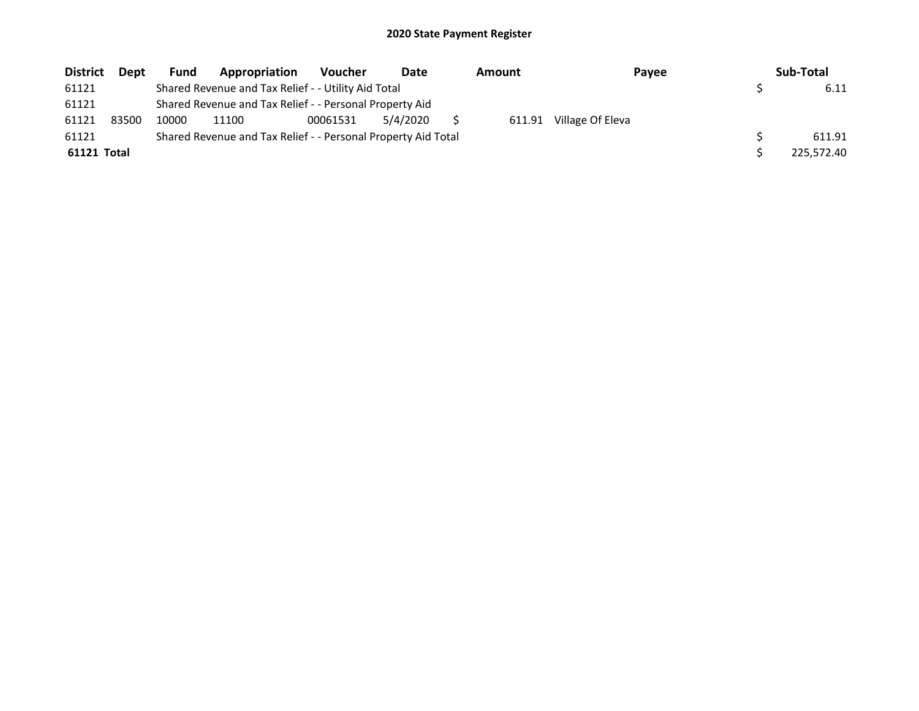| <b>District</b> | <b>Dept</b> | Fund  | Appropriation                                                 | <b>Voucher</b> | Date     | Amount | Payee            | Sub-Total  |
|-----------------|-------------|-------|---------------------------------------------------------------|----------------|----------|--------|------------------|------------|
| 61121           |             |       | Shared Revenue and Tax Relief - - Utility Aid Total           |                |          |        |                  | 6.11       |
| 61121           |             |       | Shared Revenue and Tax Relief - - Personal Property Aid       |                |          |        |                  |            |
| 61121           | 83500       | 10000 | 11100                                                         | 00061531       | 5/4/2020 | 611.91 | Village Of Eleva |            |
| 61121           |             |       | Shared Revenue and Tax Relief - - Personal Property Aid Total |                |          |        |                  | 611.91     |
| 61121 Total     |             |       |                                                               |                |          |        |                  | 225.572.40 |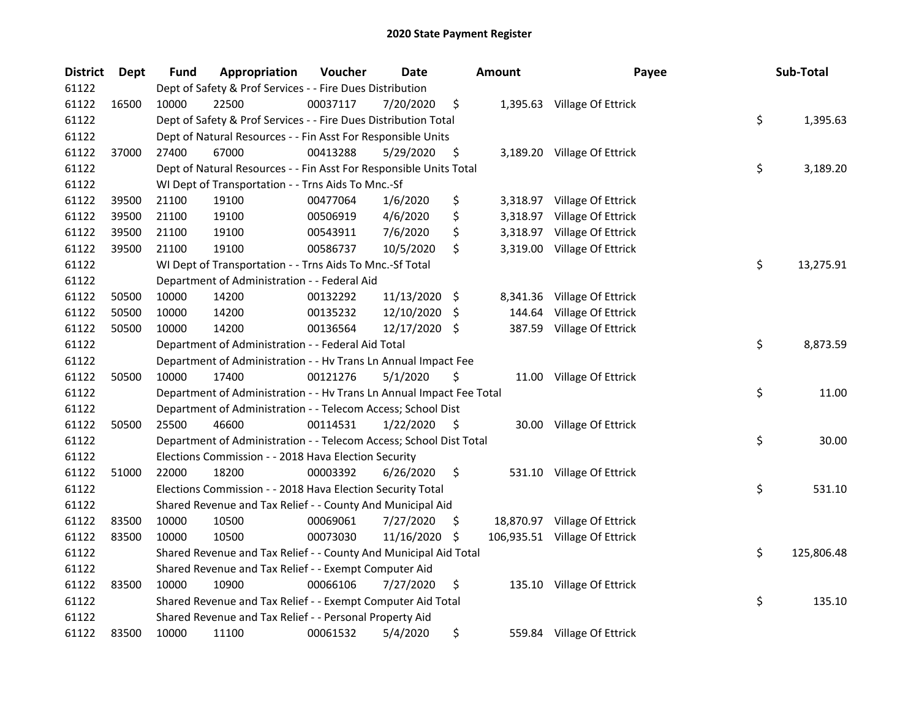| <b>District</b> | Dept  | <b>Fund</b> | Appropriation                                                        | Voucher  | Date          |     | <b>Amount</b> | Payee                         | Sub-Total        |
|-----------------|-------|-------------|----------------------------------------------------------------------|----------|---------------|-----|---------------|-------------------------------|------------------|
| 61122           |       |             | Dept of Safety & Prof Services - - Fire Dues Distribution            |          |               |     |               |                               |                  |
| 61122           | 16500 | 10000       | 22500                                                                | 00037117 | 7/20/2020     | \$  |               | 1,395.63 Village Of Ettrick   |                  |
| 61122           |       |             | Dept of Safety & Prof Services - - Fire Dues Distribution Total      |          |               |     |               |                               | \$<br>1,395.63   |
| 61122           |       |             | Dept of Natural Resources - - Fin Asst For Responsible Units         |          |               |     |               |                               |                  |
| 61122           | 37000 | 27400       | 67000                                                                | 00413288 | 5/29/2020     | \$  |               | 3,189.20 Village Of Ettrick   |                  |
| 61122           |       |             | Dept of Natural Resources - - Fin Asst For Responsible Units Total   |          |               |     |               |                               | \$<br>3,189.20   |
| 61122           |       |             | WI Dept of Transportation - - Trns Aids To Mnc.-Sf                   |          |               |     |               |                               |                  |
| 61122           | 39500 | 21100       | 19100                                                                | 00477064 | 1/6/2020      | \$  |               | 3,318.97 Village Of Ettrick   |                  |
| 61122           | 39500 | 21100       | 19100                                                                | 00506919 | 4/6/2020      | \$  |               | 3,318.97 Village Of Ettrick   |                  |
| 61122           | 39500 | 21100       | 19100                                                                | 00543911 | 7/6/2020      | \$  |               | 3,318.97 Village Of Ettrick   |                  |
| 61122           | 39500 | 21100       | 19100                                                                | 00586737 | 10/5/2020     | \$  |               | 3,319.00 Village Of Ettrick   |                  |
| 61122           |       |             | WI Dept of Transportation - - Trns Aids To Mnc.-Sf Total             |          |               |     |               |                               | \$<br>13,275.91  |
| 61122           |       |             | Department of Administration - - Federal Aid                         |          |               |     |               |                               |                  |
| 61122           | 50500 | 10000       | 14200                                                                | 00132292 | 11/13/2020 \$ |     | 8,341.36      | Village Of Ettrick            |                  |
| 61122           | 50500 | 10000       | 14200                                                                | 00135232 | 12/10/2020    | - S | 144.64        | Village Of Ettrick            |                  |
| 61122           | 50500 | 10000       | 14200                                                                | 00136564 | 12/17/2020 \$ |     |               | 387.59 Village Of Ettrick     |                  |
| 61122           |       |             | Department of Administration - - Federal Aid Total                   |          |               |     |               |                               | \$<br>8,873.59   |
| 61122           |       |             | Department of Administration - - Hv Trans Ln Annual Impact Fee       |          |               |     |               |                               |                  |
| 61122           | 50500 | 10000       | 17400                                                                | 00121276 | 5/1/2020      | \$  |               | 11.00 Village Of Ettrick      |                  |
| 61122           |       |             | Department of Administration - - Hv Trans Ln Annual Impact Fee Total |          |               |     |               |                               | \$<br>11.00      |
| 61122           |       |             | Department of Administration - - Telecom Access; School Dist         |          |               |     |               |                               |                  |
| 61122           | 50500 | 25500       | 46600                                                                | 00114531 | 1/22/2020     | -\$ |               | 30.00 Village Of Ettrick      |                  |
| 61122           |       |             | Department of Administration - - Telecom Access; School Dist Total   |          |               |     |               |                               | \$<br>30.00      |
| 61122           |       |             | Elections Commission - - 2018 Hava Election Security                 |          |               |     |               |                               |                  |
| 61122           | 51000 | 22000       | 18200                                                                | 00003392 | 6/26/2020     | \$  |               | 531.10 Village Of Ettrick     |                  |
| 61122           |       |             | Elections Commission - - 2018 Hava Election Security Total           |          |               |     |               |                               | \$<br>531.10     |
| 61122           |       |             | Shared Revenue and Tax Relief - - County And Municipal Aid           |          |               |     |               |                               |                  |
| 61122           | 83500 | 10000       | 10500                                                                | 00069061 | 7/27/2020     | \$. |               | 18,870.97 Village Of Ettrick  |                  |
| 61122           | 83500 | 10000       | 10500                                                                | 00073030 | 11/16/2020    | -S  |               | 106,935.51 Village Of Ettrick |                  |
| 61122           |       |             | Shared Revenue and Tax Relief - - County And Municipal Aid Total     |          |               |     |               |                               | \$<br>125,806.48 |
| 61122           |       |             | Shared Revenue and Tax Relief - - Exempt Computer Aid                |          |               |     |               |                               |                  |
| 61122           | 83500 | 10000       | 10900                                                                | 00066106 | 7/27/2020     | \$  |               | 135.10 Village Of Ettrick     |                  |
| 61122           |       |             | Shared Revenue and Tax Relief - - Exempt Computer Aid Total          |          |               |     |               |                               | \$<br>135.10     |
| 61122           |       |             | Shared Revenue and Tax Relief - - Personal Property Aid              |          |               |     |               |                               |                  |
| 61122           | 83500 | 10000       | 11100                                                                | 00061532 | 5/4/2020      | \$  |               | 559.84 Village Of Ettrick     |                  |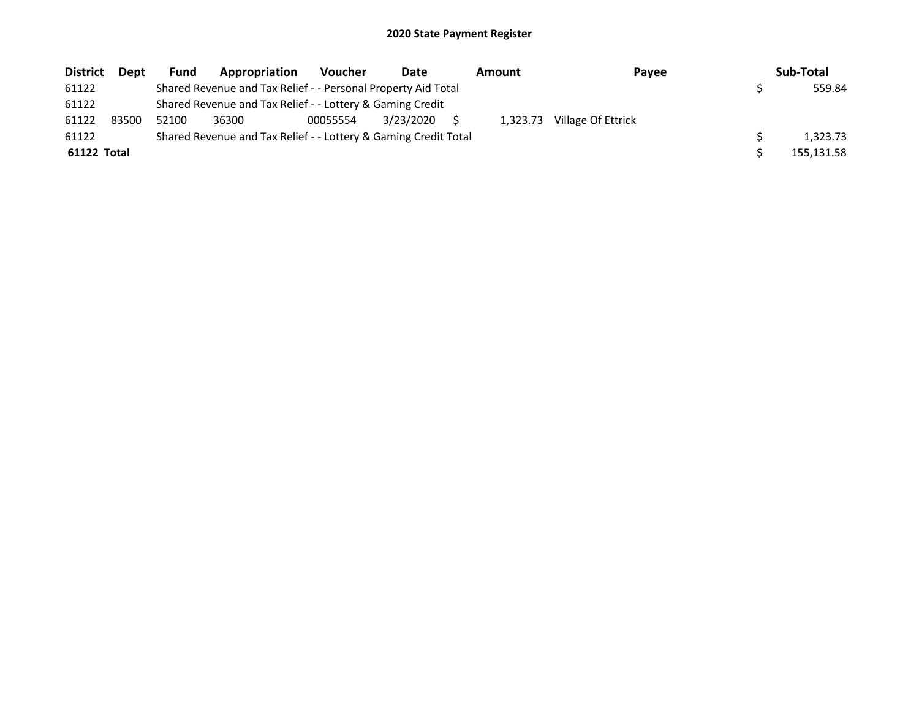| <b>District</b> | <b>Dept</b> | Fund  | Appropriation                                                   | <b>Voucher</b> | Date      | Amount   | Payee              | Sub-Total  |
|-----------------|-------------|-------|-----------------------------------------------------------------|----------------|-----------|----------|--------------------|------------|
| 61122           |             |       | Shared Revenue and Tax Relief - - Personal Property Aid Total   |                |           |          |                    | 559.84     |
| 61122           |             |       | Shared Revenue and Tax Relief - - Lottery & Gaming Credit       |                |           |          |                    |            |
| 61122           | 83500       | 52100 | 36300                                                           | 00055554       | 3/23/2020 | 1.323.73 | Village Of Ettrick |            |
| 61122           |             |       | Shared Revenue and Tax Relief - - Lottery & Gaming Credit Total |                |           |          |                    | 1.323.73   |
| 61122 Total     |             |       |                                                                 |                |           |          |                    | 155,131.58 |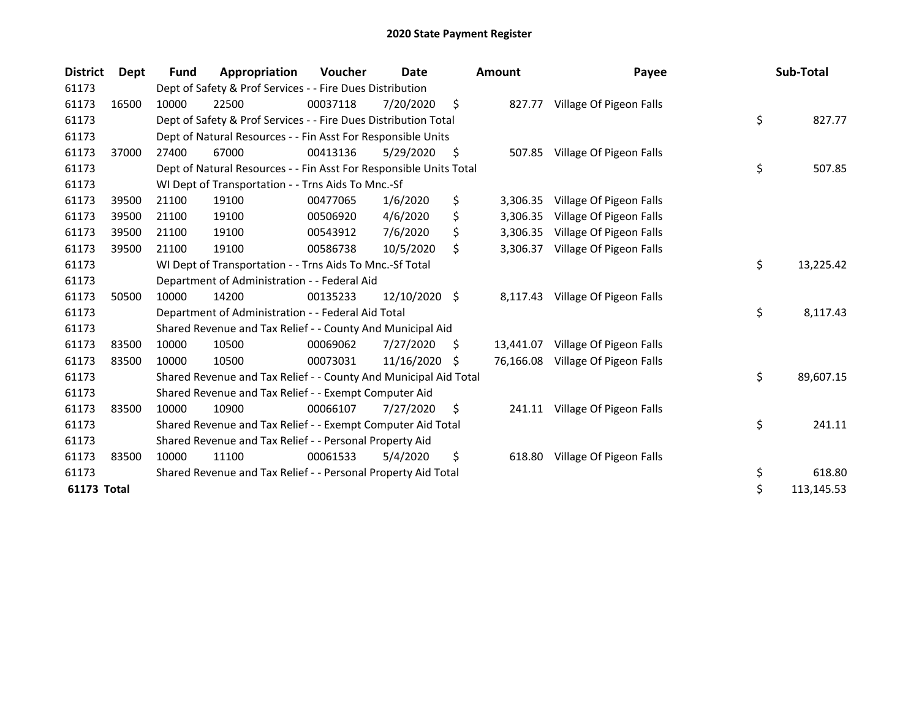| <b>District</b> | Dept  | <b>Fund</b> | Appropriation                                                      | Voucher  | Date          |     | <b>Amount</b> | Payee                   | Sub-Total        |
|-----------------|-------|-------------|--------------------------------------------------------------------|----------|---------------|-----|---------------|-------------------------|------------------|
| 61173           |       |             | Dept of Safety & Prof Services - - Fire Dues Distribution          |          |               |     |               |                         |                  |
| 61173           | 16500 | 10000       | 22500                                                              | 00037118 | 7/20/2020     | \$  | 827.77        | Village Of Pigeon Falls |                  |
| 61173           |       |             | Dept of Safety & Prof Services - - Fire Dues Distribution Total    |          |               |     |               |                         | \$<br>827.77     |
| 61173           |       |             | Dept of Natural Resources - - Fin Asst For Responsible Units       |          |               |     |               |                         |                  |
| 61173           | 37000 | 27400       | 67000                                                              | 00413136 | 5/29/2020     | \$. | 507.85        | Village Of Pigeon Falls |                  |
| 61173           |       |             | Dept of Natural Resources - - Fin Asst For Responsible Units Total |          |               |     |               |                         | \$<br>507.85     |
| 61173           |       |             | WI Dept of Transportation - - Trns Aids To Mnc.-Sf                 |          |               |     |               |                         |                  |
| 61173           | 39500 | 21100       | 19100                                                              | 00477065 | 1/6/2020      | \$  | 3,306.35      | Village Of Pigeon Falls |                  |
| 61173           | 39500 | 21100       | 19100                                                              | 00506920 | 4/6/2020      | \$  | 3,306.35      | Village Of Pigeon Falls |                  |
| 61173           | 39500 | 21100       | 19100                                                              | 00543912 | 7/6/2020      | \$  | 3,306.35      | Village Of Pigeon Falls |                  |
| 61173           | 39500 | 21100       | 19100                                                              | 00586738 | 10/5/2020     | \$  | 3,306.37      | Village Of Pigeon Falls |                  |
| 61173           |       |             | WI Dept of Transportation - - Trns Aids To Mnc.-Sf Total           |          |               |     |               |                         | \$<br>13,225.42  |
| 61173           |       |             | Department of Administration - - Federal Aid                       |          |               |     |               |                         |                  |
| 61173           | 50500 | 10000       | 14200                                                              | 00135233 | 12/10/2020 \$ |     | 8,117.43      | Village Of Pigeon Falls |                  |
| 61173           |       |             | Department of Administration - - Federal Aid Total                 |          |               |     |               |                         | \$<br>8,117.43   |
| 61173           |       |             | Shared Revenue and Tax Relief - - County And Municipal Aid         |          |               |     |               |                         |                  |
| 61173           | 83500 | 10000       | 10500                                                              | 00069062 | 7/27/2020     | S   | 13,441.07     | Village Of Pigeon Falls |                  |
| 61173           | 83500 | 10000       | 10500                                                              | 00073031 | 11/16/2020    | S.  | 76,166.08     | Village Of Pigeon Falls |                  |
| 61173           |       |             | Shared Revenue and Tax Relief - - County And Municipal Aid Total   |          |               |     |               |                         | \$<br>89,607.15  |
| 61173           |       |             | Shared Revenue and Tax Relief - - Exempt Computer Aid              |          |               |     |               |                         |                  |
| 61173           | 83500 | 10000       | 10900                                                              | 00066107 | 7/27/2020     | \$. | 241.11        | Village Of Pigeon Falls |                  |
| 61173           |       |             | Shared Revenue and Tax Relief - - Exempt Computer Aid Total        |          |               |     |               |                         | \$<br>241.11     |
| 61173           |       |             | Shared Revenue and Tax Relief - - Personal Property Aid            |          |               |     |               |                         |                  |
| 61173           | 83500 | 10000       | 11100                                                              | 00061533 | 5/4/2020      | \$  | 618.80        | Village Of Pigeon Falls |                  |
| 61173           |       |             | Shared Revenue and Tax Relief - - Personal Property Aid Total      |          |               |     |               |                         | \$<br>618.80     |
| 61173 Total     |       |             |                                                                    |          |               |     |               |                         | \$<br>113,145.53 |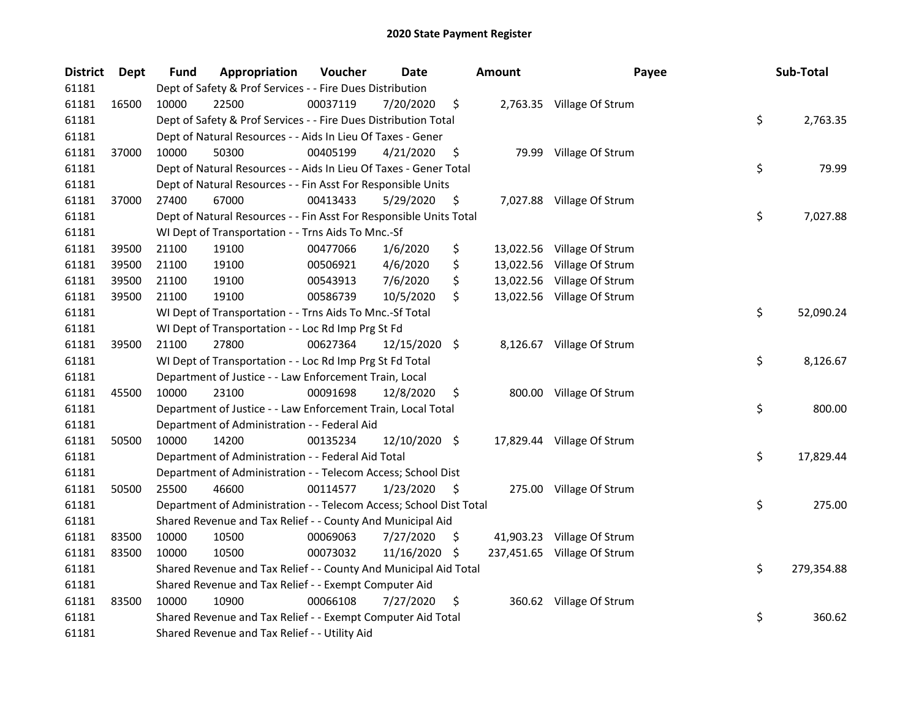| <b>District</b> | Dept  | <b>Fund</b> | Appropriation                                                      | Voucher  | <b>Date</b>   |     | <b>Amount</b> | Payee                       | Sub-Total        |
|-----------------|-------|-------------|--------------------------------------------------------------------|----------|---------------|-----|---------------|-----------------------------|------------------|
| 61181           |       |             | Dept of Safety & Prof Services - - Fire Dues Distribution          |          |               |     |               |                             |                  |
| 61181           | 16500 | 10000       | 22500                                                              | 00037119 | 7/20/2020     | \$  |               | 2,763.35 Village Of Strum   |                  |
| 61181           |       |             | Dept of Safety & Prof Services - - Fire Dues Distribution Total    |          |               |     |               |                             | \$<br>2,763.35   |
| 61181           |       |             | Dept of Natural Resources - - Aids In Lieu Of Taxes - Gener        |          |               |     |               |                             |                  |
| 61181           | 37000 | 10000       | 50300                                                              | 00405199 | 4/21/2020     | \$  |               | 79.99 Village Of Strum      |                  |
| 61181           |       |             | Dept of Natural Resources - - Aids In Lieu Of Taxes - Gener Total  |          |               |     |               |                             | \$<br>79.99      |
| 61181           |       |             | Dept of Natural Resources - - Fin Asst For Responsible Units       |          |               |     |               |                             |                  |
| 61181           | 37000 | 27400       | 67000                                                              | 00413433 | 5/29/2020     | \$  |               | 7,027.88 Village Of Strum   |                  |
| 61181           |       |             | Dept of Natural Resources - - Fin Asst For Responsible Units Total |          |               |     |               |                             | \$<br>7,027.88   |
| 61181           |       |             | WI Dept of Transportation - - Trns Aids To Mnc.-Sf                 |          |               |     |               |                             |                  |
| 61181           | 39500 | 21100       | 19100                                                              | 00477066 | 1/6/2020      | \$  |               | 13,022.56 Village Of Strum  |                  |
| 61181           | 39500 | 21100       | 19100                                                              | 00506921 | 4/6/2020      | \$  |               | 13,022.56 Village Of Strum  |                  |
| 61181           | 39500 | 21100       | 19100                                                              | 00543913 | 7/6/2020      | \$  |               | 13,022.56 Village Of Strum  |                  |
| 61181           | 39500 | 21100       | 19100                                                              | 00586739 | 10/5/2020     | \$  |               | 13,022.56 Village Of Strum  |                  |
| 61181           |       |             | WI Dept of Transportation - - Trns Aids To Mnc.-Sf Total           |          |               |     |               |                             | \$<br>52,090.24  |
| 61181           |       |             | WI Dept of Transportation - - Loc Rd Imp Prg St Fd                 |          |               |     |               |                             |                  |
| 61181           | 39500 | 21100       | 27800                                                              | 00627364 | 12/15/2020 \$ |     |               | 8,126.67 Village Of Strum   |                  |
| 61181           |       |             | WI Dept of Transportation - - Loc Rd Imp Prg St Fd Total           |          |               |     |               |                             | \$<br>8,126.67   |
| 61181           |       |             | Department of Justice - - Law Enforcement Train, Local             |          |               |     |               |                             |                  |
| 61181           | 45500 | 10000       | 23100                                                              | 00091698 | 12/8/2020     | \$  |               | 800.00 Village Of Strum     |                  |
| 61181           |       |             | Department of Justice - - Law Enforcement Train, Local Total       |          |               |     |               |                             | \$<br>800.00     |
| 61181           |       |             | Department of Administration - - Federal Aid                       |          |               |     |               |                             |                  |
| 61181           | 50500 | 10000       | 14200                                                              | 00135234 | 12/10/2020 \$ |     |               | 17,829.44 Village Of Strum  |                  |
| 61181           |       |             | Department of Administration - - Federal Aid Total                 |          |               |     |               |                             | \$<br>17,829.44  |
| 61181           |       |             | Department of Administration - - Telecom Access; School Dist       |          |               |     |               |                             |                  |
| 61181           | 50500 | 25500       | 46600                                                              | 00114577 | 1/23/2020     | \$. |               | 275.00 Village Of Strum     |                  |
| 61181           |       |             | Department of Administration - - Telecom Access; School Dist Total |          |               |     |               |                             | \$<br>275.00     |
| 61181           |       |             | Shared Revenue and Tax Relief - - County And Municipal Aid         |          |               |     |               |                             |                  |
| 61181           | 83500 | 10000       | 10500                                                              | 00069063 | 7/27/2020     | \$. |               | 41,903.23 Village Of Strum  |                  |
| 61181           | 83500 | 10000       | 10500                                                              | 00073032 | 11/16/2020    | \$. |               | 237,451.65 Village Of Strum |                  |
| 61181           |       |             | Shared Revenue and Tax Relief - - County And Municipal Aid Total   |          |               |     |               |                             | \$<br>279,354.88 |
| 61181           |       |             | Shared Revenue and Tax Relief - - Exempt Computer Aid              |          |               |     |               |                             |                  |
| 61181           | 83500 | 10000       | 10900                                                              | 00066108 | 7/27/2020     | \$  |               | 360.62 Village Of Strum     |                  |
| 61181           |       |             | Shared Revenue and Tax Relief - - Exempt Computer Aid Total        |          |               |     |               |                             | \$<br>360.62     |
| 61181           |       |             | Shared Revenue and Tax Relief - - Utility Aid                      |          |               |     |               |                             |                  |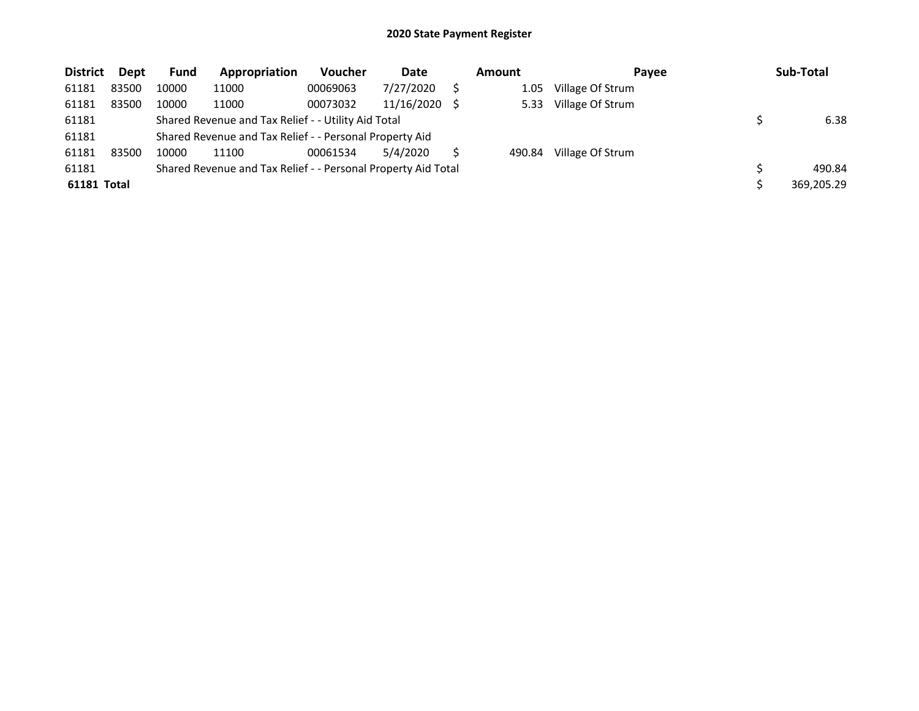| <b>District</b> | Dept  | <b>Fund</b> | Appropriation                                                 | Voucher  | Date       | <b>Amount</b> | Payee            | Sub-Total  |
|-----------------|-------|-------------|---------------------------------------------------------------|----------|------------|---------------|------------------|------------|
| 61181           | 83500 | 10000       | 11000                                                         | 00069063 | 7/27/2020  | 1.05          | Village Of Strum |            |
| 61181           | 83500 | 10000       | 11000                                                         | 00073032 | 11/16/2020 | 5.33          | Village Of Strum |            |
| 61181           |       |             | Shared Revenue and Tax Relief - - Utility Aid Total           |          |            |               |                  | 6.38       |
| 61181           |       |             | Shared Revenue and Tax Relief - - Personal Property Aid       |          |            |               |                  |            |
| 61181           | 83500 | 10000       | 11100                                                         | 00061534 | 5/4/2020   | 490.84        | Village Of Strum |            |
| 61181           |       |             | Shared Revenue and Tax Relief - - Personal Property Aid Total |          |            |               |                  | 490.84     |
| 61181 Total     |       |             |                                                               |          |            |               |                  | 369.205.29 |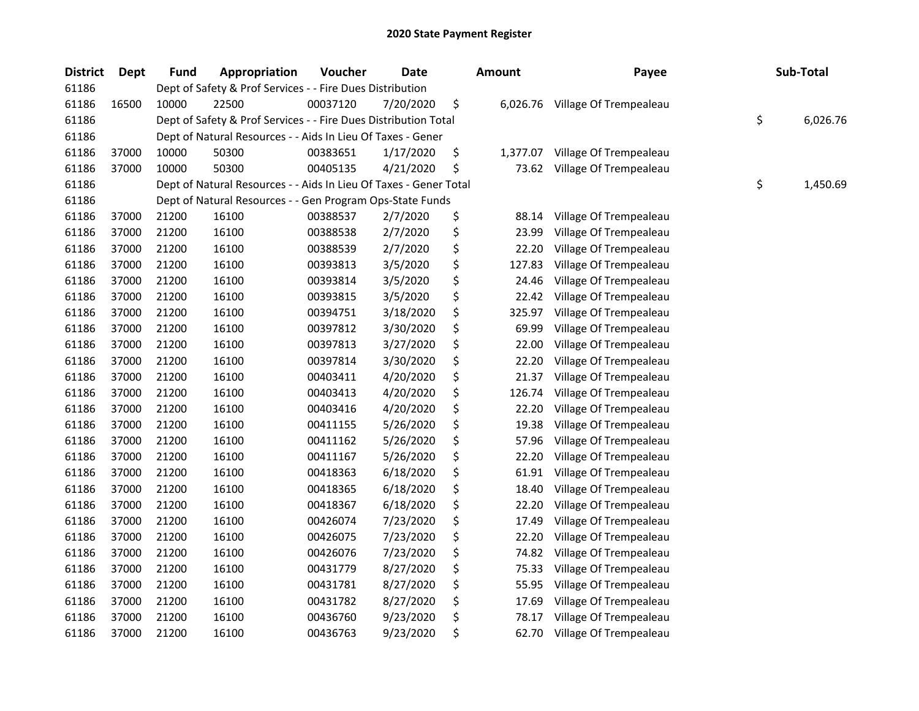| <b>District</b> | <b>Dept</b> | <b>Fund</b> | Appropriation                                                     | Voucher  | Date      | <b>Amount</b>  | Payee                  | Sub-Total      |
|-----------------|-------------|-------------|-------------------------------------------------------------------|----------|-----------|----------------|------------------------|----------------|
| 61186           |             |             | Dept of Safety & Prof Services - - Fire Dues Distribution         |          |           |                |                        |                |
| 61186           | 16500       | 10000       | 22500                                                             | 00037120 | 7/20/2020 | \$<br>6,026.76 | Village Of Trempealeau |                |
| 61186           |             |             | Dept of Safety & Prof Services - - Fire Dues Distribution Total   |          |           |                |                        | \$<br>6,026.76 |
| 61186           |             |             | Dept of Natural Resources - - Aids In Lieu Of Taxes - Gener       |          |           |                |                        |                |
| 61186           | 37000       | 10000       | 50300                                                             | 00383651 | 1/17/2020 | \$<br>1,377.07 | Village Of Trempealeau |                |
| 61186           | 37000       | 10000       | 50300                                                             | 00405135 | 4/21/2020 | \$<br>73.62    | Village Of Trempealeau |                |
| 61186           |             |             | Dept of Natural Resources - - Aids In Lieu Of Taxes - Gener Total |          |           |                |                        | \$<br>1,450.69 |
| 61186           |             |             | Dept of Natural Resources - - Gen Program Ops-State Funds         |          |           |                |                        |                |
| 61186           | 37000       | 21200       | 16100                                                             | 00388537 | 2/7/2020  | \$<br>88.14    | Village Of Trempealeau |                |
| 61186           | 37000       | 21200       | 16100                                                             | 00388538 | 2/7/2020  | \$<br>23.99    | Village Of Trempealeau |                |
| 61186           | 37000       | 21200       | 16100                                                             | 00388539 | 2/7/2020  | \$<br>22.20    | Village Of Trempealeau |                |
| 61186           | 37000       | 21200       | 16100                                                             | 00393813 | 3/5/2020  | \$<br>127.83   | Village Of Trempealeau |                |
| 61186           | 37000       | 21200       | 16100                                                             | 00393814 | 3/5/2020  | \$<br>24.46    | Village Of Trempealeau |                |
| 61186           | 37000       | 21200       | 16100                                                             | 00393815 | 3/5/2020  | \$<br>22.42    | Village Of Trempealeau |                |
| 61186           | 37000       | 21200       | 16100                                                             | 00394751 | 3/18/2020 | \$<br>325.97   | Village Of Trempealeau |                |
| 61186           | 37000       | 21200       | 16100                                                             | 00397812 | 3/30/2020 | \$<br>69.99    | Village Of Trempealeau |                |
| 61186           | 37000       | 21200       | 16100                                                             | 00397813 | 3/27/2020 | \$<br>22.00    | Village Of Trempealeau |                |
| 61186           | 37000       | 21200       | 16100                                                             | 00397814 | 3/30/2020 | \$<br>22.20    | Village Of Trempealeau |                |
| 61186           | 37000       | 21200       | 16100                                                             | 00403411 | 4/20/2020 | \$<br>21.37    | Village Of Trempealeau |                |
| 61186           | 37000       | 21200       | 16100                                                             | 00403413 | 4/20/2020 | \$<br>126.74   | Village Of Trempealeau |                |
| 61186           | 37000       | 21200       | 16100                                                             | 00403416 | 4/20/2020 | \$<br>22.20    | Village Of Trempealeau |                |
| 61186           | 37000       | 21200       | 16100                                                             | 00411155 | 5/26/2020 | \$<br>19.38    | Village Of Trempealeau |                |
| 61186           | 37000       | 21200       | 16100                                                             | 00411162 | 5/26/2020 | \$<br>57.96    | Village Of Trempealeau |                |
| 61186           | 37000       | 21200       | 16100                                                             | 00411167 | 5/26/2020 | \$<br>22.20    | Village Of Trempealeau |                |
| 61186           | 37000       | 21200       | 16100                                                             | 00418363 | 6/18/2020 | \$<br>61.91    | Village Of Trempealeau |                |
| 61186           | 37000       | 21200       | 16100                                                             | 00418365 | 6/18/2020 | \$<br>18.40    | Village Of Trempealeau |                |
| 61186           | 37000       | 21200       | 16100                                                             | 00418367 | 6/18/2020 | \$<br>22.20    | Village Of Trempealeau |                |
| 61186           | 37000       | 21200       | 16100                                                             | 00426074 | 7/23/2020 | \$<br>17.49    | Village Of Trempealeau |                |
| 61186           | 37000       | 21200       | 16100                                                             | 00426075 | 7/23/2020 | \$<br>22.20    | Village Of Trempealeau |                |
| 61186           | 37000       | 21200       | 16100                                                             | 00426076 | 7/23/2020 | \$<br>74.82    | Village Of Trempealeau |                |
| 61186           | 37000       | 21200       | 16100                                                             | 00431779 | 8/27/2020 | \$<br>75.33    | Village Of Trempealeau |                |
| 61186           | 37000       | 21200       | 16100                                                             | 00431781 | 8/27/2020 | \$<br>55.95    | Village Of Trempealeau |                |
| 61186           | 37000       | 21200       | 16100                                                             | 00431782 | 8/27/2020 | \$<br>17.69    | Village Of Trempealeau |                |
| 61186           | 37000       | 21200       | 16100                                                             | 00436760 | 9/23/2020 | \$<br>78.17    | Village Of Trempealeau |                |
| 61186           | 37000       | 21200       | 16100                                                             | 00436763 | 9/23/2020 | \$<br>62.70    | Village Of Trempealeau |                |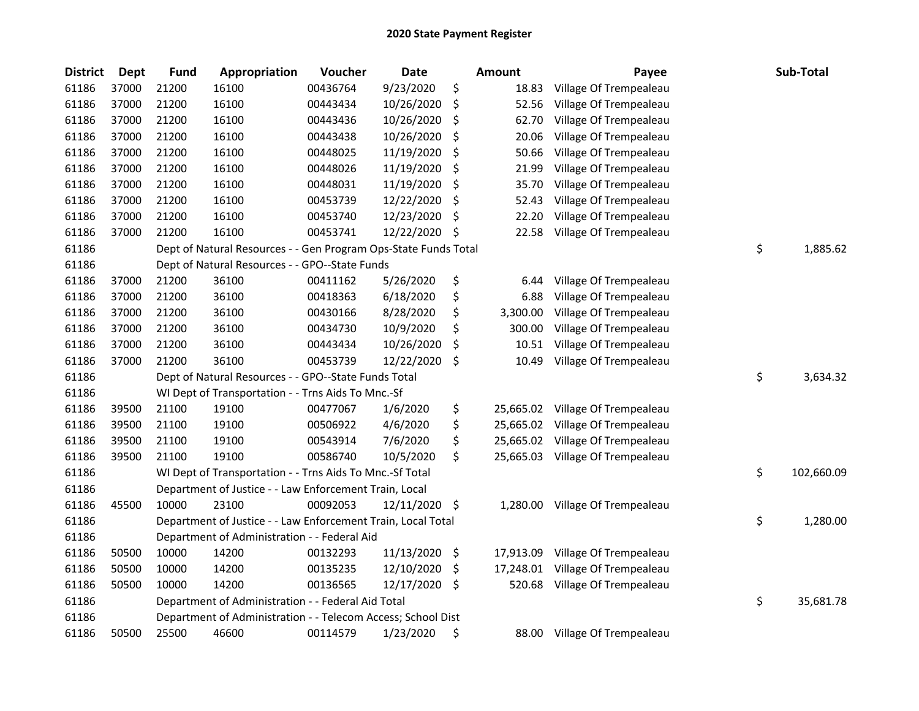| <b>District</b> | <b>Dept</b> | Fund  | Appropriation                                                   | Voucher  | <b>Date</b>   |      | <b>Amount</b> | Payee                  | Sub-Total        |
|-----------------|-------------|-------|-----------------------------------------------------------------|----------|---------------|------|---------------|------------------------|------------------|
| 61186           | 37000       | 21200 | 16100                                                           | 00436764 | 9/23/2020     | \$   | 18.83         | Village Of Trempealeau |                  |
| 61186           | 37000       | 21200 | 16100                                                           | 00443434 | 10/26/2020    | \$   | 52.56         | Village Of Trempealeau |                  |
| 61186           | 37000       | 21200 | 16100                                                           | 00443436 | 10/26/2020    | \$   | 62.70         | Village Of Trempealeau |                  |
| 61186           | 37000       | 21200 | 16100                                                           | 00443438 | 10/26/2020    | \$   | 20.06         | Village Of Trempealeau |                  |
| 61186           | 37000       | 21200 | 16100                                                           | 00448025 | 11/19/2020    | \$   | 50.66         | Village Of Trempealeau |                  |
| 61186           | 37000       | 21200 | 16100                                                           | 00448026 | 11/19/2020    | -\$  | 21.99         | Village Of Trempealeau |                  |
| 61186           | 37000       | 21200 | 16100                                                           | 00448031 | 11/19/2020    | \$   | 35.70         | Village Of Trempealeau |                  |
| 61186           | 37000       | 21200 | 16100                                                           | 00453739 | 12/22/2020    | \$   | 52.43         | Village Of Trempealeau |                  |
| 61186           | 37000       | 21200 | 16100                                                           | 00453740 | 12/23/2020    | \$   | 22.20         | Village Of Trempealeau |                  |
| 61186           | 37000       | 21200 | 16100                                                           | 00453741 | 12/22/2020 \$ |      | 22.58         | Village Of Trempealeau |                  |
| 61186           |             |       | Dept of Natural Resources - - Gen Program Ops-State Funds Total |          |               |      |               |                        | \$<br>1,885.62   |
| 61186           |             |       | Dept of Natural Resources - - GPO--State Funds                  |          |               |      |               |                        |                  |
| 61186           | 37000       | 21200 | 36100                                                           | 00411162 | 5/26/2020     | \$   | 6.44          | Village Of Trempealeau |                  |
| 61186           | 37000       | 21200 | 36100                                                           | 00418363 | 6/18/2020     | \$   | 6.88          | Village Of Trempealeau |                  |
| 61186           | 37000       | 21200 | 36100                                                           | 00430166 | 8/28/2020     | \$   | 3,300.00      | Village Of Trempealeau |                  |
| 61186           | 37000       | 21200 | 36100                                                           | 00434730 | 10/9/2020     | \$   | 300.00        | Village Of Trempealeau |                  |
| 61186           | 37000       | 21200 | 36100                                                           | 00443434 | 10/26/2020    | \$   | 10.51         | Village Of Trempealeau |                  |
| 61186           | 37000       | 21200 | 36100                                                           | 00453739 | 12/22/2020    | \$   | 10.49         | Village Of Trempealeau |                  |
| 61186           |             |       | Dept of Natural Resources - - GPO--State Funds Total            |          |               |      |               |                        | \$<br>3,634.32   |
| 61186           |             |       | WI Dept of Transportation - - Trns Aids To Mnc.-Sf              |          |               |      |               |                        |                  |
| 61186           | 39500       | 21100 | 19100                                                           | 00477067 | 1/6/2020      | \$   | 25,665.02     | Village Of Trempealeau |                  |
| 61186           | 39500       | 21100 | 19100                                                           | 00506922 | 4/6/2020      | \$   | 25,665.02     | Village Of Trempealeau |                  |
| 61186           | 39500       | 21100 | 19100                                                           | 00543914 | 7/6/2020      | \$   | 25,665.02     | Village Of Trempealeau |                  |
| 61186           | 39500       | 21100 | 19100                                                           | 00586740 | 10/5/2020     | \$   | 25,665.03     | Village Of Trempealeau |                  |
| 61186           |             |       | WI Dept of Transportation - - Trns Aids To Mnc.-Sf Total        |          |               |      |               |                        | \$<br>102,660.09 |
| 61186           |             |       | Department of Justice - - Law Enforcement Train, Local          |          |               |      |               |                        |                  |
| 61186           | 45500       | 10000 | 23100                                                           | 00092053 | 12/11/2020 \$ |      | 1,280.00      | Village Of Trempealeau |                  |
| 61186           |             |       | Department of Justice - - Law Enforcement Train, Local Total    |          |               |      |               |                        | \$<br>1,280.00   |
| 61186           |             |       | Department of Administration - - Federal Aid                    |          |               |      |               |                        |                  |
| 61186           | 50500       | 10000 | 14200                                                           | 00132293 | 11/13/2020 \$ |      | 17,913.09     | Village Of Trempealeau |                  |
| 61186           | 50500       | 10000 | 14200                                                           | 00135235 | 12/10/2020    | - \$ | 17,248.01     | Village Of Trempealeau |                  |
| 61186           | 50500       | 10000 | 14200                                                           | 00136565 | 12/17/2020    | -\$  | 520.68        | Village Of Trempealeau |                  |
| 61186           |             |       | Department of Administration - - Federal Aid Total              |          |               |      |               |                        | \$<br>35,681.78  |
| 61186           |             |       | Department of Administration - - Telecom Access; School Dist    |          |               |      |               |                        |                  |
| 61186           | 50500       | 25500 | 46600                                                           | 00114579 | 1/23/2020     | \$   | 88.00         | Village Of Trempealeau |                  |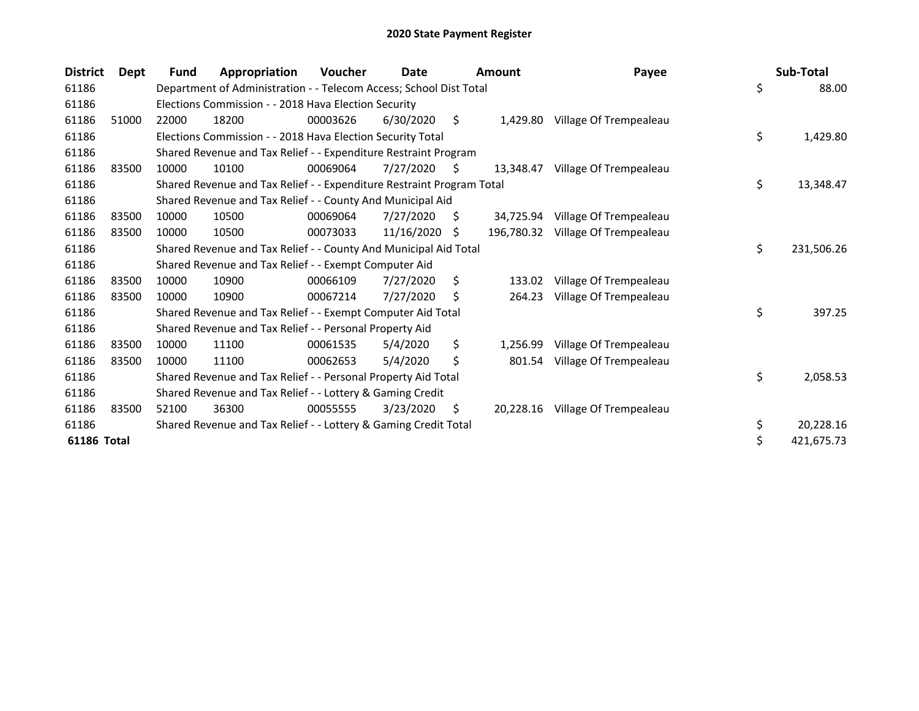| <b>District</b>    | <b>Dept</b> | <b>Fund</b> | Appropriation                                                         | Voucher  | Date       |    | <b>Amount</b> | Payee                  | Sub-Total        |
|--------------------|-------------|-------------|-----------------------------------------------------------------------|----------|------------|----|---------------|------------------------|------------------|
| 61186              |             |             | Department of Administration - - Telecom Access; School Dist Total    |          |            |    |               |                        | \$<br>88.00      |
| 61186              |             |             | Elections Commission - - 2018 Hava Election Security                  |          |            |    |               |                        |                  |
| 61186              | 51000       | 22000       | 18200                                                                 | 00003626 | 6/30/2020  | \$ | 1,429.80      | Village Of Trempealeau |                  |
| 61186              |             |             | Elections Commission - - 2018 Hava Election Security Total            |          |            |    |               |                        | \$<br>1,429.80   |
| 61186              |             |             | Shared Revenue and Tax Relief - - Expenditure Restraint Program       |          |            |    |               |                        |                  |
| 61186              | 83500       | 10000       | 10100                                                                 | 00069064 | 7/27/2020  | S  | 13.348.47     | Village Of Trempealeau |                  |
| 61186              |             |             | Shared Revenue and Tax Relief - - Expenditure Restraint Program Total |          |            |    |               |                        | \$<br>13,348.47  |
| 61186              |             |             | Shared Revenue and Tax Relief - - County And Municipal Aid            |          |            |    |               |                        |                  |
| 61186              | 83500       | 10000       | 10500                                                                 | 00069064 | 7/27/2020  | S  | 34.725.94     | Village Of Trempealeau |                  |
| 61186              | 83500       | 10000       | 10500                                                                 | 00073033 | 11/16/2020 | S  | 196,780.32    | Village Of Trempealeau |                  |
| 61186              |             |             | Shared Revenue and Tax Relief - - County And Municipal Aid Total      |          |            |    |               |                        | \$<br>231,506.26 |
| 61186              |             |             | Shared Revenue and Tax Relief - - Exempt Computer Aid                 |          |            |    |               |                        |                  |
| 61186              | 83500       | 10000       | 10900                                                                 | 00066109 | 7/27/2020  | \$ | 133.02        | Village Of Trempealeau |                  |
| 61186              | 83500       | 10000       | 10900                                                                 | 00067214 | 7/27/2020  | S. | 264.23        | Village Of Trempealeau |                  |
| 61186              |             |             | Shared Revenue and Tax Relief - - Exempt Computer Aid Total           |          |            |    |               |                        | \$<br>397.25     |
| 61186              |             |             | Shared Revenue and Tax Relief - - Personal Property Aid               |          |            |    |               |                        |                  |
| 61186              | 83500       | 10000       | 11100                                                                 | 00061535 | 5/4/2020   | \$ | 1,256.99      | Village Of Trempealeau |                  |
| 61186              | 83500       | 10000       | 11100                                                                 | 00062653 | 5/4/2020   | \$ | 801.54        | Village Of Trempealeau |                  |
| 61186              |             |             | Shared Revenue and Tax Relief - - Personal Property Aid Total         |          |            |    |               |                        | \$<br>2,058.53   |
| 61186              |             |             | Shared Revenue and Tax Relief - - Lottery & Gaming Credit             |          |            |    |               |                        |                  |
| 61186              | 83500       | 52100       | 36300                                                                 | 00055555 | 3/23/2020  | \$ | 20,228.16     | Village Of Trempealeau |                  |
| 61186              |             |             | Shared Revenue and Tax Relief - - Lottery & Gaming Credit Total       |          |            |    |               |                        | \$<br>20,228.16  |
| <b>61186 Total</b> |             |             |                                                                       |          |            |    |               |                        | \$<br>421,675.73 |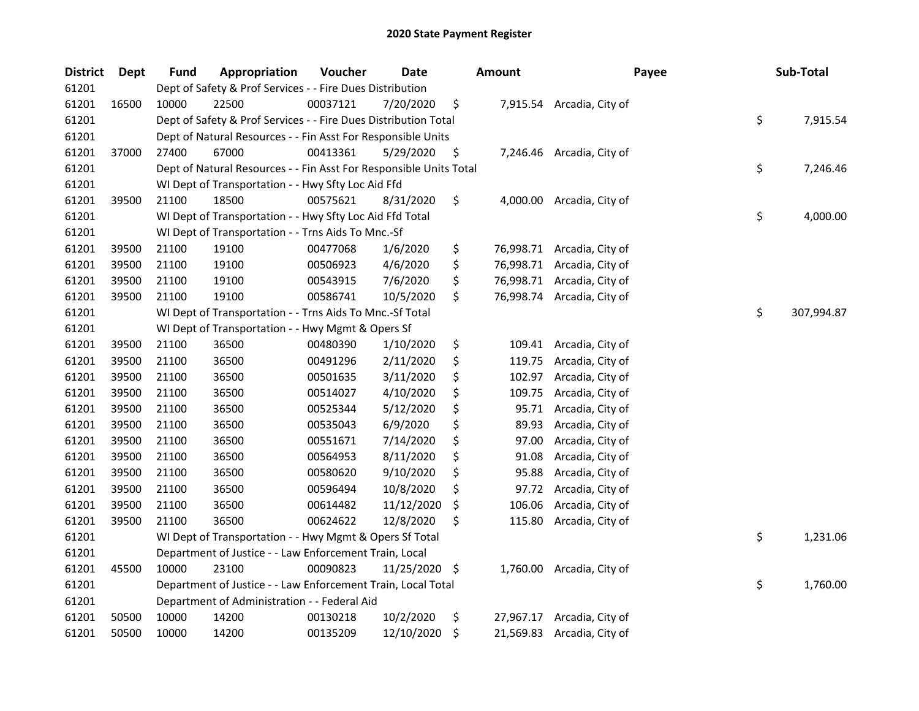| <b>District</b> | Dept  | <b>Fund</b> | Appropriation                                                      | Voucher  | Date          | Amount          | Payee                      | Sub-Total        |
|-----------------|-------|-------------|--------------------------------------------------------------------|----------|---------------|-----------------|----------------------------|------------------|
| 61201           |       |             | Dept of Safety & Prof Services - - Fire Dues Distribution          |          |               |                 |                            |                  |
| 61201           | 16500 | 10000       | 22500                                                              | 00037121 | 7/20/2020     | \$              | 7,915.54 Arcadia, City of  |                  |
| 61201           |       |             | Dept of Safety & Prof Services - - Fire Dues Distribution Total    |          |               |                 |                            | \$<br>7,915.54   |
| 61201           |       |             | Dept of Natural Resources - - Fin Asst For Responsible Units       |          |               |                 |                            |                  |
| 61201           | 37000 | 27400       | 67000                                                              | 00413361 | 5/29/2020     | \$              | 7,246.46 Arcadia, City of  |                  |
| 61201           |       |             | Dept of Natural Resources - - Fin Asst For Responsible Units Total |          |               |                 |                            | \$<br>7,246.46   |
| 61201           |       |             | WI Dept of Transportation - - Hwy Sfty Loc Aid Ffd                 |          |               |                 |                            |                  |
| 61201           | 39500 | 21100       | 18500                                                              | 00575621 | 8/31/2020     | \$              | 4,000.00 Arcadia, City of  |                  |
| 61201           |       |             | WI Dept of Transportation - - Hwy Sfty Loc Aid Ffd Total           |          |               |                 |                            | \$<br>4,000.00   |
| 61201           |       |             | WI Dept of Transportation - - Trns Aids To Mnc.-Sf                 |          |               |                 |                            |                  |
| 61201           | 39500 | 21100       | 19100                                                              | 00477068 | 1/6/2020      | \$              | 76,998.71 Arcadia, City of |                  |
| 61201           | 39500 | 21100       | 19100                                                              | 00506923 | 4/6/2020      | \$              | 76,998.71 Arcadia, City of |                  |
| 61201           | 39500 | 21100       | 19100                                                              | 00543915 | 7/6/2020      | \$              | 76,998.71 Arcadia, City of |                  |
| 61201           | 39500 | 21100       | 19100                                                              | 00586741 | 10/5/2020     | \$              | 76,998.74 Arcadia, City of |                  |
| 61201           |       |             | WI Dept of Transportation - - Trns Aids To Mnc.-Sf Total           |          |               |                 |                            | \$<br>307,994.87 |
| 61201           |       |             | WI Dept of Transportation - - Hwy Mgmt & Opers Sf                  |          |               |                 |                            |                  |
| 61201           | 39500 | 21100       | 36500                                                              | 00480390 | 1/10/2020     | \$<br>109.41    | Arcadia, City of           |                  |
| 61201           | 39500 | 21100       | 36500                                                              | 00491296 | 2/11/2020     | \$<br>119.75    | Arcadia, City of           |                  |
| 61201           | 39500 | 21100       | 36500                                                              | 00501635 | 3/11/2020     | \$<br>102.97    | Arcadia, City of           |                  |
| 61201           | 39500 | 21100       | 36500                                                              | 00514027 | 4/10/2020     | \$<br>109.75    | Arcadia, City of           |                  |
| 61201           | 39500 | 21100       | 36500                                                              | 00525344 | 5/12/2020     | \$<br>95.71     | Arcadia, City of           |                  |
| 61201           | 39500 | 21100       | 36500                                                              | 00535043 | 6/9/2020      | \$<br>89.93     | Arcadia, City of           |                  |
| 61201           | 39500 | 21100       | 36500                                                              | 00551671 | 7/14/2020     | \$<br>97.00     | Arcadia, City of           |                  |
| 61201           | 39500 | 21100       | 36500                                                              | 00564953 | 8/11/2020     | \$<br>91.08     | Arcadia, City of           |                  |
| 61201           | 39500 | 21100       | 36500                                                              | 00580620 | 9/10/2020     | \$<br>95.88     | Arcadia, City of           |                  |
| 61201           | 39500 | 21100       | 36500                                                              | 00596494 | 10/8/2020     | \$<br>97.72     | Arcadia, City of           |                  |
| 61201           | 39500 | 21100       | 36500                                                              | 00614482 | 11/12/2020    | \$<br>106.06    | Arcadia, City of           |                  |
| 61201           | 39500 | 21100       | 36500                                                              | 00624622 | 12/8/2020     | \$<br>115.80    | Arcadia, City of           |                  |
| 61201           |       |             | WI Dept of Transportation - - Hwy Mgmt & Opers Sf Total            |          |               |                 |                            | \$<br>1,231.06   |
| 61201           |       |             | Department of Justice - - Law Enforcement Train, Local             |          |               |                 |                            |                  |
| 61201           | 45500 | 10000       | 23100                                                              | 00090823 | 11/25/2020 \$ | 1,760.00        | Arcadia, City of           |                  |
| 61201           |       |             | Department of Justice - - Law Enforcement Train, Local Total       |          |               |                 |                            | \$<br>1,760.00   |
| 61201           |       |             | Department of Administration - - Federal Aid                       |          |               |                 |                            |                  |
| 61201           | 50500 | 10000       | 14200                                                              | 00130218 | 10/2/2020     | \$<br>27,967.17 | Arcadia, City of           |                  |
| 61201           | 50500 | 10000       | 14200                                                              | 00135209 | 12/10/2020    | \$              | 21,569.83 Arcadia, City of |                  |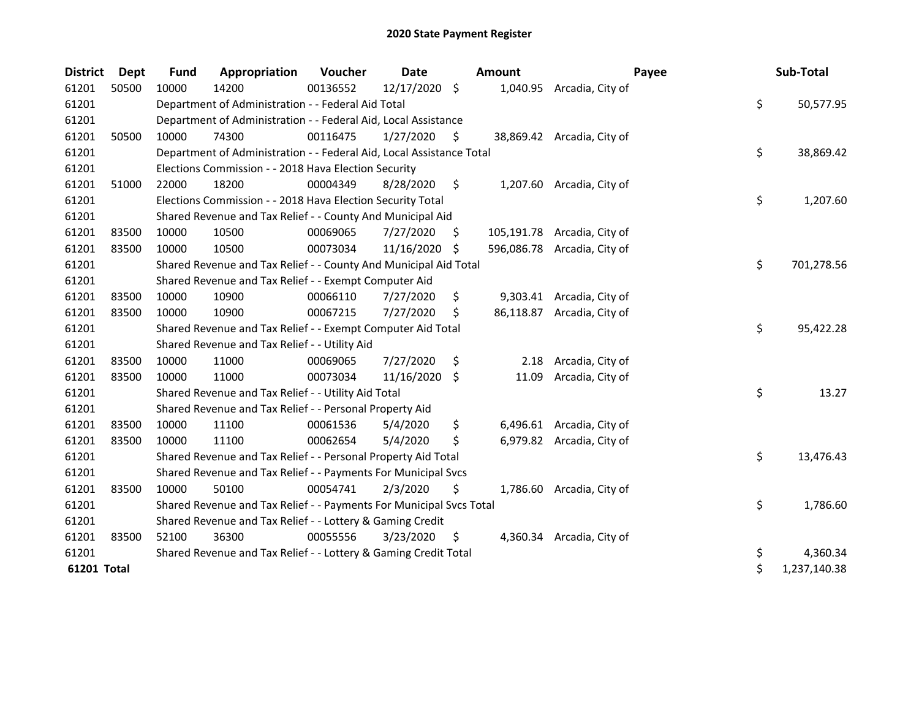| <b>District</b> | <b>Dept</b> | <b>Fund</b> | Appropriation                                                        | Voucher  | <b>Date</b>   |     | Amount    | Payee                       | Sub-Total          |
|-----------------|-------------|-------------|----------------------------------------------------------------------|----------|---------------|-----|-----------|-----------------------------|--------------------|
| 61201           | 50500       | 10000       | 14200                                                                | 00136552 | 12/17/2020 \$ |     |           | 1,040.95 Arcadia, City of   |                    |
| 61201           |             |             | Department of Administration - - Federal Aid Total                   |          |               |     |           |                             | \$<br>50,577.95    |
| 61201           |             |             | Department of Administration - - Federal Aid, Local Assistance       |          |               |     |           |                             |                    |
| 61201           | 50500       | 10000       | 74300                                                                | 00116475 | 1/27/2020     | \$. |           | 38,869.42 Arcadia, City of  |                    |
| 61201           |             |             | Department of Administration - - Federal Aid, Local Assistance Total |          |               |     |           |                             | \$<br>38,869.42    |
| 61201           |             |             | Elections Commission - - 2018 Hava Election Security                 |          |               |     |           |                             |                    |
| 61201           | 51000       | 22000       | 18200                                                                | 00004349 | 8/28/2020     | \$  |           | 1,207.60 Arcadia, City of   |                    |
| 61201           |             |             | Elections Commission - - 2018 Hava Election Security Total           |          |               |     |           |                             | \$<br>1,207.60     |
| 61201           |             |             | Shared Revenue and Tax Relief - - County And Municipal Aid           |          |               |     |           |                             |                    |
| 61201           | 83500       | 10000       | 10500                                                                | 00069065 | 7/27/2020     | S   |           | 105,191.78 Arcadia, City of |                    |
| 61201           | 83500       | 10000       | 10500                                                                | 00073034 | 11/16/2020    | -\$ |           | 596,086.78 Arcadia, City of |                    |
| 61201           |             |             | Shared Revenue and Tax Relief - - County And Municipal Aid Total     |          |               |     |           |                             | \$<br>701,278.56   |
| 61201           |             |             | Shared Revenue and Tax Relief - - Exempt Computer Aid                |          |               |     |           |                             |                    |
| 61201           | 83500       | 10000       | 10900                                                                | 00066110 | 7/27/2020     | \$  |           | 9,303.41 Arcadia, City of   |                    |
| 61201           | 83500       | 10000       | 10900                                                                | 00067215 | 7/27/2020     | \$  | 86,118.87 | Arcadia, City of            |                    |
| 61201           |             |             | Shared Revenue and Tax Relief - - Exempt Computer Aid Total          |          |               |     |           |                             | \$<br>95,422.28    |
| 61201           |             |             | Shared Revenue and Tax Relief - - Utility Aid                        |          |               |     |           |                             |                    |
| 61201           | 83500       | 10000       | 11000                                                                | 00069065 | 7/27/2020     | \$  | 2.18      | Arcadia, City of            |                    |
| 61201           | 83500       | 10000       | 11000                                                                | 00073034 | 11/16/2020    | \$  | 11.09     | Arcadia, City of            |                    |
| 61201           |             |             | Shared Revenue and Tax Relief - - Utility Aid Total                  |          |               |     |           |                             | \$<br>13.27        |
| 61201           |             |             | Shared Revenue and Tax Relief - - Personal Property Aid              |          |               |     |           |                             |                    |
| 61201           | 83500       | 10000       | 11100                                                                | 00061536 | 5/4/2020      | \$  |           | 6,496.61 Arcadia, City of   |                    |
| 61201           | 83500       | 10000       | 11100                                                                | 00062654 | 5/4/2020      | Ś   |           | 6,979.82 Arcadia, City of   |                    |
| 61201           |             |             | Shared Revenue and Tax Relief - - Personal Property Aid Total        |          |               |     |           |                             | \$<br>13,476.43    |
| 61201           |             |             | Shared Revenue and Tax Relief - - Payments For Municipal Svcs        |          |               |     |           |                             |                    |
| 61201           | 83500       | 10000       | 50100                                                                | 00054741 | 2/3/2020      | \$  |           | 1,786.60 Arcadia, City of   |                    |
| 61201           |             |             | Shared Revenue and Tax Relief - - Payments For Municipal Svcs Total  |          |               |     |           |                             | \$<br>1,786.60     |
| 61201           |             |             | Shared Revenue and Tax Relief - - Lottery & Gaming Credit            |          |               |     |           |                             |                    |
| 61201           | 83500       | 52100       | 36300                                                                | 00055556 | 3/23/2020     | \$  |           | 4,360.34 Arcadia, City of   |                    |
| 61201           |             |             | Shared Revenue and Tax Relief - - Lottery & Gaming Credit Total      |          |               |     |           |                             | \$<br>4,360.34     |
| 61201 Total     |             |             |                                                                      |          |               |     |           |                             | \$<br>1,237,140.38 |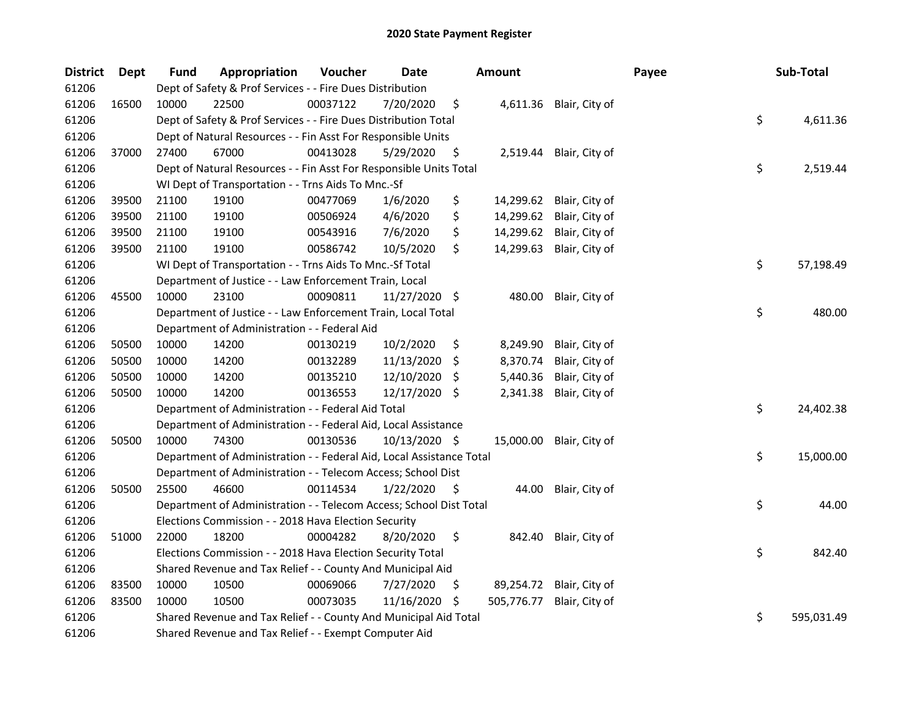| <b>District</b> | <b>Dept</b> | <b>Fund</b> | Appropriation                                                        | Voucher  | <b>Date</b>   |     | Amount     |                          | Payee | Sub-Total        |
|-----------------|-------------|-------------|----------------------------------------------------------------------|----------|---------------|-----|------------|--------------------------|-------|------------------|
| 61206           |             |             | Dept of Safety & Prof Services - - Fire Dues Distribution            |          |               |     |            |                          |       |                  |
| 61206           | 16500       | 10000       | 22500                                                                | 00037122 | 7/20/2020     | \$  |            | 4,611.36 Blair, City of  |       |                  |
| 61206           |             |             | Dept of Safety & Prof Services - - Fire Dues Distribution Total      |          |               |     |            |                          |       | \$<br>4,611.36   |
| 61206           |             |             | Dept of Natural Resources - - Fin Asst For Responsible Units         |          |               |     |            |                          |       |                  |
| 61206           | 37000       | 27400       | 67000                                                                | 00413028 | 5/29/2020     | \$  |            | 2,519.44 Blair, City of  |       |                  |
| 61206           |             |             | Dept of Natural Resources - - Fin Asst For Responsible Units Total   |          |               |     |            |                          |       | \$<br>2,519.44   |
| 61206           |             |             | WI Dept of Transportation - - Trns Aids To Mnc.-Sf                   |          |               |     |            |                          |       |                  |
| 61206           | 39500       | 21100       | 19100                                                                | 00477069 | 1/6/2020      | \$  | 14,299.62  | Blair, City of           |       |                  |
| 61206           | 39500       | 21100       | 19100                                                                | 00506924 | 4/6/2020      | \$  | 14,299.62  | Blair, City of           |       |                  |
| 61206           | 39500       | 21100       | 19100                                                                | 00543916 | 7/6/2020      | \$  | 14,299.62  | Blair, City of           |       |                  |
| 61206           | 39500       | 21100       | 19100                                                                | 00586742 | 10/5/2020     | \$  | 14,299.63  | Blair, City of           |       |                  |
| 61206           |             |             | WI Dept of Transportation - - Trns Aids To Mnc.-Sf Total             |          |               |     |            |                          |       | \$<br>57,198.49  |
| 61206           |             |             | Department of Justice - - Law Enforcement Train, Local               |          |               |     |            |                          |       |                  |
| 61206           | 45500       | 10000       | 23100                                                                | 00090811 | 11/27/2020 \$ |     | 480.00     | Blair, City of           |       |                  |
| 61206           |             |             | Department of Justice - - Law Enforcement Train, Local Total         |          |               |     |            |                          |       | \$<br>480.00     |
| 61206           |             |             | Department of Administration - - Federal Aid                         |          |               |     |            |                          |       |                  |
| 61206           | 50500       | 10000       | 14200                                                                | 00130219 | 10/2/2020     | \$  | 8,249.90   | Blair, City of           |       |                  |
| 61206           | 50500       | 10000       | 14200                                                                | 00132289 | 11/13/2020    | \$  | 8,370.74   | Blair, City of           |       |                  |
| 61206           | 50500       | 10000       | 14200                                                                | 00135210 | 12/10/2020    | -S  | 5,440.36   | Blair, City of           |       |                  |
| 61206           | 50500       | 10000       | 14200                                                                | 00136553 | 12/17/2020    | \$  | 2,341.38   | Blair, City of           |       |                  |
| 61206           |             |             | Department of Administration - - Federal Aid Total                   |          |               |     |            |                          |       | \$<br>24,402.38  |
| 61206           |             |             | Department of Administration - - Federal Aid, Local Assistance       |          |               |     |            |                          |       |                  |
| 61206           | 50500       | 10000       | 74300                                                                | 00130536 | 10/13/2020 \$ |     |            | 15,000.00 Blair, City of |       |                  |
| 61206           |             |             | Department of Administration - - Federal Aid, Local Assistance Total |          |               |     |            |                          |       | \$<br>15,000.00  |
| 61206           |             |             | Department of Administration - - Telecom Access; School Dist         |          |               |     |            |                          |       |                  |
| 61206           | 50500       | 25500       | 46600                                                                | 00114534 | 1/22/2020     | \$  | 44.00      | Blair, City of           |       |                  |
| 61206           |             |             | Department of Administration - - Telecom Access; School Dist Total   |          |               |     |            |                          |       | \$<br>44.00      |
| 61206           |             |             | Elections Commission - - 2018 Hava Election Security                 |          |               |     |            |                          |       |                  |
| 61206           | 51000       | 22000       | 18200                                                                | 00004282 | 8/20/2020     | \$  | 842.40     | Blair, City of           |       |                  |
| 61206           |             |             | Elections Commission - - 2018 Hava Election Security Total           |          |               |     |            |                          |       | \$<br>842.40     |
| 61206           |             |             | Shared Revenue and Tax Relief - - County And Municipal Aid           |          |               |     |            |                          |       |                  |
| 61206           | 83500       | 10000       | 10500                                                                | 00069066 | 7/27/2020     | \$  | 89,254.72  | Blair, City of           |       |                  |
| 61206           | 83500       | 10000       | 10500                                                                | 00073035 | 11/16/2020    | -\$ | 505,776.77 | Blair, City of           |       |                  |
| 61206           |             |             | Shared Revenue and Tax Relief - - County And Municipal Aid Total     |          |               |     |            |                          |       | \$<br>595,031.49 |
| 61206           |             |             | Shared Revenue and Tax Relief - - Exempt Computer Aid                |          |               |     |            |                          |       |                  |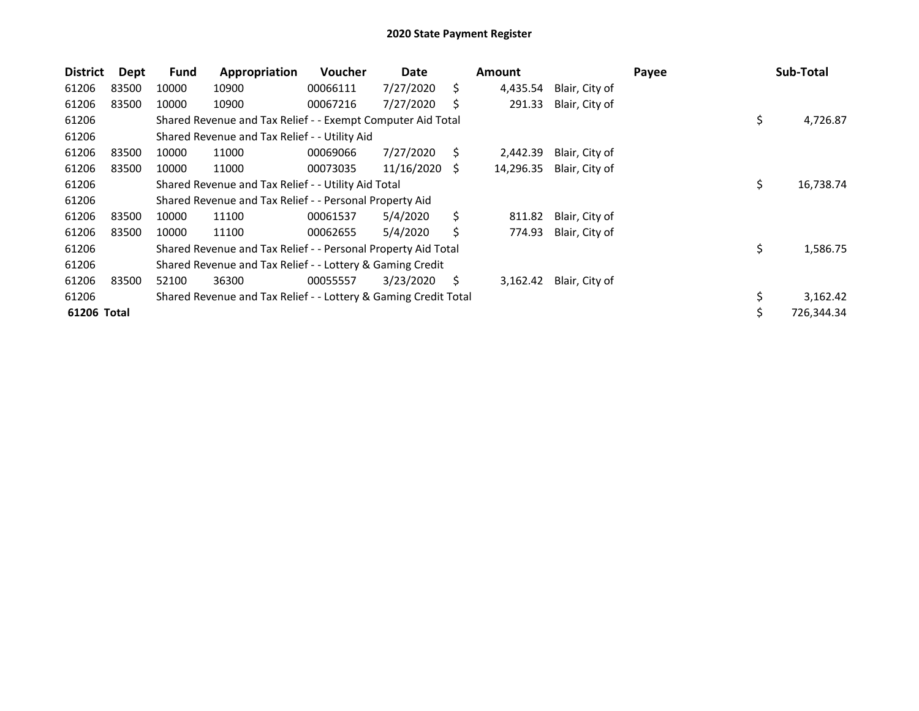| <b>District</b> | Dept  | <b>Fund</b> | Appropriation                                                   | <b>Voucher</b> | Date       |    | Amount    |                | Payee | Sub-Total       |
|-----------------|-------|-------------|-----------------------------------------------------------------|----------------|------------|----|-----------|----------------|-------|-----------------|
| 61206           | 83500 | 10000       | 10900                                                           | 00066111       | 7/27/2020  | S. | 4,435.54  | Blair, City of |       |                 |
| 61206           | 83500 | 10000       | 10900                                                           | 00067216       | 7/27/2020  |    | 291.33    | Blair, City of |       |                 |
| 61206           |       |             | Shared Revenue and Tax Relief - - Exempt Computer Aid Total     |                |            |    |           |                |       | \$<br>4,726.87  |
| 61206           |       |             | Shared Revenue and Tax Relief - - Utility Aid                   |                |            |    |           |                |       |                 |
| 61206           | 83500 | 10000       | 11000                                                           | 00069066       | 7/27/2020  | S. | 2,442.39  | Blair, City of |       |                 |
| 61206           | 83500 | 10000       | 11000                                                           | 00073035       | 11/16/2020 | -S | 14,296.35 | Blair, City of |       |                 |
| 61206           |       |             | Shared Revenue and Tax Relief - - Utility Aid Total             |                |            |    |           |                |       | \$<br>16,738.74 |
| 61206           |       |             | Shared Revenue and Tax Relief - - Personal Property Aid         |                |            |    |           |                |       |                 |
| 61206           | 83500 | 10000       | 11100                                                           | 00061537       | 5/4/2020   | Ś. | 811.82    | Blair, City of |       |                 |
| 61206           | 83500 | 10000       | 11100                                                           | 00062655       | 5/4/2020   | Ś  | 774.93    | Blair, City of |       |                 |
| 61206           |       |             | Shared Revenue and Tax Relief - - Personal Property Aid Total   |                |            |    |           |                |       | \$<br>1,586.75  |
| 61206           |       |             | Shared Revenue and Tax Relief - - Lottery & Gaming Credit       |                |            |    |           |                |       |                 |
| 61206           | 83500 | 52100       | 36300                                                           | 00055557       | 3/23/2020  | S. | 3,162.42  | Blair, City of |       |                 |
| 61206           |       |             | Shared Revenue and Tax Relief - - Lottery & Gaming Credit Total |                |            |    |           |                |       | 3,162.42        |
| 61206 Total     |       |             |                                                                 |                |            |    |           |                |       | 726,344.34      |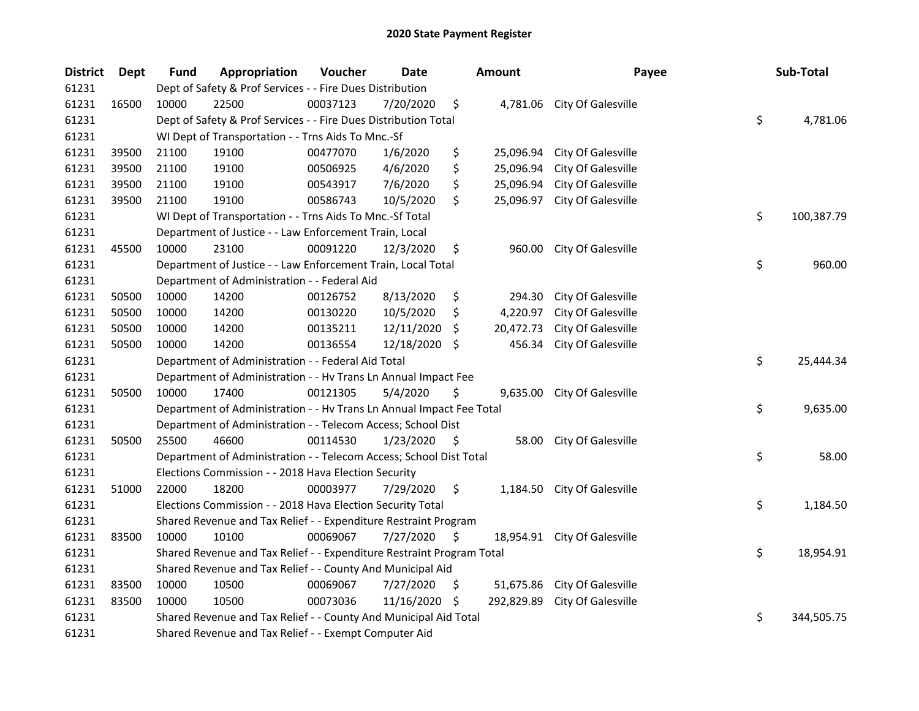| <b>District</b> | <b>Dept</b> | <b>Fund</b> | Appropriation                                                         | Voucher  | <b>Date</b> |     | Amount     | Payee                        | Sub-Total        |
|-----------------|-------------|-------------|-----------------------------------------------------------------------|----------|-------------|-----|------------|------------------------------|------------------|
| 61231           |             |             | Dept of Safety & Prof Services - - Fire Dues Distribution             |          |             |     |            |                              |                  |
| 61231           | 16500       | 10000       | 22500                                                                 | 00037123 | 7/20/2020   | \$  |            | 4,781.06 City Of Galesville  |                  |
| 61231           |             |             | Dept of Safety & Prof Services - - Fire Dues Distribution Total       |          |             |     |            |                              | \$<br>4,781.06   |
| 61231           |             |             | WI Dept of Transportation - - Trns Aids To Mnc.-Sf                    |          |             |     |            |                              |                  |
| 61231           | 39500       | 21100       | 19100                                                                 | 00477070 | 1/6/2020    | \$  | 25,096.94  | City Of Galesville           |                  |
| 61231           | 39500       | 21100       | 19100                                                                 | 00506925 | 4/6/2020    | \$  | 25,096.94  | City Of Galesville           |                  |
| 61231           | 39500       | 21100       | 19100                                                                 | 00543917 | 7/6/2020    | \$  | 25,096.94  | City Of Galesville           |                  |
| 61231           | 39500       | 21100       | 19100                                                                 | 00586743 | 10/5/2020   | \$  | 25,096.97  | City Of Galesville           |                  |
| 61231           |             |             | WI Dept of Transportation - - Trns Aids To Mnc.-Sf Total              |          |             |     |            |                              | \$<br>100,387.79 |
| 61231           |             |             | Department of Justice - - Law Enforcement Train, Local                |          |             |     |            |                              |                  |
| 61231           | 45500       | 10000       | 23100                                                                 | 00091220 | 12/3/2020   | \$  | 960.00     | City Of Galesville           |                  |
| 61231           |             |             | Department of Justice - - Law Enforcement Train, Local Total          |          |             |     |            |                              | \$<br>960.00     |
| 61231           |             |             | Department of Administration - - Federal Aid                          |          |             |     |            |                              |                  |
| 61231           | 50500       | 10000       | 14200                                                                 | 00126752 | 8/13/2020   | \$  | 294.30     | City Of Galesville           |                  |
| 61231           | 50500       | 10000       | 14200                                                                 | 00130220 | 10/5/2020   | \$  | 4,220.97   | City Of Galesville           |                  |
| 61231           | 50500       | 10000       | 14200                                                                 | 00135211 | 12/11/2020  | S   | 20,472.73  | City Of Galesville           |                  |
| 61231           | 50500       | 10000       | 14200                                                                 | 00136554 | 12/18/2020  | -S  | 456.34     | City Of Galesville           |                  |
| 61231           |             |             | Department of Administration - - Federal Aid Total                    |          |             |     |            |                              | \$<br>25,444.34  |
| 61231           |             |             | Department of Administration - - Hv Trans Ln Annual Impact Fee        |          |             |     |            |                              |                  |
| 61231           | 50500       | 10000       | 17400                                                                 | 00121305 | 5/4/2020    | \$  | 9,635.00   | City Of Galesville           |                  |
| 61231           |             |             | Department of Administration - - Hv Trans Ln Annual Impact Fee Total  |          |             |     |            |                              | \$<br>9,635.00   |
| 61231           |             |             | Department of Administration - - Telecom Access; School Dist          |          |             |     |            |                              |                  |
| 61231           | 50500       | 25500       | 46600                                                                 | 00114530 | 1/23/2020   | -\$ | 58.00      | City Of Galesville           |                  |
| 61231           |             |             | Department of Administration - - Telecom Access; School Dist Total    |          |             |     |            |                              | \$<br>58.00      |
| 61231           |             |             | Elections Commission - - 2018 Hava Election Security                  |          |             |     |            |                              |                  |
| 61231           | 51000       | 22000       | 18200                                                                 | 00003977 | 7/29/2020   | \$  |            | 1,184.50 City Of Galesville  |                  |
| 61231           |             |             | Elections Commission - - 2018 Hava Election Security Total            |          |             |     |            |                              | \$<br>1,184.50   |
| 61231           |             |             | Shared Revenue and Tax Relief - - Expenditure Restraint Program       |          |             |     |            |                              |                  |
| 61231           | 83500       | 10000       | 10100                                                                 | 00069067 | 7/27/2020   | \$  |            | 18,954.91 City Of Galesville |                  |
| 61231           |             |             | Shared Revenue and Tax Relief - - Expenditure Restraint Program Total |          |             |     |            |                              | \$<br>18,954.91  |
| 61231           |             |             | Shared Revenue and Tax Relief - - County And Municipal Aid            |          |             |     |            |                              |                  |
| 61231           | 83500       | 10000       | 10500                                                                 | 00069067 | 7/27/2020   | \$  | 51,675.86  | City Of Galesville           |                  |
| 61231           | 83500       | 10000       | 10500                                                                 | 00073036 | 11/16/2020  | -\$ | 292,829.89 | City Of Galesville           |                  |
| 61231           |             |             | Shared Revenue and Tax Relief - - County And Municipal Aid Total      |          |             |     |            |                              | \$<br>344,505.75 |
| 61231           |             |             | Shared Revenue and Tax Relief - - Exempt Computer Aid                 |          |             |     |            |                              |                  |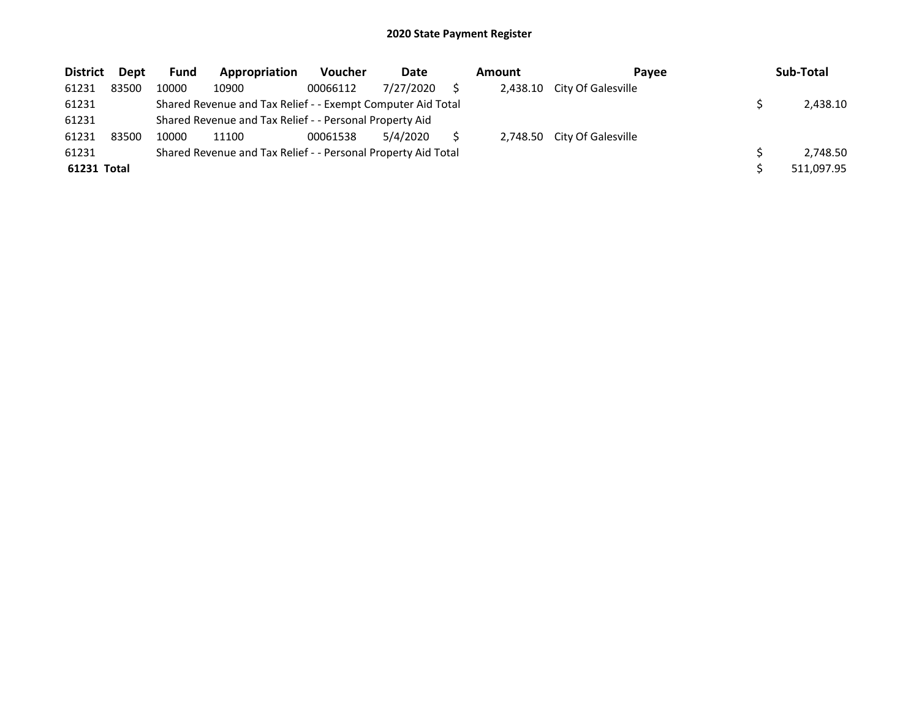| <b>District</b> | Dept  | <b>Fund</b> | Appropriation                                                 | <b>Voucher</b> | Date      | Amount   | Pavee                       | Sub-Total  |
|-----------------|-------|-------------|---------------------------------------------------------------|----------------|-----------|----------|-----------------------------|------------|
| 61231           | 83500 | 10000       | 10900                                                         | 00066112       | 7/27/2020 | 2.438.10 | City Of Galesville          |            |
| 61231           |       |             | Shared Revenue and Tax Relief - - Exempt Computer Aid Total   |                |           |          |                             | 2,438.10   |
| 61231           |       |             | Shared Revenue and Tax Relief - - Personal Property Aid       |                |           |          |                             |            |
| 61231           | 83500 | 10000       | 11100                                                         | 00061538       | 5/4/2020  |          | 2,748.50 City Of Galesville |            |
| 61231           |       |             | Shared Revenue and Tax Relief - - Personal Property Aid Total |                |           |          |                             | 2.748.50   |
| 61231 Total     |       |             |                                                               |                |           |          |                             | 511,097.95 |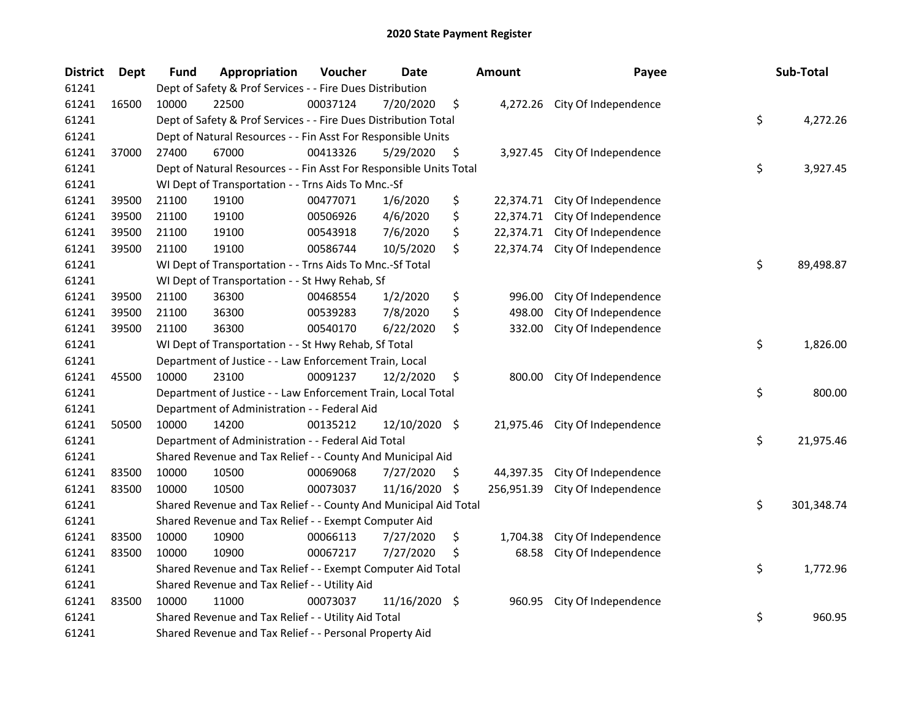| <b>District</b> | <b>Dept</b> | Fund  | Appropriation                                                      | Voucher  | <b>Date</b>   |     | <b>Amount</b> | Payee                          | Sub-Total        |
|-----------------|-------------|-------|--------------------------------------------------------------------|----------|---------------|-----|---------------|--------------------------------|------------------|
| 61241           |             |       | Dept of Safety & Prof Services - - Fire Dues Distribution          |          |               |     |               |                                |                  |
| 61241           | 16500       | 10000 | 22500                                                              | 00037124 | 7/20/2020     | \$  |               | 4,272.26 City Of Independence  |                  |
| 61241           |             |       | Dept of Safety & Prof Services - - Fire Dues Distribution Total    |          |               |     |               |                                | \$<br>4,272.26   |
| 61241           |             |       | Dept of Natural Resources - - Fin Asst For Responsible Units       |          |               |     |               |                                |                  |
| 61241           | 37000       | 27400 | 67000                                                              | 00413326 | 5/29/2020     | \$  |               | 3,927.45 City Of Independence  |                  |
| 61241           |             |       | Dept of Natural Resources - - Fin Asst For Responsible Units Total |          |               |     |               |                                | \$<br>3,927.45   |
| 61241           |             |       | WI Dept of Transportation - - Trns Aids To Mnc.-Sf                 |          |               |     |               |                                |                  |
| 61241           | 39500       | 21100 | 19100                                                              | 00477071 | 1/6/2020      | \$  |               | 22,374.71 City Of Independence |                  |
| 61241           | 39500       | 21100 | 19100                                                              | 00506926 | 4/6/2020      | \$  | 22,374.71     | City Of Independence           |                  |
| 61241           | 39500       | 21100 | 19100                                                              | 00543918 | 7/6/2020      | \$  |               | 22,374.71 City Of Independence |                  |
| 61241           | 39500       | 21100 | 19100                                                              | 00586744 | 10/5/2020     | \$  | 22,374.74     | City Of Independence           |                  |
| 61241           |             |       | WI Dept of Transportation - - Trns Aids To Mnc.-Sf Total           |          |               |     |               |                                | \$<br>89,498.87  |
| 61241           |             |       | WI Dept of Transportation - - St Hwy Rehab, Sf                     |          |               |     |               |                                |                  |
| 61241           | 39500       | 21100 | 36300                                                              | 00468554 | 1/2/2020      | \$  | 996.00        | City Of Independence           |                  |
| 61241           | 39500       | 21100 | 36300                                                              | 00539283 | 7/8/2020      | \$  | 498.00        | City Of Independence           |                  |
| 61241           | 39500       | 21100 | 36300                                                              | 00540170 | 6/22/2020     | \$  | 332.00        | City Of Independence           |                  |
| 61241           |             |       | WI Dept of Transportation - - St Hwy Rehab, Sf Total               |          |               |     |               |                                | \$<br>1,826.00   |
| 61241           |             |       | Department of Justice - - Law Enforcement Train, Local             |          |               |     |               |                                |                  |
| 61241           | 45500       | 10000 | 23100                                                              | 00091237 | 12/2/2020     | \$  | 800.00        | City Of Independence           |                  |
| 61241           |             |       | Department of Justice - - Law Enforcement Train, Local Total       |          |               |     |               |                                | \$<br>800.00     |
| 61241           |             |       | Department of Administration - - Federal Aid                       |          |               |     |               |                                |                  |
| 61241           | 50500       | 10000 | 14200                                                              | 00135212 | 12/10/2020 \$ |     |               | 21,975.46 City Of Independence |                  |
| 61241           |             |       | Department of Administration - - Federal Aid Total                 |          |               |     |               |                                | \$<br>21,975.46  |
| 61241           |             |       | Shared Revenue and Tax Relief - - County And Municipal Aid         |          |               |     |               |                                |                  |
| 61241           | 83500       | 10000 | 10500                                                              | 00069068 | 7/27/2020     | \$. | 44,397.35     | City Of Independence           |                  |
| 61241           | 83500       | 10000 | 10500                                                              | 00073037 | 11/16/2020    | \$  | 256,951.39    | City Of Independence           |                  |
| 61241           |             |       | Shared Revenue and Tax Relief - - County And Municipal Aid Total   |          |               |     |               |                                | \$<br>301,348.74 |
| 61241           |             |       | Shared Revenue and Tax Relief - - Exempt Computer Aid              |          |               |     |               |                                |                  |
| 61241           | 83500       | 10000 | 10900                                                              | 00066113 | 7/27/2020     | \$  | 1,704.38      | City Of Independence           |                  |
| 61241           | 83500       | 10000 | 10900                                                              | 00067217 | 7/27/2020     | \$  | 68.58         | City Of Independence           |                  |
| 61241           |             |       | Shared Revenue and Tax Relief - - Exempt Computer Aid Total        |          |               |     |               |                                | \$<br>1,772.96   |
| 61241           |             |       | Shared Revenue and Tax Relief - - Utility Aid                      |          |               |     |               |                                |                  |
| 61241           | 83500       | 10000 | 11000                                                              | 00073037 | 11/16/2020 \$ |     | 960.95        | City Of Independence           |                  |
| 61241           |             |       | Shared Revenue and Tax Relief - - Utility Aid Total                |          |               |     |               |                                | \$<br>960.95     |
| 61241           |             |       | Shared Revenue and Tax Relief - - Personal Property Aid            |          |               |     |               |                                |                  |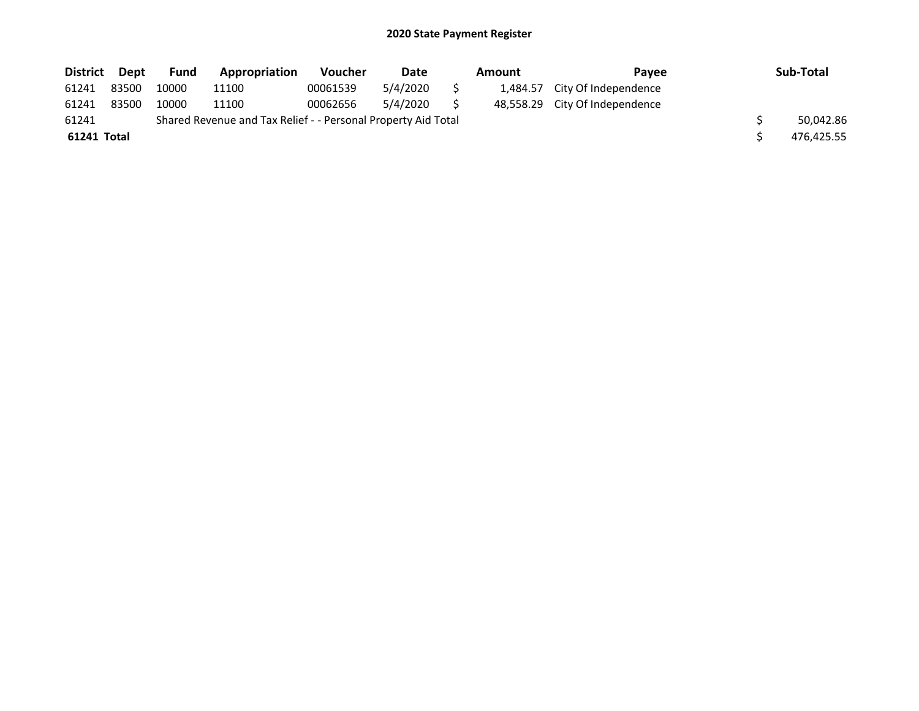| <b>District</b> | Dept  | <b>Fund</b> | Appropriation                                                 | <b>Voucher</b> | Date     | <b>Amount</b> | Pavee                          | Sub-Total  |
|-----------------|-------|-------------|---------------------------------------------------------------|----------------|----------|---------------|--------------------------------|------------|
| 61241           | 83500 | 10000       | 11100                                                         | 00061539       | 5/4/2020 |               | 1,484.57 City Of Independence  |            |
| 61241           | 83500 | 10000       | 11100                                                         | 00062656       | 5/4/2020 |               | 48,558.29 City Of Independence |            |
| 61241           |       |             | Shared Revenue and Tax Relief - - Personal Property Aid Total |                |          |               |                                | 50.042.86  |
| 61241 Total     |       |             |                                                               |                |          |               |                                | 476,425.55 |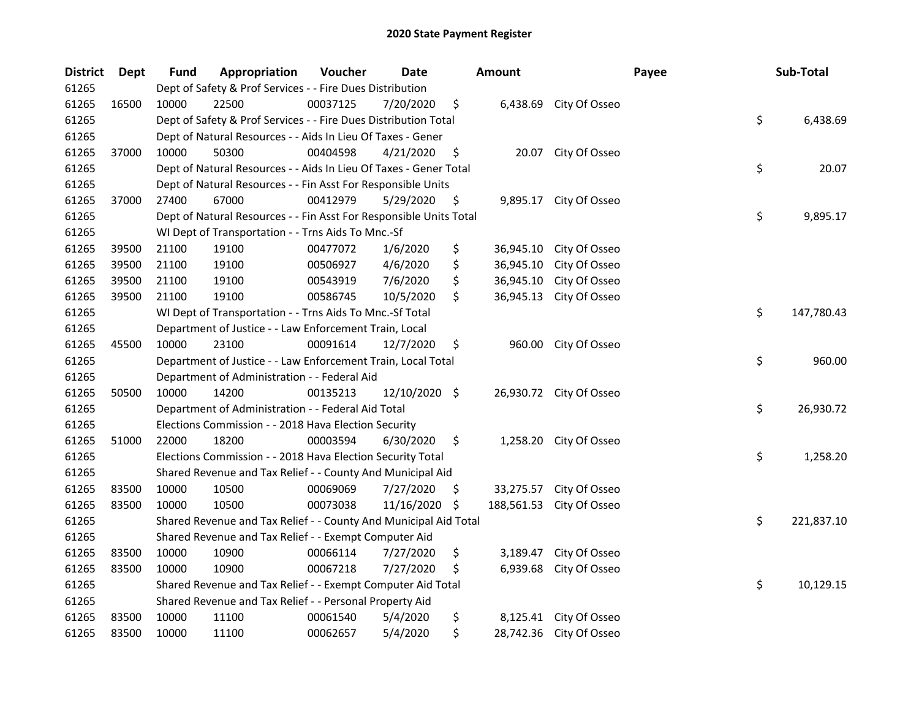| <b>District</b> | Dept  | Fund  | Appropriation                                                      | Voucher  | <b>Date</b>   |     | <b>Amount</b> |                         | Payee | Sub-Total        |
|-----------------|-------|-------|--------------------------------------------------------------------|----------|---------------|-----|---------------|-------------------------|-------|------------------|
| 61265           |       |       | Dept of Safety & Prof Services - - Fire Dues Distribution          |          |               |     |               |                         |       |                  |
| 61265           | 16500 | 10000 | 22500                                                              | 00037125 | 7/20/2020     | \$  |               | 6,438.69 City Of Osseo  |       |                  |
| 61265           |       |       | Dept of Safety & Prof Services - - Fire Dues Distribution Total    |          |               |     |               |                         |       | \$<br>6,438.69   |
| 61265           |       |       | Dept of Natural Resources - - Aids In Lieu Of Taxes - Gener        |          |               |     |               |                         |       |                  |
| 61265           | 37000 | 10000 | 50300                                                              | 00404598 | 4/21/2020     | \$  |               | 20.07 City Of Osseo     |       |                  |
| 61265           |       |       | Dept of Natural Resources - - Aids In Lieu Of Taxes - Gener Total  |          |               |     |               |                         |       | \$<br>20.07      |
| 61265           |       |       | Dept of Natural Resources - - Fin Asst For Responsible Units       |          |               |     |               |                         |       |                  |
| 61265           | 37000 | 27400 | 67000                                                              | 00412979 | 5/29/2020     | \$  |               | 9,895.17 City Of Osseo  |       |                  |
| 61265           |       |       | Dept of Natural Resources - - Fin Asst For Responsible Units Total |          |               |     |               |                         |       | \$<br>9,895.17   |
| 61265           |       |       | WI Dept of Transportation - - Trns Aids To Mnc.-Sf                 |          |               |     |               |                         |       |                  |
| 61265           | 39500 | 21100 | 19100                                                              | 00477072 | 1/6/2020      | \$  | 36,945.10     | City Of Osseo           |       |                  |
| 61265           | 39500 | 21100 | 19100                                                              | 00506927 | 4/6/2020      | \$  | 36,945.10     | City Of Osseo           |       |                  |
| 61265           | 39500 | 21100 | 19100                                                              | 00543919 | 7/6/2020      | \$  | 36,945.10     | City Of Osseo           |       |                  |
| 61265           | 39500 | 21100 | 19100                                                              | 00586745 | 10/5/2020     | \$  | 36,945.13     | City Of Osseo           |       |                  |
| 61265           |       |       | WI Dept of Transportation - - Trns Aids To Mnc.-Sf Total           |          |               |     |               |                         |       | \$<br>147,780.43 |
| 61265           |       |       | Department of Justice - - Law Enforcement Train, Local             |          |               |     |               |                         |       |                  |
| 61265           | 45500 | 10000 | 23100                                                              | 00091614 | 12/7/2020     | \$  | 960.00        | City Of Osseo           |       |                  |
| 61265           |       |       | Department of Justice - - Law Enforcement Train, Local Total       |          |               |     |               |                         |       | \$<br>960.00     |
| 61265           |       |       | Department of Administration - - Federal Aid                       |          |               |     |               |                         |       |                  |
| 61265           | 50500 | 10000 | 14200                                                              | 00135213 | 12/10/2020 \$ |     |               | 26,930.72 City Of Osseo |       |                  |
| 61265           |       |       | Department of Administration - - Federal Aid Total                 |          |               |     |               |                         |       | \$<br>26,930.72  |
| 61265           |       |       | Elections Commission - - 2018 Hava Election Security               |          |               |     |               |                         |       |                  |
| 61265           | 51000 | 22000 | 18200                                                              | 00003594 | 6/30/2020     | \$  |               | 1,258.20 City Of Osseo  |       |                  |
| 61265           |       |       | Elections Commission - - 2018 Hava Election Security Total         |          |               |     |               |                         |       | \$<br>1,258.20   |
| 61265           |       |       | Shared Revenue and Tax Relief - - County And Municipal Aid         |          |               |     |               |                         |       |                  |
| 61265           | 83500 | 10000 | 10500                                                              | 00069069 | 7/27/2020     | \$. | 33,275.57     | City Of Osseo           |       |                  |
| 61265           | 83500 | 10000 | 10500                                                              | 00073038 | 11/16/2020    | \$  | 188,561.53    | City Of Osseo           |       |                  |
| 61265           |       |       | Shared Revenue and Tax Relief - - County And Municipal Aid Total   |          |               |     |               |                         |       | \$<br>221,837.10 |
| 61265           |       |       | Shared Revenue and Tax Relief - - Exempt Computer Aid              |          |               |     |               |                         |       |                  |
| 61265           | 83500 | 10000 | 10900                                                              | 00066114 | 7/27/2020     | \$  | 3,189.47      | City Of Osseo           |       |                  |
| 61265           | 83500 | 10000 | 10900                                                              | 00067218 | 7/27/2020     | \$. | 6,939.68      | City Of Osseo           |       |                  |
| 61265           |       |       | Shared Revenue and Tax Relief - - Exempt Computer Aid Total        |          |               |     |               |                         |       | \$<br>10,129.15  |
| 61265           |       |       | Shared Revenue and Tax Relief - - Personal Property Aid            |          |               |     |               |                         |       |                  |
| 61265           | 83500 | 10000 | 11100                                                              | 00061540 | 5/4/2020      | \$  | 8,125.41      | City Of Osseo           |       |                  |
| 61265           | 83500 | 10000 | 11100                                                              | 00062657 | 5/4/2020      | \$  |               | 28,742.36 City Of Osseo |       |                  |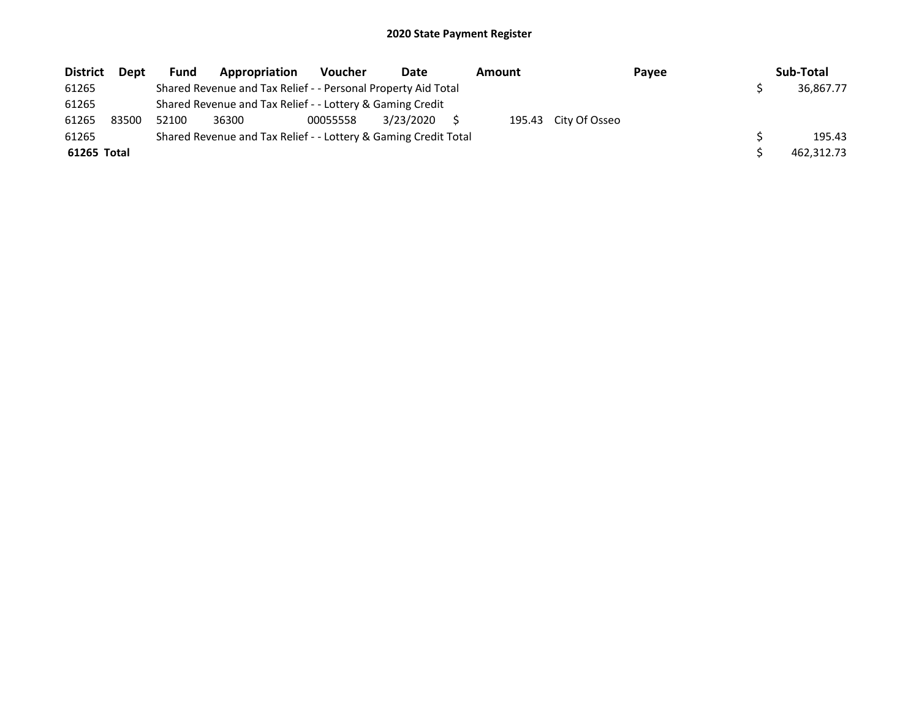| <b>District</b> | <b>Dept</b> | Fund  | Appropriation                                                   | <b>Voucher</b> | Date      | Amount |                      | Payee | Sub-Total  |
|-----------------|-------------|-------|-----------------------------------------------------------------|----------------|-----------|--------|----------------------|-------|------------|
| 61265           |             |       | Shared Revenue and Tax Relief - - Personal Property Aid Total   |                |           |        |                      |       | 36.867.77  |
| 61265           |             |       | Shared Revenue and Tax Relief - - Lottery & Gaming Credit       |                |           |        |                      |       |            |
| 61265           | 83500       | 52100 | 36300                                                           | 00055558       | 3/23/2020 |        | 195.43 City Of Osseo |       |            |
| 61265           |             |       | Shared Revenue and Tax Relief - - Lottery & Gaming Credit Total |                |           |        |                      |       | 195.43     |
| 61265 Total     |             |       |                                                                 |                |           |        |                      |       | 462,312.73 |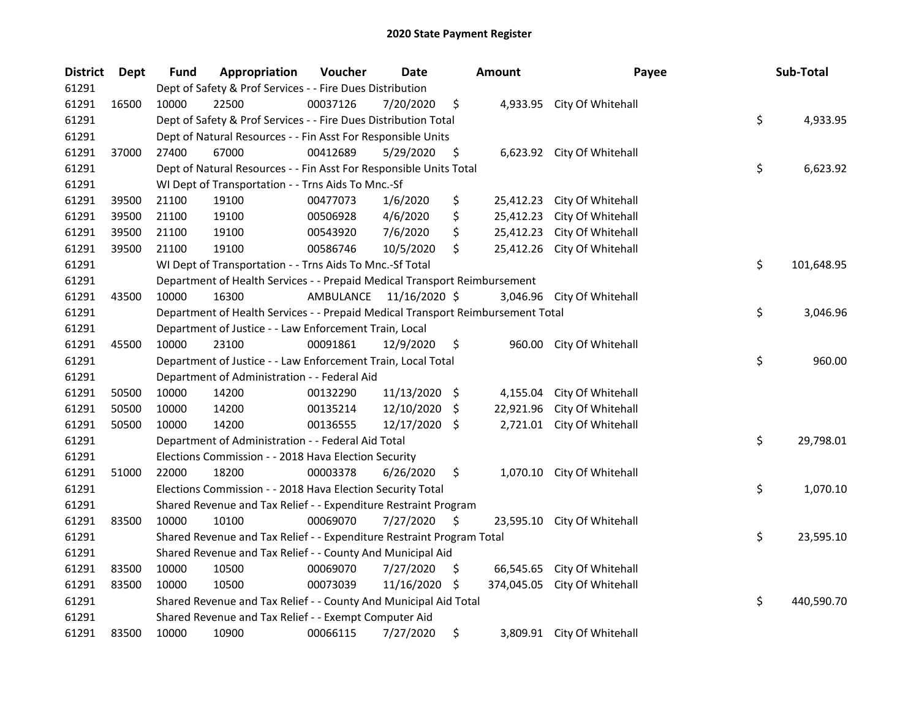| <b>District</b> | Dept  | <b>Fund</b>                                                                     | Appropriation                                              | Voucher   | Date          |      | <b>Amount</b> | Payee                       |    | Sub-Total  |
|-----------------|-------|---------------------------------------------------------------------------------|------------------------------------------------------------|-----------|---------------|------|---------------|-----------------------------|----|------------|
| 61291           |       | Dept of Safety & Prof Services - - Fire Dues Distribution                       |                                                            |           |               |      |               |                             |    |            |
| 61291           | 16500 | 10000                                                                           | 22500                                                      | 00037126  | 7/20/2020     | \$   |               | 4,933.95 City Of Whitehall  |    |            |
| 61291           |       | Dept of Safety & Prof Services - - Fire Dues Distribution Total                 |                                                            |           |               |      |               |                             |    | 4,933.95   |
| 61291           |       | Dept of Natural Resources - - Fin Asst For Responsible Units                    |                                                            |           |               |      |               |                             |    |            |
| 61291           | 37000 | 27400                                                                           | 67000                                                      | 00412689  | 5/29/2020     | \$   |               | 6,623.92 City Of Whitehall  |    |            |
| 61291           |       | Dept of Natural Resources - - Fin Asst For Responsible Units Total              |                                                            |           |               |      |               |                             |    | 6,623.92   |
| 61291           |       | WI Dept of Transportation - - Trns Aids To Mnc.-Sf                              |                                                            |           |               |      |               |                             |    |            |
| 61291           | 39500 | 21100                                                                           | 19100                                                      | 00477073  | 1/6/2020      | \$   |               | 25,412.23 City Of Whitehall |    |            |
| 61291           | 39500 | 21100                                                                           | 19100                                                      | 00506928  | 4/6/2020      | \$   | 25,412.23     | City Of Whitehall           |    |            |
| 61291           | 39500 | 21100                                                                           | 19100                                                      | 00543920  | 7/6/2020      | \$   |               | 25,412.23 City Of Whitehall |    |            |
| 61291           | 39500 | 21100                                                                           | 19100                                                      | 00586746  | 10/5/2020     | \$   |               | 25,412.26 City Of Whitehall |    |            |
| 61291           |       | WI Dept of Transportation - - Trns Aids To Mnc.-Sf Total                        |                                                            |           |               |      |               |                             | \$ | 101,648.95 |
| 61291           |       | Department of Health Services - - Prepaid Medical Transport Reimbursement       |                                                            |           |               |      |               |                             |    |            |
| 61291           | 43500 | 10000                                                                           | 16300                                                      | AMBULANCE | 11/16/2020 \$ |      | 3,046.96      | City Of Whitehall           |    |            |
| 61291           |       | Department of Health Services - - Prepaid Medical Transport Reimbursement Total |                                                            |           |               |      |               |                             | \$ | 3,046.96   |
| 61291           |       | Department of Justice - - Law Enforcement Train, Local                          |                                                            |           |               |      |               |                             |    |            |
| 61291           | 45500 | 10000                                                                           | 23100                                                      | 00091861  | 12/9/2020     | \$   |               | 960.00 City Of Whitehall    |    |            |
| 61291           |       | Department of Justice - - Law Enforcement Train, Local Total                    |                                                            |           |               |      |               |                             | \$ | 960.00     |
| 61291           |       | Department of Administration - - Federal Aid                                    |                                                            |           |               |      |               |                             |    |            |
| 61291           | 50500 | 10000                                                                           | 14200                                                      | 00132290  | 11/13/2020    | - \$ | 4,155.04      | City Of Whitehall           |    |            |
| 61291           | 50500 | 10000                                                                           | 14200                                                      | 00135214  | 12/10/2020    | - \$ | 22,921.96     | City Of Whitehall           |    |            |
| 61291           | 50500 | 10000                                                                           | 14200                                                      | 00136555  | 12/17/2020 \$ |      |               | 2,721.01 City Of Whitehall  |    |            |
| 61291           |       | Department of Administration - - Federal Aid Total                              |                                                            |           |               |      |               |                             |    | 29,798.01  |
| 61291           |       | Elections Commission - - 2018 Hava Election Security                            |                                                            |           |               |      |               |                             |    |            |
| 61291           | 51000 | 22000                                                                           | 18200                                                      | 00003378  | 6/26/2020     | \$   |               | 1,070.10 City Of Whitehall  |    |            |
| 61291           |       |                                                                                 | Elections Commission - - 2018 Hava Election Security Total |           |               |      |               |                             | \$ | 1,070.10   |
| 61291           |       | Shared Revenue and Tax Relief - - Expenditure Restraint Program                 |                                                            |           |               |      |               |                             |    |            |
| 61291           | 83500 | 10000                                                                           | 10100                                                      | 00069070  | 7/27/2020     | \$   |               | 23,595.10 City Of Whitehall |    |            |
| 61291           |       | Shared Revenue and Tax Relief - - Expenditure Restraint Program Total           |                                                            |           |               |      |               |                             | \$ | 23,595.10  |
| 61291           |       | Shared Revenue and Tax Relief - - County And Municipal Aid                      |                                                            |           |               |      |               |                             |    |            |
| 61291           | 83500 | 10000                                                                           | 10500                                                      | 00069070  | 7/27/2020     | \$.  | 66,545.65     | City Of Whitehall           |    |            |
| 61291           | 83500 | 10000                                                                           | 10500                                                      | 00073039  | 11/16/2020    | -\$  | 374,045.05    | City Of Whitehall           |    |            |
| 61291           |       | Shared Revenue and Tax Relief - - County And Municipal Aid Total                |                                                            |           |               |      |               |                             | \$ | 440,590.70 |
| 61291           |       | Shared Revenue and Tax Relief - - Exempt Computer Aid                           |                                                            |           |               |      |               |                             |    |            |
| 61291           | 83500 | 10000                                                                           | 10900                                                      | 00066115  | 7/27/2020     | \$   |               | 3,809.91 City Of Whitehall  |    |            |